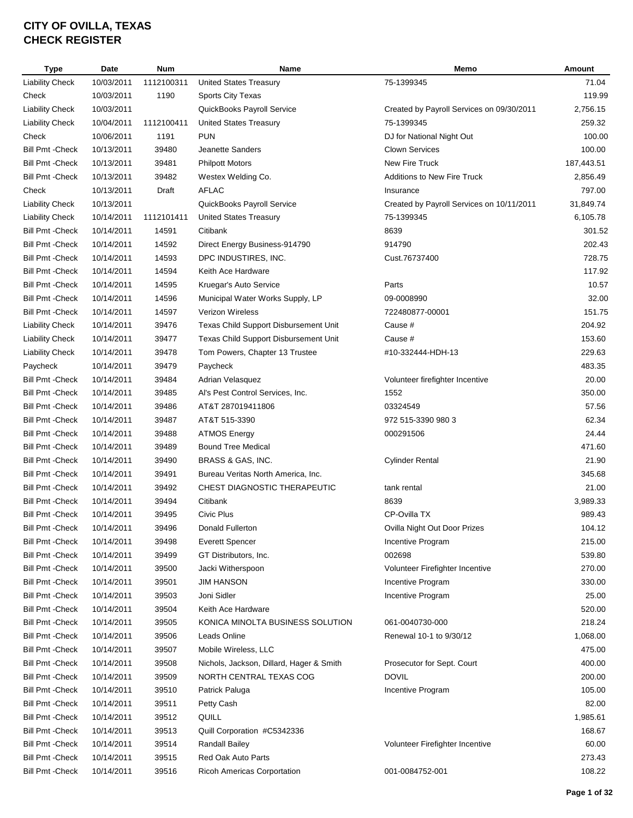| Type                    | Date       | <b>Num</b> | Name                                     | Memo                                      | Amount     |
|-------------------------|------------|------------|------------------------------------------|-------------------------------------------|------------|
| <b>Liability Check</b>  | 10/03/2011 | 1112100311 | <b>United States Treasury</b>            | 75-1399345                                | 71.04      |
| Check                   | 10/03/2011 | 1190       | Sports City Texas                        |                                           | 119.99     |
| <b>Liability Check</b>  | 10/03/2011 |            | QuickBooks Payroll Service               | Created by Payroll Services on 09/30/2011 | 2,756.15   |
| <b>Liability Check</b>  | 10/04/2011 | 1112100411 | <b>United States Treasury</b>            | 75-1399345                                | 259.32     |
| Check                   | 10/06/2011 | 1191       | <b>PUN</b>                               | DJ for National Night Out                 | 100.00     |
| <b>Bill Pmt - Check</b> | 10/13/2011 | 39480      | Jeanette Sanders                         | <b>Clown Services</b>                     | 100.00     |
| <b>Bill Pmt - Check</b> | 10/13/2011 | 39481      | <b>Philpott Motors</b>                   | New Fire Truck                            | 187,443.51 |
| <b>Bill Pmt - Check</b> | 10/13/2011 | 39482      | Westex Welding Co.                       | <b>Additions to New Fire Truck</b>        | 2,856.49   |
| Check                   | 10/13/2011 | Draft      | <b>AFLAC</b>                             | Insurance                                 | 797.00     |
| <b>Liability Check</b>  | 10/13/2011 |            | QuickBooks Payroll Service               | Created by Payroll Services on 10/11/2011 | 31,849.74  |
| <b>Liability Check</b>  | 10/14/2011 | 1112101411 | <b>United States Treasury</b>            | 75-1399345                                | 6,105.78   |
| <b>Bill Pmt - Check</b> | 10/14/2011 | 14591      | Citibank                                 | 8639                                      | 301.52     |
| <b>Bill Pmt - Check</b> | 10/14/2011 | 14592      | Direct Energy Business-914790            | 914790                                    | 202.43     |
| <b>Bill Pmt - Check</b> | 10/14/2011 | 14593      | DPC INDUSTIRES, INC.                     | Cust.76737400                             | 728.75     |
| <b>Bill Pmt - Check</b> | 10/14/2011 | 14594      | Keith Ace Hardware                       |                                           | 117.92     |
| <b>Bill Pmt - Check</b> | 10/14/2011 | 14595      | Kruegar's Auto Service                   | Parts                                     | 10.57      |
| <b>Bill Pmt - Check</b> | 10/14/2011 | 14596      | Municipal Water Works Supply, LP         | 09-0008990                                | 32.00      |
| <b>Bill Pmt - Check</b> | 10/14/2011 | 14597      | <b>Verizon Wireless</b>                  | 722480877-00001                           | 151.75     |
| <b>Liability Check</b>  | 10/14/2011 | 39476      | Texas Child Support Disbursement Unit    | Cause #                                   | 204.92     |
| <b>Liability Check</b>  | 10/14/2011 | 39477      | Texas Child Support Disbursement Unit    | Cause #                                   | 153.60     |
| <b>Liability Check</b>  | 10/14/2011 | 39478      | Tom Powers, Chapter 13 Trustee           | #10-332444-HDH-13                         | 229.63     |
| Paycheck                | 10/14/2011 | 39479      | Paycheck                                 |                                           | 483.35     |
| <b>Bill Pmt - Check</b> | 10/14/2011 | 39484      | Adrian Velasquez                         | Volunteer firefighter Incentive           | 20.00      |
| <b>Bill Pmt - Check</b> | 10/14/2011 | 39485      | Al's Pest Control Services, Inc.         | 1552                                      | 350.00     |
| <b>Bill Pmt - Check</b> | 10/14/2011 | 39486      | AT&T 287019411806                        | 03324549                                  | 57.56      |
| <b>Bill Pmt - Check</b> | 10/14/2011 | 39487      | AT&T 515-3390                            | 972 515-3390 980 3                        | 62.34      |
| <b>Bill Pmt - Check</b> | 10/14/2011 | 39488      | <b>ATMOS Energy</b>                      | 000291506                                 | 24.44      |
| <b>Bill Pmt - Check</b> | 10/14/2011 | 39489      | <b>Bound Tree Medical</b>                |                                           | 471.60     |
| <b>Bill Pmt - Check</b> | 10/14/2011 | 39490      | BRASS & GAS, INC.                        | <b>Cylinder Rental</b>                    | 21.90      |
| <b>Bill Pmt - Check</b> | 10/14/2011 | 39491      | Bureau Veritas North America, Inc.       |                                           | 345.68     |
| <b>Bill Pmt - Check</b> | 10/14/2011 | 39492      | CHEST DIAGNOSTIC THERAPEUTIC             | tank rental                               | 21.00      |
| <b>Bill Pmt - Check</b> | 10/14/2011 | 39494      | Citibank                                 | 8639                                      | 3,989.33   |
| <b>Bill Pmt - Check</b> | 10/14/2011 | 39495      | Civic Plus                               | CP-Ovilla TX                              | 989.43     |
| <b>Bill Pmt - Check</b> | 10/14/2011 | 39496      | Donald Fullerton                         | Ovilla Night Out Door Prizes              | 104.12     |
| <b>Bill Pmt - Check</b> | 10/14/2011 | 39498      | <b>Everett Spencer</b>                   | Incentive Program                         | 215.00     |
| <b>Bill Pmt - Check</b> | 10/14/2011 | 39499      | GT Distributors, Inc.                    | 002698                                    | 539.80     |
| <b>Bill Pmt - Check</b> | 10/14/2011 | 39500      | Jacki Witherspoon                        | Volunteer Firefighter Incentive           | 270.00     |
| <b>Bill Pmt - Check</b> | 10/14/2011 | 39501      | JIM HANSON                               | Incentive Program                         | 330.00     |
| <b>Bill Pmt - Check</b> | 10/14/2011 | 39503      | Joni Sidler                              | Incentive Program                         | 25.00      |
| <b>Bill Pmt - Check</b> | 10/14/2011 | 39504      | Keith Ace Hardware                       |                                           | 520.00     |
| <b>Bill Pmt - Check</b> | 10/14/2011 | 39505      | KONICA MINOLTA BUSINESS SOLUTION         | 061-0040730-000                           | 218.24     |
| <b>Bill Pmt - Check</b> | 10/14/2011 | 39506      | Leads Online                             | Renewal 10-1 to 9/30/12                   | 1,068.00   |
| <b>Bill Pmt - Check</b> | 10/14/2011 | 39507      | Mobile Wireless, LLC                     |                                           | 475.00     |
| <b>Bill Pmt - Check</b> | 10/14/2011 | 39508      | Nichols, Jackson, Dillard, Hager & Smith | Prosecutor for Sept. Court                | 400.00     |
| <b>Bill Pmt - Check</b> | 10/14/2011 | 39509      | NORTH CENTRAL TEXAS COG                  | <b>DOVIL</b>                              | 200.00     |
| <b>Bill Pmt - Check</b> | 10/14/2011 | 39510      | Patrick Paluga                           | Incentive Program                         | 105.00     |
| <b>Bill Pmt - Check</b> | 10/14/2011 | 39511      | Petty Cash                               |                                           | 82.00      |
| <b>Bill Pmt - Check</b> | 10/14/2011 | 39512      | QUILL                                    |                                           | 1,985.61   |
| <b>Bill Pmt - Check</b> | 10/14/2011 | 39513      | Quill Corporation #C5342336              |                                           | 168.67     |
| <b>Bill Pmt - Check</b> | 10/14/2011 | 39514      | <b>Randall Bailey</b>                    | Volunteer Firefighter Incentive           | 60.00      |
| <b>Bill Pmt - Check</b> | 10/14/2011 | 39515      | Red Oak Auto Parts                       |                                           | 273.43     |
| <b>Bill Pmt - Check</b> | 10/14/2011 | 39516      | Ricoh Americas Corportation              | 001-0084752-001                           | 108.22     |
|                         |            |            |                                          |                                           |            |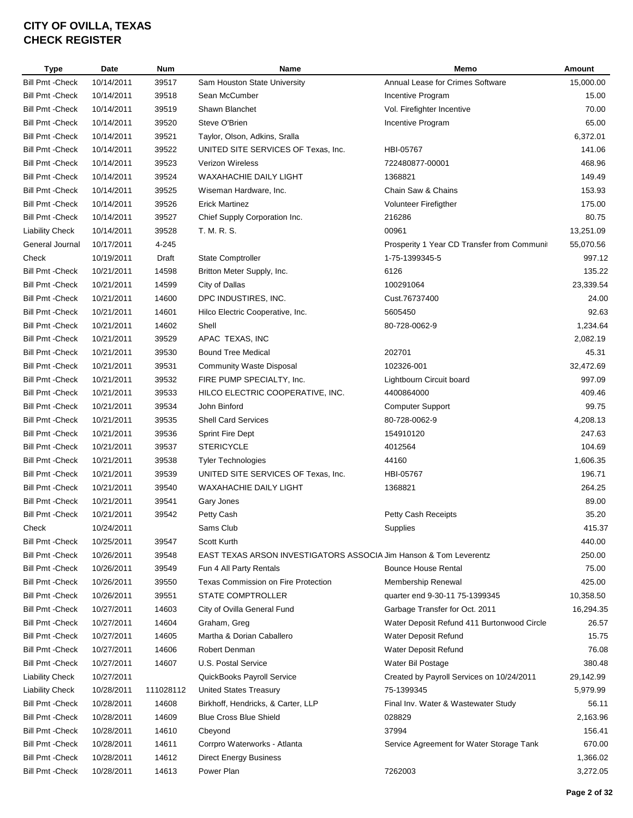| <b>Type</b>                                 | <b>Date</b> | <b>Num</b>     | Name                                                              | Memo                                        | Amount    |
|---------------------------------------------|-------------|----------------|-------------------------------------------------------------------|---------------------------------------------|-----------|
| <b>Bill Pmt - Check</b>                     | 10/14/2011  | 39517          | Sam Houston State University                                      | Annual Lease for Crimes Software            | 15,000.00 |
| <b>Bill Pmt - Check</b>                     | 10/14/2011  | 39518          | Sean McCumber                                                     | Incentive Program                           | 15.00     |
| Bill Pmt - Check                            | 10/14/2011  | 39519          | Shawn Blanchet                                                    | Vol. Firefighter Incentive                  | 70.00     |
| <b>Bill Pmt - Check</b>                     | 10/14/2011  | 39520          | Steve O'Brien                                                     | Incentive Program                           | 65.00     |
| Bill Pmt -Check                             | 10/14/2011  | 39521          | Taylor, Olson, Adkins, Sralla                                     |                                             | 6,372.01  |
| Bill Pmt -Check                             | 10/14/2011  | 39522          | UNITED SITE SERVICES OF Texas, Inc.                               | HBI-05767                                   | 141.06    |
| <b>Bill Pmt - Check</b>                     | 10/14/2011  | 39523          | <b>Verizon Wireless</b>                                           | 722480877-00001                             | 468.96    |
| Bill Pmt -Check                             | 10/14/2011  | 39524          | <b>WAXAHACHIE DAILY LIGHT</b>                                     | 1368821                                     | 149.49    |
| Bill Pmt - Check                            | 10/14/2011  | 39525          | Wiseman Hardware, Inc.                                            | Chain Saw & Chains                          | 153.93    |
| <b>Bill Pmt - Check</b>                     | 10/14/2011  | 39526          | <b>Erick Martinez</b>                                             | Volunteer Firefigther                       | 175.00    |
| <b>Bill Pmt - Check</b>                     | 10/14/2011  | 39527          | Chief Supply Corporation Inc.                                     | 216286                                      | 80.75     |
| <b>Liability Check</b>                      | 10/14/2011  | 39528          | T. M. R. S.                                                       | 00961                                       | 13,251.09 |
| General Journal                             | 10/17/2011  | 4-245          |                                                                   | Prosperity 1 Year CD Transfer from Communit | 55,070.56 |
| Check                                       | 10/19/2011  | Draft          | State Comptroller                                                 | 1-75-1399345-5                              | 997.12    |
| <b>Bill Pmt - Check</b>                     | 10/21/2011  | 14598          | Britton Meter Supply, Inc.                                        | 6126                                        | 135.22    |
| Bill Pmt -Check                             | 10/21/2011  | 14599          | City of Dallas                                                    | 100291064                                   | 23,339.54 |
| Bill Pmt -Check                             | 10/21/2011  | 14600          | DPC INDUSTIRES, INC.                                              | Cust.76737400                               | 24.00     |
| <b>Bill Pmt - Check</b>                     | 10/21/2011  | 14601          | Hilco Electric Cooperative, Inc.                                  | 5605450                                     | 92.63     |
| Bill Pmt - Check                            | 10/21/2011  | 14602          | Shell                                                             | 80-728-0062-9                               | 1,234.64  |
|                                             |             |                |                                                                   |                                             | 2,082.19  |
| Bill Pmt - Check<br><b>Bill Pmt - Check</b> | 10/21/2011  | 39529<br>39530 | APAC TEXAS, INC<br><b>Bound Tree Medical</b>                      | 202701                                      | 45.31     |
|                                             | 10/21/2011  |                |                                                                   |                                             |           |
| <b>Bill Pmt - Check</b>                     | 10/21/2011  | 39531          | <b>Community Waste Disposal</b>                                   | 102326-001                                  | 32,472.69 |
| <b>Bill Pmt - Check</b>                     | 10/21/2011  | 39532          | FIRE PUMP SPECIALTY, Inc.                                         | Lightbourn Circuit board                    | 997.09    |
| <b>Bill Pmt - Check</b>                     | 10/21/2011  | 39533          | HILCO ELECTRIC COOPERATIVE, INC.                                  | 4400864000                                  | 409.46    |
| <b>Bill Pmt - Check</b>                     | 10/21/2011  | 39534          | John Binford                                                      | Computer Support                            | 99.75     |
| <b>Bill Pmt - Check</b>                     | 10/21/2011  | 39535          | <b>Shell Card Services</b>                                        | 80-728-0062-9                               | 4,208.13  |
| <b>Bill Pmt - Check</b>                     | 10/21/2011  | 39536          | Sprint Fire Dept                                                  | 154910120                                   | 247.63    |
| <b>Bill Pmt - Check</b>                     | 10/21/2011  | 39537          | <b>STERICYCLE</b>                                                 | 4012564                                     | 104.69    |
| <b>Bill Pmt - Check</b>                     | 10/21/2011  | 39538          | <b>Tyler Technologies</b>                                         | 44160                                       | 1,606.35  |
| <b>Bill Pmt - Check</b>                     | 10/21/2011  | 39539          | UNITED SITE SERVICES OF Texas, Inc.                               | HBI-05767                                   | 196.71    |
| Bill Pmt - Check                            | 10/21/2011  | 39540          | WAXAHACHIE DAILY LIGHT                                            | 1368821                                     | 264.25    |
| <b>Bill Pmt - Check</b>                     | 10/21/2011  | 39541          | Gary Jones                                                        |                                             | 89.00     |
| <b>Bill Pmt - Check</b>                     | 10/21/2011  | 39542          | Petty Cash                                                        | <b>Petty Cash Receipts</b>                  | 35.20     |
| Check                                       | 10/24/2011  |                | Sams Club                                                         | Supplies                                    | 415.37    |
| Bill Pmt - Check                            | 10/25/2011  | 39547          | Scott Kurth                                                       |                                             | 440.00    |
| <b>Bill Pmt - Check</b>                     | 10/26/2011  | 39548          | EAST TEXAS ARSON INVESTIGATORS ASSOCIA Jim Hanson & Tom Leverentz |                                             | 250.00    |
| <b>Bill Pmt - Check</b>                     | 10/26/2011  | 39549          | Fun 4 All Party Rentals                                           | <b>Bounce House Rental</b>                  | 75.00     |
| Bill Pmt - Check                            | 10/26/2011  | 39550          | <b>Texas Commission on Fire Protection</b>                        | Membership Renewal                          | 425.00    |
| Bill Pmt - Check                            | 10/26/2011  | 39551          | STATE COMPTROLLER                                                 | quarter end 9-30-11 75-1399345              | 10,358.50 |
| Bill Pmt -Check                             | 10/27/2011  | 14603          | City of Ovilla General Fund                                       | Garbage Transfer for Oct. 2011              | 16,294.35 |
| Bill Pmt -Check                             | 10/27/2011  | 14604          | Graham, Greg                                                      | Water Deposit Refund 411 Burtonwood Circle  | 26.57     |
| Bill Pmt -Check                             | 10/27/2011  | 14605          | Martha & Dorian Caballero                                         | Water Deposit Refund                        | 15.75     |
| <b>Bill Pmt - Check</b>                     | 10/27/2011  | 14606          | Robert Denman                                                     | Water Deposit Refund                        | 76.08     |
| <b>Bill Pmt - Check</b>                     | 10/27/2011  | 14607          | U.S. Postal Service                                               | Water Bil Postage                           | 380.48    |
| <b>Liability Check</b>                      | 10/27/2011  |                | QuickBooks Payroll Service                                        | Created by Payroll Services on 10/24/2011   | 29,142.99 |
| <b>Liability Check</b>                      | 10/28/2011  | 111028112      | <b>United States Treasury</b>                                     | 75-1399345                                  | 5,979.99  |
| <b>Bill Pmt - Check</b>                     | 10/28/2011  | 14608          | Birkhoff, Hendricks, & Carter, LLP                                | Final Inv. Water & Wastewater Study         | 56.11     |
| <b>Bill Pmt - Check</b>                     | 10/28/2011  | 14609          | <b>Blue Cross Blue Shield</b>                                     | 028829                                      | 2,163.96  |
| <b>Bill Pmt - Check</b>                     | 10/28/2011  | 14610          | Cbeyond                                                           | 37994                                       | 156.41    |
| Bill Pmt -Check                             | 10/28/2011  | 14611          | Corrpro Waterworks - Atlanta                                      | Service Agreement for Water Storage Tank    | 670.00    |
| <b>Bill Pmt - Check</b>                     | 10/28/2011  | 14612          | <b>Direct Energy Business</b>                                     |                                             | 1,366.02  |
| <b>Bill Pmt - Check</b>                     | 10/28/2011  | 14613          | Power Plan                                                        | 7262003                                     | 3,272.05  |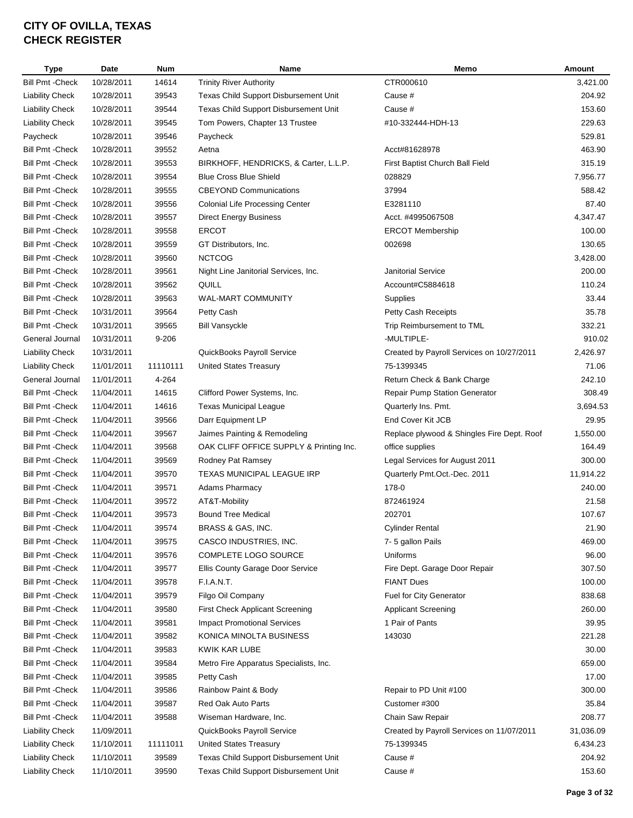| <b>Type</b>             | <b>Date</b> | <b>Num</b> | Name                                    | Memo                                       | Amount    |
|-------------------------|-------------|------------|-----------------------------------------|--------------------------------------------|-----------|
| <b>Bill Pmt - Check</b> | 10/28/2011  | 14614      | <b>Trinity River Authority</b>          | CTR000610                                  | 3,421.00  |
| <b>Liability Check</b>  | 10/28/2011  | 39543      | Texas Child Support Disbursement Unit   | Cause #                                    | 204.92    |
| <b>Liability Check</b>  | 10/28/2011  | 39544      | Texas Child Support Disbursement Unit   | Cause #                                    | 153.60    |
| <b>Liability Check</b>  | 10/28/2011  | 39545      | Tom Powers, Chapter 13 Trustee          | #10-332444-HDH-13                          | 229.63    |
| Paycheck                | 10/28/2011  | 39546      | Paycheck                                |                                            | 529.81    |
| Bill Pmt -Check         | 10/28/2011  | 39552      | Aetna                                   | Acct#81628978                              | 463.90    |
| <b>Bill Pmt - Check</b> | 10/28/2011  | 39553      | BIRKHOFF, HENDRICKS, & Carter, L.L.P.   | First Baptist Church Ball Field            | 315.19    |
| <b>Bill Pmt - Check</b> | 10/28/2011  | 39554      | <b>Blue Cross Blue Shield</b>           | 028829                                     | 7,956.77  |
| Bill Pmt - Check        | 10/28/2011  | 39555      | <b>CBEYOND Communications</b>           | 37994                                      | 588.42    |
| <b>Bill Pmt - Check</b> | 10/28/2011  | 39556      | <b>Colonial Life Processing Center</b>  | E3281110                                   | 87.40     |
| <b>Bill Pmt - Check</b> | 10/28/2011  | 39557      | <b>Direct Energy Business</b>           | Acct. #4995067508                          | 4,347.47  |
| <b>Bill Pmt - Check</b> | 10/28/2011  | 39558      | <b>ERCOT</b>                            | <b>ERCOT Membership</b>                    | 100.00    |
| <b>Bill Pmt - Check</b> | 10/28/2011  | 39559      | GT Distributors, Inc.                   | 002698                                     | 130.65    |
| <b>Bill Pmt - Check</b> | 10/28/2011  | 39560      | <b>NCTCOG</b>                           |                                            | 3,428.00  |
| <b>Bill Pmt - Check</b> | 10/28/2011  | 39561      | Night Line Janitorial Services, Inc.    | <b>Janitorial Service</b>                  | 200.00    |
| <b>Bill Pmt - Check</b> | 10/28/2011  | 39562      | QUILL                                   | Account#C5884618                           | 110.24    |
| <b>Bill Pmt - Check</b> | 10/28/2011  | 39563      | <b>WAL-MART COMMUNITY</b>               | Supplies                                   | 33.44     |
| <b>Bill Pmt - Check</b> | 10/31/2011  | 39564      | Petty Cash                              | Petty Cash Receipts                        | 35.78     |
| <b>Bill Pmt - Check</b> | 10/31/2011  | 39565      | <b>Bill Vansyckle</b>                   | Trip Reimbursement to TML                  | 332.21    |
| General Journal         | 10/31/2011  | $9 - 206$  |                                         | -MULTIPLE-                                 | 910.02    |
| <b>Liability Check</b>  | 10/31/2011  |            | QuickBooks Payroll Service              | Created by Payroll Services on 10/27/2011  | 2,426.97  |
| <b>Liability Check</b>  | 11/01/2011  | 11110111   | <b>United States Treasury</b>           | 75-1399345                                 | 71.06     |
| General Journal         | 11/01/2011  | 4-264      |                                         | Return Check & Bank Charge                 | 242.10    |
| <b>Bill Pmt - Check</b> | 11/04/2011  | 14615      | Clifford Power Systems, Inc.            | Repair Pump Station Generator              | 308.49    |
| Bill Pmt - Check        | 11/04/2011  | 14616      | <b>Texas Municipal League</b>           | Quarterly Ins. Pmt.                        | 3,694.53  |
| Bill Pmt -Check         | 11/04/2011  | 39566      | Darr Equipment LP                       | End Cover Kit JCB                          | 29.95     |
| <b>Bill Pmt - Check</b> | 11/04/2011  | 39567      | Jaimes Painting & Remodeling            | Replace plywood & Shingles Fire Dept. Roof | 1,550.00  |
| <b>Bill Pmt - Check</b> | 11/04/2011  | 39568      | OAK CLIFF OFFICE SUPPLY & Printing Inc. | office supplies                            | 164.49    |
| <b>Bill Pmt - Check</b> | 11/04/2011  | 39569      | Rodney Pat Ramsey                       | Legal Services for August 2011             | 300.00    |
| Bill Pmt - Check        | 11/04/2011  | 39570      | TEXAS MUNICIPAL LEAGUE IRP              | Quarterly Pmt.Oct.-Dec. 2011               | 11,914.22 |
|                         |             |            |                                         |                                            |           |
| Bill Pmt - Check        | 11/04/2011  | 39571      | <b>Adams Pharmacy</b>                   | 178-0                                      | 240.00    |
| <b>Bill Pmt - Check</b> | 11/04/2011  | 39572      | AT&T-Mobility                           | 872461924                                  | 21.58     |
| <b>Bill Pmt - Check</b> | 11/04/2011  | 39573      | <b>Bound Tree Medical</b>               | 202701                                     | 107.67    |
| <b>Bill Pmt - Check</b> | 11/04/2011  | 39574      | BRASS & GAS, INC.                       | <b>Cylinder Rental</b>                     | 21.90     |
| <b>Bill Pmt - Check</b> | 11/04/2011  | 39575      | CASCO INDUSTRIES, INC.                  | 7-5 gallon Pails                           | 469.00    |
| <b>Bill Pmt - Check</b> | 11/04/2011  | 39576      | COMPLETE LOGO SOURCE                    | Uniforms                                   | 96.00     |
| Bill Pmt -Check         | 11/04/2011  | 39577      | Ellis County Garage Door Service        | Fire Dept. Garage Door Repair              | 307.50    |
| <b>Bill Pmt - Check</b> | 11/04/2011  | 39578      | F.I.A.N.T.                              | <b>FIANT Dues</b>                          | 100.00    |
| Bill Pmt - Check        | 11/04/2011  | 39579      | Filgo Oil Company                       | Fuel for City Generator                    | 838.68    |
| <b>Bill Pmt - Check</b> | 11/04/2011  | 39580      | First Check Applicant Screening         | <b>Applicant Screening</b>                 | 260.00    |
| <b>Bill Pmt - Check</b> | 11/04/2011  | 39581      | <b>Impact Promotional Services</b>      | 1 Pair of Pants                            | 39.95     |
| <b>Bill Pmt - Check</b> | 11/04/2011  | 39582      | KONICA MINOLTA BUSINESS                 | 143030                                     | 221.28    |
| Bill Pmt - Check        | 11/04/2011  | 39583      | KWIK KAR LUBE                           |                                            | 30.00     |
| Bill Pmt - Check        | 11/04/2011  | 39584      | Metro Fire Apparatus Specialists, Inc.  |                                            | 659.00    |
| Bill Pmt -Check         | 11/04/2011  | 39585      | Petty Cash                              |                                            | 17.00     |
| Bill Pmt -Check         | 11/04/2011  | 39586      | Rainbow Paint & Body                    | Repair to PD Unit #100                     | 300.00    |
| <b>Bill Pmt - Check</b> | 11/04/2011  | 39587      | Red Oak Auto Parts                      | Customer #300                              | 35.84     |
| Bill Pmt -Check         | 11/04/2011  | 39588      | Wiseman Hardware, Inc.                  | Chain Saw Repair                           | 208.77    |
| <b>Liability Check</b>  | 11/09/2011  |            | QuickBooks Payroll Service              | Created by Payroll Services on 11/07/2011  | 31,036.09 |
| <b>Liability Check</b>  | 11/10/2011  | 11111011   | <b>United States Treasury</b>           | 75-1399345                                 | 6,434.23  |
| <b>Liability Check</b>  | 11/10/2011  | 39589      | Texas Child Support Disbursement Unit   | Cause #                                    | 204.92    |
| <b>Liability Check</b>  | 11/10/2011  | 39590      | Texas Child Support Disbursement Unit   | Cause #                                    | 153.60    |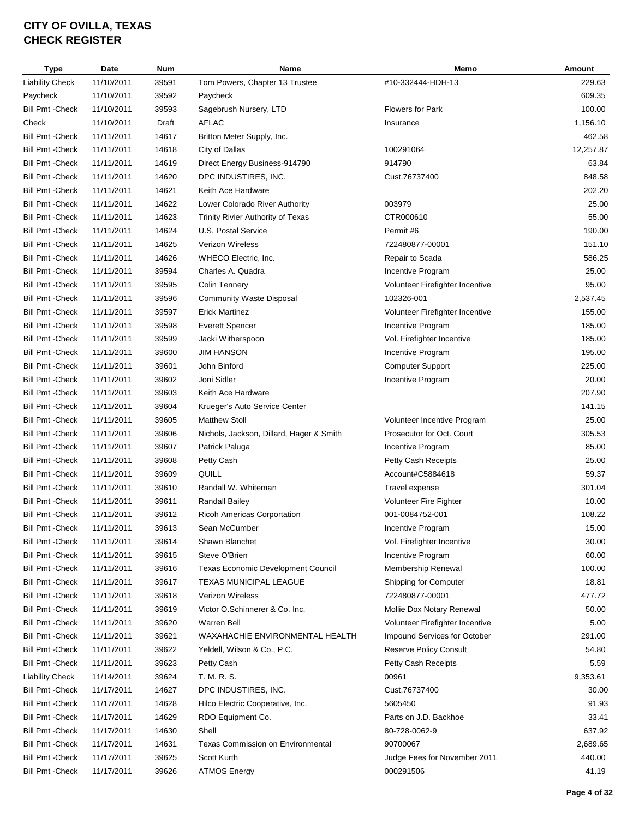| <b>Type</b>             | Date       | <b>Num</b> | Name                                     | Memo                            | Amount    |
|-------------------------|------------|------------|------------------------------------------|---------------------------------|-----------|
| <b>Liability Check</b>  | 11/10/2011 | 39591      | Tom Powers, Chapter 13 Trustee           | #10-332444-HDH-13               | 229.63    |
| Paycheck                | 11/10/2011 | 39592      | Paycheck                                 |                                 | 609.35    |
| <b>Bill Pmt - Check</b> | 11/10/2011 | 39593      | Sagebrush Nursery, LTD                   | <b>Flowers for Park</b>         | 100.00    |
| Check                   | 11/10/2011 | Draft      | <b>AFLAC</b>                             | Insurance                       | 1,156.10  |
| <b>Bill Pmt - Check</b> | 11/11/2011 | 14617      | Britton Meter Supply, Inc.               |                                 | 462.58    |
| Bill Pmt -Check         | 11/11/2011 | 14618      | City of Dallas                           | 100291064                       | 12,257.87 |
| <b>Bill Pmt - Check</b> | 11/11/2011 | 14619      | Direct Energy Business-914790            | 914790                          | 63.84     |
| Bill Pmt -Check         | 11/11/2011 | 14620      | DPC INDUSTIRES, INC.                     | Cust.76737400                   | 848.58    |
| Bill Pmt - Check        | 11/11/2011 | 14621      | Keith Ace Hardware                       |                                 | 202.20    |
| <b>Bill Pmt - Check</b> | 11/11/2011 | 14622      | Lower Colorado River Authority           | 003979                          | 25.00     |
| <b>Bill Pmt - Check</b> | 11/11/2011 | 14623      | Trinity Rivier Authority of Texas        | CTR000610                       | 55.00     |
| Bill Pmt - Check        | 11/11/2011 | 14624      | U.S. Postal Service                      | Permit #6                       | 190.00    |
| <b>Bill Pmt - Check</b> | 11/11/2011 | 14625      | <b>Verizon Wireless</b>                  | 722480877-00001                 | 151.10    |
| <b>Bill Pmt - Check</b> | 11/11/2011 | 14626      | WHECO Electric, Inc.                     | Repair to Scada                 | 586.25    |
| Bill Pmt - Check        | 11/11/2011 | 39594      | Charles A. Quadra                        | Incentive Program               | 25.00     |
| <b>Bill Pmt - Check</b> | 11/11/2011 | 39595      | Colin Tennery                            | Volunteer Firefighter Incentive | 95.00     |
| <b>Bill Pmt - Check</b> | 11/11/2011 | 39596      | <b>Community Waste Disposal</b>          | 102326-001                      | 2,537.45  |
| <b>Bill Pmt - Check</b> | 11/11/2011 | 39597      | <b>Erick Martinez</b>                    | Volunteer Firefighter Incentive | 155.00    |
| <b>Bill Pmt - Check</b> | 11/11/2011 | 39598      | <b>Everett Spencer</b>                   | Incentive Program               | 185.00    |
| <b>Bill Pmt - Check</b> | 11/11/2011 | 39599      | Jacki Witherspoon                        | Vol. Firefighter Incentive      | 185.00    |
| <b>Bill Pmt - Check</b> | 11/11/2011 | 39600      | <b>JIM HANSON</b>                        | Incentive Program               | 195.00    |
| <b>Bill Pmt - Check</b> | 11/11/2011 | 39601      | John Binford                             | <b>Computer Support</b>         | 225.00    |
| Bill Pmt - Check        | 11/11/2011 | 39602      | Joni Sidler                              | Incentive Program               | 20.00     |
| Bill Pmt - Check        | 11/11/2011 | 39603      | Keith Ace Hardware                       |                                 | 207.90    |
| Bill Pmt - Check        | 11/11/2011 | 39604      | Krueger's Auto Service Center            |                                 | 141.15    |
| Bill Pmt - Check        | 11/11/2011 | 39605      | <b>Matthew Stoll</b>                     | Volunteer Incentive Program     | 25.00     |
| Bill Pmt - Check        | 11/11/2011 | 39606      | Nichols, Jackson, Dillard, Hager & Smith | Prosecutor for Oct. Court       | 305.53    |
| Bill Pmt -Check         | 11/11/2011 | 39607      | Patrick Paluga                           | Incentive Program               | 85.00     |
| <b>Bill Pmt - Check</b> | 11/11/2011 | 39608      | Petty Cash                               | Petty Cash Receipts             | 25.00     |
| Bill Pmt -Check         | 11/11/2011 | 39609      | QUILL                                    | Account#C5884618                | 59.37     |
| <b>Bill Pmt - Check</b> | 11/11/2011 | 39610      | Randall W. Whiteman                      | Travel expense                  | 301.04    |
| Bill Pmt - Check        | 11/11/2011 | 39611      | Randall Bailey                           | Volunteer Fire Fighter          | 10.00     |
| <b>Bill Pmt - Check</b> | 11/11/2011 | 39612      | <b>Ricoh Americas Corportation</b>       | 001-0084752-001                 | 108.22    |
|                         |            |            |                                          | Incentive Program               |           |
| <b>Bill Pmt - Check</b> | 11/11/2011 | 39613      | Sean McCumber                            |                                 | 15.00     |
| <b>Bill Pmt - Check</b> | 11/11/2011 | 39614      | Shawn Blanchet                           | Vol. Firefighter Incentive      | 30.00     |
| <b>Bill Pmt - Check</b> | 11/11/2011 | 39615      | Steve O'Brien                            | Incentive Program               | 60.00     |
| <b>Bill Pmt - Check</b> | 11/11/2011 | 39616      | Texas Economic Development Council       | Membership Renewal              | 100.00    |
| <b>Bill Pmt - Check</b> | 11/11/2011 | 39617      | <b>TEXAS MUNICIPAL LEAGUE</b>            | Shipping for Computer           | 18.81     |
| Bill Pmt - Check        | 11/11/2011 | 39618      | <b>Verizon Wireless</b>                  | 722480877-00001                 | 477.72    |
| Bill Pmt - Check        | 11/11/2011 | 39619      | Victor O.Schinnerer & Co. Inc.           | Mollie Dox Notary Renewal       | 50.00     |
| <b>Bill Pmt - Check</b> | 11/11/2011 | 39620      | <b>Warren Bell</b>                       | Volunteer Firefighter Incentive | 5.00      |
| Bill Pmt - Check        | 11/11/2011 | 39621      | WAXAHACHIE ENVIRONMENTAL HEALTH          | Impound Services for October    | 291.00    |
| Bill Pmt - Check        | 11/11/2011 | 39622      | Yeldell, Wilson & Co., P.C.              | Reserve Policy Consult          | 54.80     |
| Bill Pmt - Check        | 11/11/2011 | 39623      | Petty Cash                               | Petty Cash Receipts             | 5.59      |
| <b>Liability Check</b>  | 11/14/2011 | 39624      | T. M. R. S.                              | 00961                           | 9,353.61  |
| <b>Bill Pmt - Check</b> | 11/17/2011 | 14627      | DPC INDUSTIRES, INC.                     | Cust.76737400                   | 30.00     |
| <b>Bill Pmt - Check</b> | 11/17/2011 | 14628      | Hilco Electric Cooperative, Inc.         | 5605450                         | 91.93     |
| Bill Pmt -Check         | 11/17/2011 | 14629      | RDO Equipment Co.                        | Parts on J.D. Backhoe           | 33.41     |
| Bill Pmt - Check        | 11/17/2011 | 14630      | Shell                                    | 80-728-0062-9                   | 637.92    |
| Bill Pmt -Check         | 11/17/2011 | 14631      | <b>Texas Commission on Environmental</b> | 90700067                        | 2,689.65  |
| <b>Bill Pmt - Check</b> | 11/17/2011 | 39625      | Scott Kurth                              | Judge Fees for November 2011    | 440.00    |
| <b>Bill Pmt - Check</b> | 11/17/2011 | 39626      | <b>ATMOS Energy</b>                      | 000291506                       | 41.19     |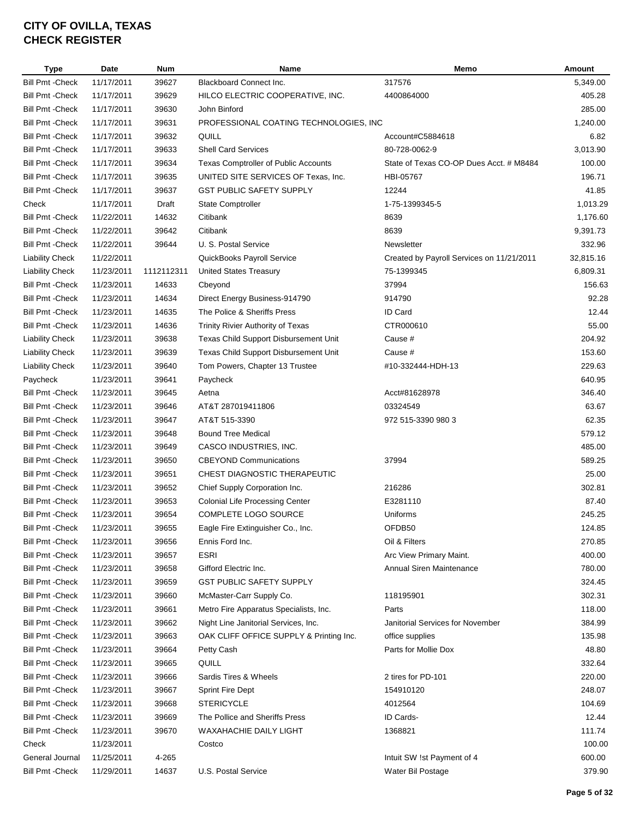| <b>Type</b>             | Date       | <b>Num</b> | Name                                    | Memo                                      | Amount    |
|-------------------------|------------|------------|-----------------------------------------|-------------------------------------------|-----------|
| <b>Bill Pmt - Check</b> | 11/17/2011 | 39627      | <b>Blackboard Connect Inc.</b>          | 317576                                    | 5,349.00  |
| <b>Bill Pmt - Check</b> | 11/17/2011 | 39629      | HILCO ELECTRIC COOPERATIVE, INC.        | 4400864000                                | 405.28    |
| <b>Bill Pmt - Check</b> | 11/17/2011 | 39630      | John Binford                            |                                           | 285.00    |
| <b>Bill Pmt - Check</b> | 11/17/2011 | 39631      | PROFESSIONAL COATING TECHNOLOGIES, INC  |                                           | 1,240.00  |
| <b>Bill Pmt - Check</b> | 11/17/2011 | 39632      | QUILL                                   | Account#C5884618                          | 6.82      |
| <b>Bill Pmt - Check</b> | 11/17/2011 | 39633      | <b>Shell Card Services</b>              | 80-728-0062-9                             | 3,013.90  |
| <b>Bill Pmt - Check</b> | 11/17/2011 | 39634      | Texas Comptroller of Public Accounts    | State of Texas CO-OP Dues Acct. # M8484   | 100.00    |
| <b>Bill Pmt - Check</b> | 11/17/2011 | 39635      | UNITED SITE SERVICES OF Texas, Inc.     | HBI-05767                                 | 196.71    |
| <b>Bill Pmt - Check</b> | 11/17/2011 | 39637      | <b>GST PUBLIC SAFETY SUPPLY</b>         | 12244                                     | 41.85     |
| Check                   | 11/17/2011 | Draft      | <b>State Comptroller</b>                | 1-75-1399345-5                            | 1,013.29  |
| <b>Bill Pmt - Check</b> | 11/22/2011 | 14632      | Citibank                                | 8639                                      | 1,176.60  |
| <b>Bill Pmt - Check</b> | 11/22/2011 | 39642      | Citibank                                | 8639                                      | 9,391.73  |
| <b>Bill Pmt - Check</b> | 11/22/2011 | 39644      | U. S. Postal Service                    | Newsletter                                | 332.96    |
| <b>Liability Check</b>  | 11/22/2011 |            | QuickBooks Payroll Service              | Created by Payroll Services on 11/21/2011 | 32,815.16 |
| <b>Liability Check</b>  | 11/23/2011 | 1112112311 | <b>United States Treasury</b>           | 75-1399345                                | 6,809.31  |
| <b>Bill Pmt - Check</b> | 11/23/2011 | 14633      | Cbeyond                                 | 37994                                     | 156.63    |
| <b>Bill Pmt - Check</b> | 11/23/2011 | 14634      | Direct Energy Business-914790           | 914790                                    | 92.28     |
| <b>Bill Pmt - Check</b> | 11/23/2011 | 14635      | The Police & Sheriffs Press             | ID Card                                   | 12.44     |
| <b>Bill Pmt - Check</b> | 11/23/2011 | 14636      | Trinity Rivier Authority of Texas       | CTR000610                                 | 55.00     |
| <b>Liability Check</b>  | 11/23/2011 | 39638      | Texas Child Support Disbursement Unit   | Cause #                                   | 204.92    |
| <b>Liability Check</b>  | 11/23/2011 | 39639      | Texas Child Support Disbursement Unit   | Cause #                                   | 153.60    |
| <b>Liability Check</b>  | 11/23/2011 | 39640      | Tom Powers, Chapter 13 Trustee          | #10-332444-HDH-13                         | 229.63    |
| Paycheck                | 11/23/2011 | 39641      | Paycheck                                |                                           | 640.95    |
| <b>Bill Pmt - Check</b> | 11/23/2011 | 39645      | Aetna                                   | Acct#81628978                             | 346.40    |
| <b>Bill Pmt - Check</b> | 11/23/2011 | 39646      | AT&T 287019411806                       | 03324549                                  | 63.67     |
| <b>Bill Pmt - Check</b> | 11/23/2011 | 39647      | AT&T 515-3390                           | 972 515-3390 980 3                        | 62.35     |
| <b>Bill Pmt - Check</b> | 11/23/2011 | 39648      | <b>Bound Tree Medical</b>               |                                           | 579.12    |
| <b>Bill Pmt - Check</b> | 11/23/2011 | 39649      | CASCO INDUSTRIES, INC.                  |                                           | 485.00    |
| <b>Bill Pmt - Check</b> | 11/23/2011 | 39650      | <b>CBEYOND Communications</b>           | 37994                                     | 589.25    |
| <b>Bill Pmt - Check</b> | 11/23/2011 | 39651      | CHEST DIAGNOSTIC THERAPEUTIC            |                                           | 25.00     |
| <b>Bill Pmt - Check</b> | 11/23/2011 | 39652      | Chief Supply Corporation Inc.           | 216286                                    | 302.81    |
| <b>Bill Pmt - Check</b> | 11/23/2011 | 39653      | <b>Colonial Life Processing Center</b>  | E3281110                                  | 87.40     |
| <b>Bill Pmt - Check</b> | 11/23/2011 | 39654      | COMPLETE LOGO SOURCE                    | Uniforms                                  | 245.25    |
| <b>Bill Pmt -Check</b>  | 11/23/2011 | 39655      | Eagle Fire Extinguisher Co., Inc.       | OFDB50                                    | 124.85    |
| <b>Bill Pmt - Check</b> | 11/23/2011 | 39656      | Ennis Ford Inc.                         | Oil & Filters                             | 270.85    |
| <b>Bill Pmt - Check</b> | 11/23/2011 | 39657      | <b>ESRI</b>                             | Arc View Primary Maint.                   | 400.00    |
| <b>Bill Pmt - Check</b> | 11/23/2011 | 39658      | Gifford Electric Inc.                   | Annual Siren Maintenance                  | 780.00    |
| <b>Bill Pmt - Check</b> | 11/23/2011 | 39659      | <b>GST PUBLIC SAFETY SUPPLY</b>         |                                           | 324.45    |
|                         |            |            | McMaster-Carr Supply Co.                |                                           |           |
| <b>Bill Pmt - Check</b> | 11/23/2011 | 39660      |                                         | 118195901                                 | 302.31    |
| <b>Bill Pmt - Check</b> | 11/23/2011 | 39661      | Metro Fire Apparatus Specialists, Inc.  | Parts                                     | 118.00    |
| <b>Bill Pmt - Check</b> | 11/23/2011 | 39662      | Night Line Janitorial Services, Inc.    | Janitorial Services for November          | 384.99    |
| <b>Bill Pmt - Check</b> | 11/23/2011 | 39663      | OAK CLIFF OFFICE SUPPLY & Printing Inc. | office supplies                           | 135.98    |
| <b>Bill Pmt - Check</b> | 11/23/2011 | 39664      | Petty Cash                              | Parts for Mollie Dox                      | 48.80     |
| <b>Bill Pmt - Check</b> | 11/23/2011 | 39665      | QUILL                                   |                                           | 332.64    |
| <b>Bill Pmt - Check</b> | 11/23/2011 | 39666      | Sardis Tires & Wheels                   | 2 tires for PD-101                        | 220.00    |
| <b>Bill Pmt - Check</b> | 11/23/2011 | 39667      | <b>Sprint Fire Dept</b>                 | 154910120                                 | 248.07    |
| <b>Bill Pmt - Check</b> | 11/23/2011 | 39668      | <b>STERICYCLE</b>                       | 4012564                                   | 104.69    |
| <b>Bill Pmt - Check</b> | 11/23/2011 | 39669      | The Pollice and Sheriffs Press          | ID Cards-                                 | 12.44     |
| <b>Bill Pmt - Check</b> | 11/23/2011 | 39670      | WAXAHACHIE DAILY LIGHT                  | 1368821                                   | 111.74    |
| Check                   | 11/23/2011 |            | Costco                                  |                                           | 100.00    |
| General Journal         | 11/25/2011 | 4-265      |                                         | Intuit SW !st Payment of 4                | 600.00    |
| <b>Bill Pmt - Check</b> | 11/29/2011 | 14637      | U.S. Postal Service                     | Water Bil Postage                         | 379.90    |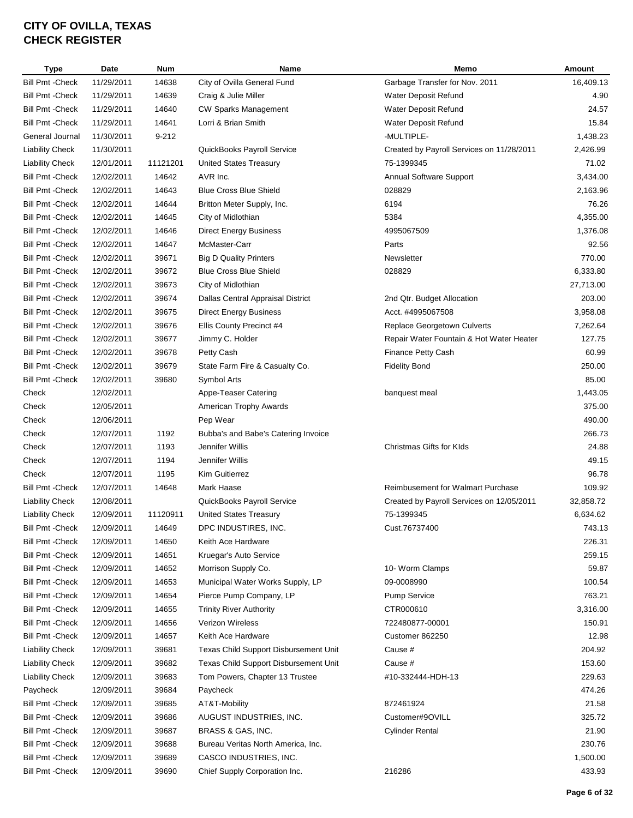| <b>Type</b>             | <b>Date</b> | <b>Num</b> | Name                                  | Memo                                      | <b>Amount</b> |
|-------------------------|-------------|------------|---------------------------------------|-------------------------------------------|---------------|
| <b>Bill Pmt - Check</b> | 11/29/2011  | 14638      | City of Ovilla General Fund           | Garbage Transfer for Nov. 2011            | 16,409.13     |
| <b>Bill Pmt - Check</b> | 11/29/2011  | 14639      | Craig & Julie Miller                  | Water Deposit Refund                      | 4.90          |
| <b>Bill Pmt - Check</b> | 11/29/2011  | 14640      | <b>CW Sparks Management</b>           | Water Deposit Refund                      | 24.57         |
| <b>Bill Pmt - Check</b> | 11/29/2011  | 14641      | Lorri & Brian Smith                   | Water Deposit Refund                      | 15.84         |
| General Journal         | 11/30/2011  | $9 - 212$  |                                       | -MULTIPLE-                                | 1,438.23      |
| <b>Liability Check</b>  | 11/30/2011  |            | QuickBooks Payroll Service            | Created by Payroll Services on 11/28/2011 | 2,426.99      |
| <b>Liability Check</b>  | 12/01/2011  | 11121201   | <b>United States Treasury</b>         | 75-1399345                                | 71.02         |
| <b>Bill Pmt - Check</b> | 12/02/2011  | 14642      | AVR Inc.                              | Annual Software Support                   | 3,434.00      |
| <b>Bill Pmt - Check</b> | 12/02/2011  | 14643      | <b>Blue Cross Blue Shield</b>         | 028829                                    | 2,163.96      |
| <b>Bill Pmt - Check</b> | 12/02/2011  | 14644      | Britton Meter Supply, Inc.            | 6194                                      | 76.26         |
| <b>Bill Pmt - Check</b> | 12/02/2011  | 14645      | City of Midlothian                    | 5384                                      | 4,355.00      |
| <b>Bill Pmt - Check</b> | 12/02/2011  | 14646      | Direct Energy Business                | 4995067509                                | 1,376.08      |
| <b>Bill Pmt - Check</b> | 12/02/2011  | 14647      | McMaster-Carr                         | Parts                                     | 92.56         |
| <b>Bill Pmt - Check</b> | 12/02/2011  | 39671      | <b>Big D Quality Printers</b>         | Newsletter                                | 770.00        |
| <b>Bill Pmt - Check</b> | 12/02/2011  | 39672      | <b>Blue Cross Blue Shield</b>         | 028829                                    | 6,333.80      |
| <b>Bill Pmt - Check</b> | 12/02/2011  | 39673      | City of Midlothian                    |                                           | 27,713.00     |
| <b>Bill Pmt - Check</b> | 12/02/2011  | 39674      | Dallas Central Appraisal District     | 2nd Qtr. Budget Allocation                | 203.00        |
| <b>Bill Pmt - Check</b> | 12/02/2011  | 39675      | <b>Direct Energy Business</b>         | Acct. #4995067508                         | 3,958.08      |
| <b>Bill Pmt - Check</b> | 12/02/2011  | 39676      | Ellis County Precinct #4              | Replace Georgetown Culverts               | 7,262.64      |
| <b>Bill Pmt - Check</b> | 12/02/2011  | 39677      | Jimmy C. Holder                       | Repair Water Fountain & Hot Water Heater  | 127.75        |
| <b>Bill Pmt - Check</b> | 12/02/2011  | 39678      | Petty Cash                            | <b>Finance Petty Cash</b>                 | 60.99         |
| <b>Bill Pmt - Check</b> | 12/02/2011  | 39679      | State Farm Fire & Casualty Co.        | <b>Fidelity Bond</b>                      | 250.00        |
| <b>Bill Pmt - Check</b> | 12/02/2011  | 39680      | Symbol Arts                           |                                           | 85.00         |
| Check                   | 12/02/2011  |            | Appe-Teaser Catering                  | banquest meal                             | 1,443.05      |
| Check                   | 12/05/2011  |            | American Trophy Awards                |                                           | 375.00        |
| Check                   | 12/06/2011  |            | Pep Wear                              |                                           | 490.00        |
| Check                   | 12/07/2011  | 1192       | Bubba's and Babe's Catering Invoice   |                                           | 266.73        |
| Check                   | 12/07/2011  | 1193       | Jennifer Willis                       | Christmas Gifts for Klds                  | 24.88         |
| Check                   | 12/07/2011  | 1194       | Jennifer Willis                       |                                           | 49.15         |
| Check                   | 12/07/2011  | 1195       | Kim Guitierrez                        |                                           | 96.78         |
| <b>Bill Pmt - Check</b> | 12/07/2011  | 14648      | Mark Haase                            | <b>Reimbusement for Walmart Purchase</b>  | 109.92        |
| <b>Liability Check</b>  | 12/08/2011  |            | QuickBooks Payroll Service            | Created by Payroll Services on 12/05/2011 | 32,858.72     |
| <b>Liability Check</b>  | 12/09/2011  | 11120911   | <b>United States Treasury</b>         | 75-1399345                                | 6,634.62      |
| <b>Bill Pmt - Check</b> |             |            | DPC INDUSTIRES, INC.                  |                                           |               |
|                         | 12/09/2011  | 14649      |                                       | Cust.76737400                             | 743.13        |
| <b>Bill Pmt - Check</b> | 12/09/2011  | 14650      | Keith Ace Hardware                    |                                           | 226.31        |
| <b>Bill Pmt - Check</b> | 12/09/2011  | 14651      | Kruegar's Auto Service                |                                           | 259.15        |
| <b>Bill Pmt - Check</b> | 12/09/2011  | 14652      | Morrison Supply Co.                   | 10- Worm Clamps                           | 59.87         |
| <b>Bill Pmt - Check</b> | 12/09/2011  | 14653      | Municipal Water Works Supply, LP      | 09-0008990                                | 100.54        |
| <b>Bill Pmt - Check</b> | 12/09/2011  | 14654      | Pierce Pump Company, LP               | <b>Pump Service</b>                       | 763.21        |
| <b>Bill Pmt - Check</b> | 12/09/2011  | 14655      | <b>Trinity River Authority</b>        | CTR000610                                 | 3,316.00      |
| <b>Bill Pmt - Check</b> | 12/09/2011  | 14656      | Verizon Wireless                      | 722480877-00001                           | 150.91        |
| <b>Bill Pmt - Check</b> | 12/09/2011  | 14657      | Keith Ace Hardware                    | Customer 862250                           | 12.98         |
| <b>Liability Check</b>  | 12/09/2011  | 39681      | Texas Child Support Disbursement Unit | Cause #                                   | 204.92        |
| <b>Liability Check</b>  | 12/09/2011  | 39682      | Texas Child Support Disbursement Unit | Cause #                                   | 153.60        |
| <b>Liability Check</b>  | 12/09/2011  | 39683      | Tom Powers, Chapter 13 Trustee        | #10-332444-HDH-13                         | 229.63        |
| Paycheck                | 12/09/2011  | 39684      | Paycheck                              |                                           | 474.26        |
| <b>Bill Pmt - Check</b> | 12/09/2011  | 39685      | AT&T-Mobility                         | 872461924                                 | 21.58         |
| <b>Bill Pmt - Check</b> | 12/09/2011  | 39686      | AUGUST INDUSTRIES, INC.               | Customer#9OVILL                           | 325.72        |
| <b>Bill Pmt - Check</b> | 12/09/2011  | 39687      | BRASS & GAS, INC.                     | <b>Cylinder Rental</b>                    | 21.90         |
| <b>Bill Pmt - Check</b> | 12/09/2011  | 39688      | Bureau Veritas North America, Inc.    |                                           | 230.76        |
| <b>Bill Pmt - Check</b> | 12/09/2011  | 39689      | CASCO INDUSTRIES, INC.                |                                           | 1,500.00      |
| <b>Bill Pmt - Check</b> | 12/09/2011  | 39690      | Chief Supply Corporation Inc.         | 216286                                    | 433.93        |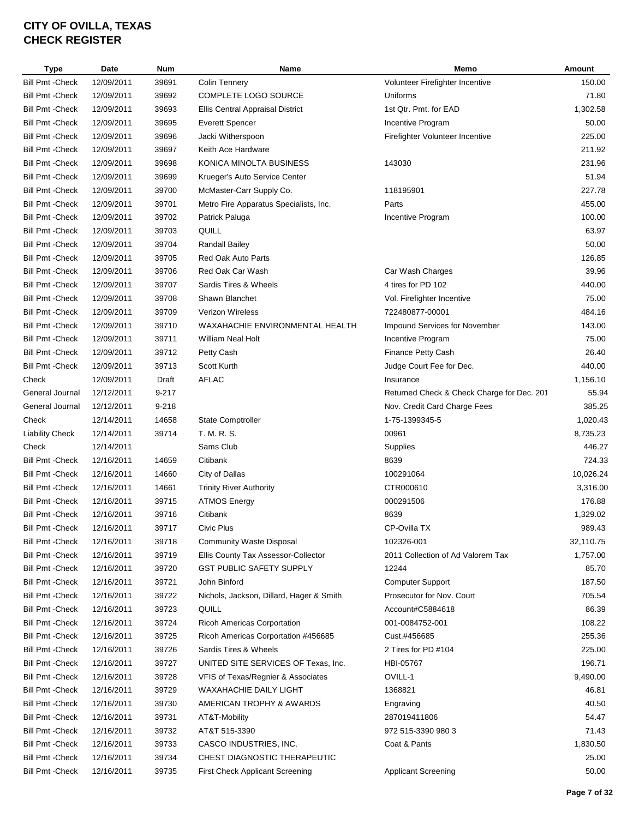| <b>Type</b>             | Date       | <b>Num</b> | <b>Name</b>                              | Memo                                       | Amount    |
|-------------------------|------------|------------|------------------------------------------|--------------------------------------------|-----------|
| Bill Pmt - Check        | 12/09/2011 | 39691      | <b>Colin Tennery</b>                     | Volunteer Firefighter Incentive            | 150.00    |
| Bill Pmt - Check        | 12/09/2011 | 39692      | COMPLETE LOGO SOURCE                     | Uniforms                                   | 71.80     |
| <b>Bill Pmt - Check</b> | 12/09/2011 | 39693      | Ellis Central Appraisal District         | 1st Qtr. Pmt. for EAD                      | 1,302.58  |
| <b>Bill Pmt - Check</b> | 12/09/2011 | 39695      | <b>Everett Spencer</b>                   | Incentive Program                          | 50.00     |
| <b>Bill Pmt - Check</b> | 12/09/2011 | 39696      | Jacki Witherspoon                        | Firefighter Volunteer Incentive            | 225.00    |
| <b>Bill Pmt - Check</b> | 12/09/2011 | 39697      | Keith Ace Hardware                       |                                            | 211.92    |
| <b>Bill Pmt - Check</b> | 12/09/2011 | 39698      | KONICA MINOLTA BUSINESS                  | 143030                                     | 231.96    |
| <b>Bill Pmt - Check</b> | 12/09/2011 | 39699      | Krueger's Auto Service Center            |                                            | 51.94     |
| <b>Bill Pmt - Check</b> | 12/09/2011 | 39700      | McMaster-Carr Supply Co.                 | 118195901                                  | 227.78    |
| Bill Pmt - Check        | 12/09/2011 | 39701      | Metro Fire Apparatus Specialists, Inc.   | Parts                                      | 455.00    |
| <b>Bill Pmt - Check</b> | 12/09/2011 | 39702      | Patrick Paluga                           | Incentive Program                          | 100.00    |
| <b>Bill Pmt - Check</b> | 12/09/2011 | 39703      | QUILL                                    |                                            | 63.97     |
| <b>Bill Pmt - Check</b> | 12/09/2011 | 39704      | <b>Randall Bailey</b>                    |                                            | 50.00     |
| <b>Bill Pmt - Check</b> | 12/09/2011 | 39705      | Red Oak Auto Parts                       |                                            | 126.85    |
| <b>Bill Pmt - Check</b> | 12/09/2011 | 39706      | Red Oak Car Wash                         | Car Wash Charges                           | 39.96     |
| <b>Bill Pmt - Check</b> | 12/09/2011 | 39707      | Sardis Tires & Wheels                    | 4 tires for PD 102                         | 440.00    |
| <b>Bill Pmt - Check</b> | 12/09/2011 | 39708      | Shawn Blanchet                           | Vol. Firefighter Incentive                 | 75.00     |
| <b>Bill Pmt - Check</b> | 12/09/2011 | 39709      | <b>Verizon Wireless</b>                  | 722480877-00001                            | 484.16    |
| <b>Bill Pmt - Check</b> | 12/09/2011 | 39710      | WAXAHACHIE ENVIRONMENTAL HEALTH          | Impound Services for November              | 143.00    |
| <b>Bill Pmt - Check</b> | 12/09/2011 | 39711      | <b>William Neal Holt</b>                 | Incentive Program                          | 75.00     |
| <b>Bill Pmt - Check</b> | 12/09/2011 | 39712      | Petty Cash                               | Finance Petty Cash                         | 26.40     |
| Bill Pmt - Check        | 12/09/2011 | 39713      | Scott Kurth                              | Judge Court Fee for Dec.                   | 440.00    |
| Check                   | 12/09/2011 | Draft      | <b>AFLAC</b>                             | Insurance                                  | 1,156.10  |
| General Journal         | 12/12/2011 | $9 - 217$  |                                          | Returned Check & Check Charge for Dec. 201 | 55.94     |
| General Journal         | 12/12/2011 | $9 - 218$  |                                          | Nov. Credit Card Charge Fees               | 385.25    |
| Check                   | 12/14/2011 | 14658      | <b>State Comptroller</b>                 | 1-75-1399345-5                             | 1,020.43  |
| <b>Liability Check</b>  | 12/14/2011 | 39714      | T. M. R. S.                              | 00961                                      | 8,735.23  |
| Check                   | 12/14/2011 |            | Sams Club                                | Supplies                                   | 446.27    |
| Bill Pmt -Check         | 12/16/2011 | 14659      | Citibank                                 | 8639                                       | 724.33    |
| <b>Bill Pmt - Check</b> | 12/16/2011 | 14660      | City of Dallas                           | 100291064                                  | 10,026.24 |
| <b>Bill Pmt - Check</b> | 12/16/2011 | 14661      | <b>Trinity River Authority</b>           | CTR000610                                  | 3,316.00  |
| Bill Pmt - Check        | 12/16/2011 | 39715      | <b>ATMOS Energy</b>                      | 000291506                                  | 176.88    |
| <b>Bill Pmt - Check</b> | 12/16/2011 | 39716      | Citibank                                 | 8639                                       | 1,329.02  |
| <b>Bill Pmt - Check</b> | 12/16/2011 | 39717      | Civic Plus                               | CP-Ovilla TX                               | 989.43    |
| Bill Pmt -Check         | 12/16/2011 | 39718      | Community Waste Disposal                 | 102326-001                                 | 32,110.75 |
| <b>Bill Pmt - Check</b> | 12/16/2011 | 39719      | Ellis County Tax Assessor-Collector      | 2011 Collection of Ad Valorem Tax          | 1,757.00  |
| <b>Bill Pmt - Check</b> | 12/16/2011 | 39720      | <b>GST PUBLIC SAFETY SUPPLY</b>          | 12244                                      | 85.70     |
| <b>Bill Pmt - Check</b> | 12/16/2011 | 39721      | John Binford                             | <b>Computer Support</b>                    | 187.50    |
| <b>Bill Pmt - Check</b> | 12/16/2011 | 39722      | Nichols, Jackson, Dillard, Hager & Smith | Prosecutor for Nov. Court                  | 705.54    |
| <b>Bill Pmt - Check</b> | 12/16/2011 | 39723      | QUILL                                    | Account#C5884618                           | 86.39     |
| <b>Bill Pmt - Check</b> | 12/16/2011 | 39724      | <b>Ricoh Americas Corportation</b>       | 001-0084752-001                            | 108.22    |
| <b>Bill Pmt - Check</b> | 12/16/2011 | 39725      | Ricoh Americas Corportation #456685      | Cust.#456685                               | 255.36    |
| <b>Bill Pmt - Check</b> | 12/16/2011 | 39726      | Sardis Tires & Wheels                    | 2 Tires for PD #104                        | 225.00    |
| <b>Bill Pmt - Check</b> | 12/16/2011 | 39727      | UNITED SITE SERVICES OF Texas, Inc.      | HBI-05767                                  | 196.71    |
| <b>Bill Pmt - Check</b> | 12/16/2011 | 39728      | VFIS of Texas/Regnier & Associates       | OVILL-1                                    | 9,490.00  |
| Bill Pmt -Check         | 12/16/2011 | 39729      | WAXAHACHIE DAILY LIGHT                   | 1368821                                    | 46.81     |
| <b>Bill Pmt - Check</b> | 12/16/2011 | 39730      | AMERICAN TROPHY & AWARDS                 | Engraving                                  | 40.50     |
| <b>Bill Pmt - Check</b> | 12/16/2011 | 39731      | AT&T-Mobility                            | 287019411806                               | 54.47     |
| <b>Bill Pmt - Check</b> | 12/16/2011 | 39732      | AT&T 515-3390                            | 972 515-3390 980 3                         | 71.43     |
| Bill Pmt -Check         | 12/16/2011 | 39733      | CASCO INDUSTRIES, INC.                   | Coat & Pants                               | 1,830.50  |
| Bill Pmt -Check         | 12/16/2011 | 39734      | CHEST DIAGNOSTIC THERAPEUTIC             |                                            | 25.00     |
| <b>Bill Pmt - Check</b> | 12/16/2011 | 39735      | First Check Applicant Screening          | <b>Applicant Screening</b>                 | 50.00     |
|                         |            |            |                                          |                                            |           |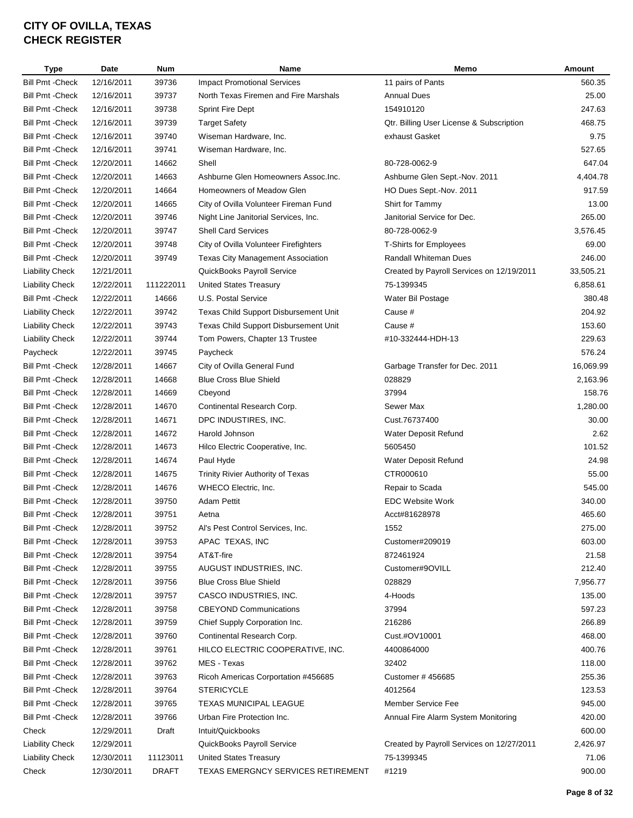| Type                                               | <b>Date</b> | <b>Num</b>   | <b>Name</b>                              | Memo                                      | <b>Amount</b> |
|----------------------------------------------------|-------------|--------------|------------------------------------------|-------------------------------------------|---------------|
| <b>Bill Pmt - Check</b>                            | 12/16/2011  | 39736        | <b>Impact Promotional Services</b>       | 11 pairs of Pants                         | 560.35        |
| Bill Pmt - Check                                   | 12/16/2011  | 39737        | North Texas Firemen and Fire Marshals    | <b>Annual Dues</b>                        | 25.00         |
| <b>Bill Pmt - Check</b>                            | 12/16/2011  | 39738        | <b>Sprint Fire Dept</b>                  | 154910120                                 | 247.63        |
| <b>Bill Pmt - Check</b>                            | 12/16/2011  | 39739        | <b>Target Safety</b>                     | Qtr. Billing User License & Subscription  | 468.75        |
| Bill Pmt -Check                                    | 12/16/2011  | 39740        | Wiseman Hardware, Inc.                   | exhaust Gasket                            | 9.75          |
| <b>Bill Pmt - Check</b>                            | 12/16/2011  | 39741        | Wiseman Hardware, Inc.                   |                                           | 527.65        |
| Bill Pmt -Check                                    | 12/20/2011  | 14662        | Shell                                    | 80-728-0062-9                             | 647.04        |
| <b>Bill Pmt - Check</b>                            | 12/20/2011  | 14663        | Ashburne Glen Homeowners Assoc.Inc.      | Ashburne Glen Sept.-Nov. 2011             | 4,404.78      |
| Bill Pmt - Check                                   | 12/20/2011  | 14664        | Homeowners of Meadow Glen                | HO Dues Sept.-Nov. 2011                   | 917.59        |
| <b>Bill Pmt - Check</b>                            | 12/20/2011  | 14665        | City of Ovilla Volunteer Fireman Fund    | Shirt for Tammy                           | 13.00         |
| <b>Bill Pmt - Check</b>                            | 12/20/2011  | 39746        | Night Line Janitorial Services, Inc.     | Janitorial Service for Dec.               | 265.00        |
| <b>Bill Pmt - Check</b>                            | 12/20/2011  | 39747        | Shell Card Services                      | 80-728-0062-9                             | 3,576.45      |
| <b>Bill Pmt - Check</b>                            | 12/20/2011  | 39748        | City of Ovilla Volunteer Firefighters    | <b>T-Shirts for Employees</b>             | 69.00         |
| <b>Bill Pmt - Check</b>                            | 12/20/2011  | 39749        | <b>Texas City Management Association</b> | <b>Randall Whiteman Dues</b>              | 246.00        |
| <b>Liability Check</b>                             | 12/21/2011  |              | QuickBooks Payroll Service               | Created by Payroll Services on 12/19/2011 | 33,505.21     |
| <b>Liability Check</b>                             | 12/22/2011  | 111222011    | <b>United States Treasury</b>            | 75-1399345                                | 6,858.61      |
| <b>Bill Pmt - Check</b>                            | 12/22/2011  | 14666        | U.S. Postal Service                      | Water Bil Postage                         | 380.48        |
| <b>Liability Check</b>                             | 12/22/2011  | 39742        | Texas Child Support Disbursement Unit    | Cause #                                   | 204.92        |
| <b>Liability Check</b>                             | 12/22/2011  | 39743        | Texas Child Support Disbursement Unit    | Cause #                                   | 153.60        |
| <b>Liability Check</b>                             | 12/22/2011  | 39744        | Tom Powers, Chapter 13 Trustee           | #10-332444-HDH-13                         | 229.63        |
| Paycheck                                           | 12/22/2011  | 39745        | Paycheck                                 |                                           | 576.24        |
| Bill Pmt - Check                                   | 12/28/2011  | 14667        | City of Ovilla General Fund              | Garbage Transfer for Dec. 2011            | 16,069.99     |
| Bill Pmt -Check                                    | 12/28/2011  | 14668        | <b>Blue Cross Blue Shield</b>            | 028829                                    | 2,163.96      |
| Bill Pmt -Check                                    | 12/28/2011  | 14669        | Cbeyond                                  | 37994                                     | 158.76        |
| Bill Pmt -Check                                    | 12/28/2011  | 14670        | Continental Research Corp.               | Sewer Max                                 | 1,280.00      |
| Bill Pmt -Check                                    | 12/28/2011  | 14671        | DPC INDUSTIRES, INC.                     | Cust.76737400                             | 30.00         |
| <b>Bill Pmt - Check</b>                            | 12/28/2011  | 14672        | Harold Johnson                           | Water Deposit Refund                      | 2.62          |
| <b>Bill Pmt - Check</b>                            | 12/28/2011  | 14673        | Hilco Electric Cooperative, Inc.         | 5605450                                   | 101.52        |
| <b>Bill Pmt - Check</b>                            | 12/28/2011  | 14674        | Paul Hyde                                | Water Deposit Refund                      | 24.98         |
| <b>Bill Pmt - Check</b>                            | 12/28/2011  | 14675        | Trinity Rivier Authority of Texas        | CTR000610                                 | 55.00         |
| <b>Bill Pmt - Check</b>                            | 12/28/2011  | 14676        | <b>WHECO Electric, Inc.</b>              | Repair to Scada                           | 545.00        |
| Bill Pmt - Check                                   | 12/28/2011  | 39750        | <b>Adam Pettit</b>                       | <b>EDC Website Work</b>                   | 340.00        |
| Bill Pmt - Check                                   | 12/28/2011  | 39751        | Aetna                                    | Acct#81628978                             | 465.60        |
| <b>Bill Pmt - Check</b>                            | 12/28/2011  | 39752        | Al's Pest Control Services, Inc.         | 1552                                      | 275.00        |
|                                                    | 12/28/2011  |              |                                          |                                           | 603.00        |
| Bill Pmt -Check                                    |             | 39753        | APAC TEXAS, INC                          | Customer#209019                           |               |
| <b>Bill Pmt - Check</b><br><b>Bill Pmt - Check</b> | 12/28/2011  | 39754        | AT&T-fire<br>AUGUST INDUSTRIES, INC.     | 872461924                                 | 21.58         |
|                                                    | 12/28/2011  | 39755        |                                          | Customer#9OVILL                           | 212.40        |
| <b>Bill Pmt - Check</b>                            | 12/28/2011  | 39756        | <b>Blue Cross Blue Shield</b>            | 028829                                    | 7,956.77      |
| <b>Bill Pmt - Check</b>                            | 12/28/2011  | 39757        | CASCO INDUSTRIES, INC.                   | 4-Hoods                                   | 135.00        |
| <b>Bill Pmt - Check</b>                            | 12/28/2011  | 39758        | <b>CBEYOND Communications</b>            | 37994                                     | 597.23        |
| <b>Bill Pmt - Check</b>                            | 12/28/2011  | 39759        | Chief Supply Corporation Inc.            | 216286                                    | 266.89        |
| <b>Bill Pmt - Check</b>                            | 12/28/2011  | 39760        | Continental Research Corp.               | Cust.#OV10001                             | 468.00        |
| Bill Pmt - Check                                   | 12/28/2011  | 39761        | HILCO ELECTRIC COOPERATIVE, INC.         | 4400864000                                | 400.76        |
| Bill Pmt - Check                                   | 12/28/2011  | 39762        | MES - Texas                              | 32402                                     | 118.00        |
| Bill Pmt - Check                                   | 12/28/2011  | 39763        | Ricoh Americas Corportation #456685      | Customer #456685                          | 255.36        |
| Bill Pmt -Check                                    | 12/28/2011  | 39764        | <b>STERICYCLE</b>                        | 4012564                                   | 123.53        |
| <b>Bill Pmt - Check</b>                            | 12/28/2011  | 39765        | <b>TEXAS MUNICIPAL LEAGUE</b>            | Member Service Fee                        | 945.00        |
| Bill Pmt -Check                                    | 12/28/2011  | 39766        | Urban Fire Protection Inc.               | Annual Fire Alarm System Monitoring       | 420.00        |
| Check                                              | 12/29/2011  | Draft        | Intuit/Quickbooks                        |                                           | 600.00        |
| <b>Liability Check</b>                             | 12/29/2011  |              | QuickBooks Payroll Service               | Created by Payroll Services on 12/27/2011 | 2,426.97      |
| <b>Liability Check</b>                             | 12/30/2011  | 11123011     | <b>United States Treasury</b>            | 75-1399345                                | 71.06         |
| Check                                              | 12/30/2011  | <b>DRAFT</b> | TEXAS EMERGNCY SERVICES RETIREMENT       | #1219                                     | 900.00        |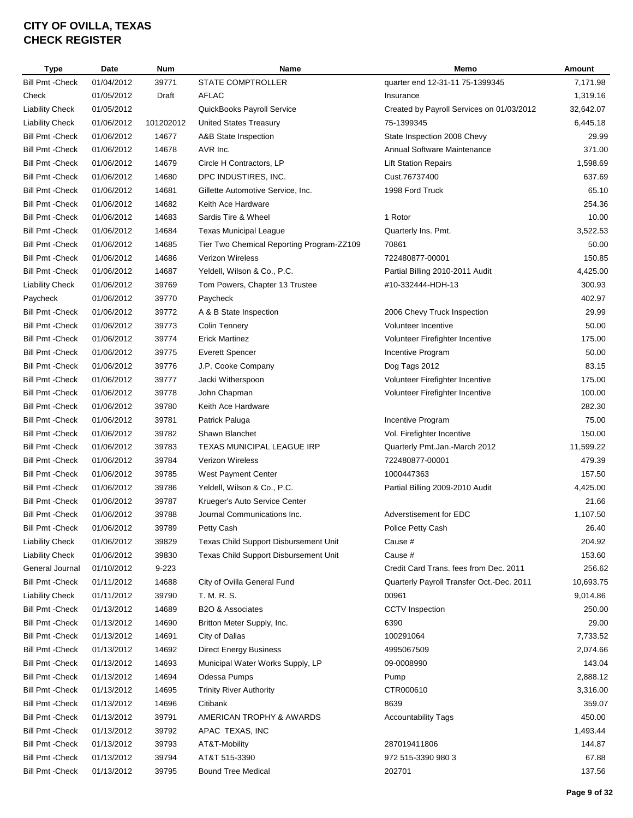| Type                    | Date       | <b>Num</b> | <b>Name</b>                                     | Memo                                      | Amount    |
|-------------------------|------------|------------|-------------------------------------------------|-------------------------------------------|-----------|
| <b>Bill Pmt - Check</b> | 01/04/2012 | 39771      | STATE COMPTROLLER                               | quarter end 12-31-11 75-1399345           | 7,171.98  |
| Check                   | 01/05/2012 | Draft      | <b>AFLAC</b>                                    | Insurance                                 | 1,319.16  |
| <b>Liability Check</b>  | 01/05/2012 |            | QuickBooks Payroll Service                      | Created by Payroll Services on 01/03/2012 | 32,642.07 |
| <b>Liability Check</b>  | 01/06/2012 | 101202012  | <b>United States Treasury</b>                   | 75-1399345                                | 6,445.18  |
| <b>Bill Pmt - Check</b> | 01/06/2012 | 14677      | A&B State Inspection                            | State Inspection 2008 Chevy               | 29.99     |
| <b>Bill Pmt - Check</b> | 01/06/2012 | 14678      | AVR Inc.                                        | Annual Software Maintenance               | 371.00    |
| <b>Bill Pmt - Check</b> | 01/06/2012 | 14679      | Circle H Contractors, LP                        | <b>Lift Station Repairs</b>               | 1,598.69  |
| <b>Bill Pmt - Check</b> | 01/06/2012 | 14680      | DPC INDUSTIRES, INC.                            | Cust.76737400                             | 637.69    |
| <b>Bill Pmt - Check</b> | 01/06/2012 | 14681      | Gillette Automotive Service, Inc.               | 1998 Ford Truck                           | 65.10     |
| <b>Bill Pmt - Check</b> | 01/06/2012 | 14682      | Keith Ace Hardware                              |                                           | 254.36    |
| <b>Bill Pmt - Check</b> | 01/06/2012 | 14683      | Sardis Tire & Wheel                             | 1 Rotor                                   | 10.00     |
| <b>Bill Pmt - Check</b> | 01/06/2012 | 14684      | <b>Texas Municipal League</b>                   | Quarterly Ins. Pmt.                       | 3,522.53  |
| <b>Bill Pmt - Check</b> | 01/06/2012 | 14685      | Tier Two Chemical Reporting Program-ZZ109       | 70861                                     | 50.00     |
| <b>Bill Pmt - Check</b> | 01/06/2012 | 14686      | Verizon Wireless                                | 722480877-00001                           | 150.85    |
| <b>Bill Pmt - Check</b> | 01/06/2012 | 14687      | Yeldell, Wilson & Co., P.C.                     | Partial Billing 2010-2011 Audit           | 4,425.00  |
| <b>Liability Check</b>  | 01/06/2012 | 39769      | Tom Powers, Chapter 13 Trustee                  | #10-332444-HDH-13                         | 300.93    |
| Paycheck                | 01/06/2012 | 39770      | Paycheck                                        |                                           | 402.97    |
| <b>Bill Pmt - Check</b> | 01/06/2012 | 39772      | A & B State Inspection                          | 2006 Chevy Truck Inspection               | 29.99     |
| <b>Bill Pmt - Check</b> | 01/06/2012 | 39773      | <b>Colin Tennery</b>                            | Volunteer Incentive                       | 50.00     |
| <b>Bill Pmt - Check</b> | 01/06/2012 | 39774      | <b>Erick Martinez</b>                           | Volunteer Firefighter Incentive           | 175.00    |
| <b>Bill Pmt - Check</b> | 01/06/2012 | 39775      | <b>Everett Spencer</b>                          | Incentive Program                         | 50.00     |
| <b>Bill Pmt - Check</b> | 01/06/2012 | 39776      | J.P. Cooke Company                              | Dog Tags 2012                             | 83.15     |
| <b>Bill Pmt - Check</b> | 01/06/2012 | 39777      | Jacki Witherspoon                               | Volunteer Firefighter Incentive           | 175.00    |
| <b>Bill Pmt - Check</b> | 01/06/2012 | 39778      | John Chapman                                    | Volunteer Firefighter Incentive           | 100.00    |
| <b>Bill Pmt - Check</b> | 01/06/2012 | 39780      | Keith Ace Hardware                              |                                           | 282.30    |
| <b>Bill Pmt - Check</b> | 01/06/2012 | 39781      | Patrick Paluga                                  | Incentive Program                         | 75.00     |
| <b>Bill Pmt - Check</b> | 01/06/2012 | 39782      | Shawn Blanchet                                  | Vol. Firefighter Incentive                | 150.00    |
| <b>Bill Pmt - Check</b> | 01/06/2012 | 39783      | TEXAS MUNICIPAL LEAGUE IRP                      | Quarterly Pmt.Jan.-March 2012             | 11,599.22 |
| <b>Bill Pmt - Check</b> | 01/06/2012 | 39784      | <b>Verizon Wireless</b>                         | 722480877-00001                           | 479.39    |
| <b>Bill Pmt - Check</b> | 01/06/2012 | 39785      | West Payment Center                             | 1000447363                                | 157.50    |
| <b>Bill Pmt - Check</b> | 01/06/2012 | 39786      | Yeldell, Wilson & Co., P.C.                     | Partial Billing 2009-2010 Audit           | 4,425.00  |
| <b>Bill Pmt - Check</b> | 01/06/2012 | 39787      | Krueger's Auto Service Center                   |                                           | 21.66     |
| <b>Bill Pmt - Check</b> | 01/06/2012 | 39788      | Journal Communications Inc.                     | Adverstisement for EDC                    | 1,107.50  |
| Bill Pmt - Check        | 01/06/2012 | 39789      | Petty Cash                                      | Police Petty Cash                         | 26.40     |
| Liability Check         | 01/06/2012 | 39829      | Texas Child Support Disbursement Unit           | Cause #                                   | 204.92    |
| <b>Liability Check</b>  | 01/06/2012 | 39830      | Texas Child Support Disbursement Unit           | Cause #                                   | 153.60    |
| General Journal         | 01/10/2012 | $9 - 223$  |                                                 | Credit Card Trans. fees from Dec. 2011    | 256.62    |
| <b>Bill Pmt - Check</b> | 01/11/2012 | 14688      | City of Ovilla General Fund                     | Quarterly Payroll Transfer Oct.-Dec. 2011 | 10,693.75 |
| <b>Liability Check</b>  | 01/11/2012 | 39790      | T. M. R. S.                                     | 00961                                     | 9,014.86  |
| <b>Bill Pmt - Check</b> | 01/13/2012 | 14689      | B <sub>2</sub> O & Associates                   | <b>CCTV</b> Inspection                    | 250.00    |
| <b>Bill Pmt - Check</b> | 01/13/2012 | 14690      |                                                 | 6390                                      | 29.00     |
| <b>Bill Pmt - Check</b> |            |            | Britton Meter Supply, Inc.                      |                                           |           |
|                         | 01/13/2012 | 14691      | City of Dallas<br><b>Direct Energy Business</b> | 100291064                                 | 7,733.52  |
| <b>Bill Pmt - Check</b> | 01/13/2012 | 14692      |                                                 | 4995067509                                | 2,074.66  |
| <b>Bill Pmt - Check</b> | 01/13/2012 | 14693      | Municipal Water Works Supply, LP                | 09-0008990                                | 143.04    |
| <b>Bill Pmt - Check</b> | 01/13/2012 | 14694      | Odessa Pumps                                    | Pump                                      | 2,888.12  |
| <b>Bill Pmt - Check</b> | 01/13/2012 | 14695      | <b>Trinity River Authority</b>                  | CTR000610                                 | 3,316.00  |
| <b>Bill Pmt - Check</b> | 01/13/2012 | 14696      | Citibank                                        | 8639                                      | 359.07    |
| <b>Bill Pmt - Check</b> | 01/13/2012 | 39791      | AMERICAN TROPHY & AWARDS                        | <b>Accountability Tags</b>                | 450.00    |
| <b>Bill Pmt - Check</b> | 01/13/2012 | 39792      | APAC TEXAS, INC                                 |                                           | 1,493.44  |
| <b>Bill Pmt - Check</b> | 01/13/2012 | 39793      | AT&T-Mobility                                   | 287019411806                              | 144.87    |
| <b>Bill Pmt - Check</b> | 01/13/2012 | 39794      | AT&T 515-3390                                   | 972 515-3390 980 3                        | 67.88     |
| <b>Bill Pmt - Check</b> | 01/13/2012 | 39795      | <b>Bound Tree Medical</b>                       | 202701                                    | 137.56    |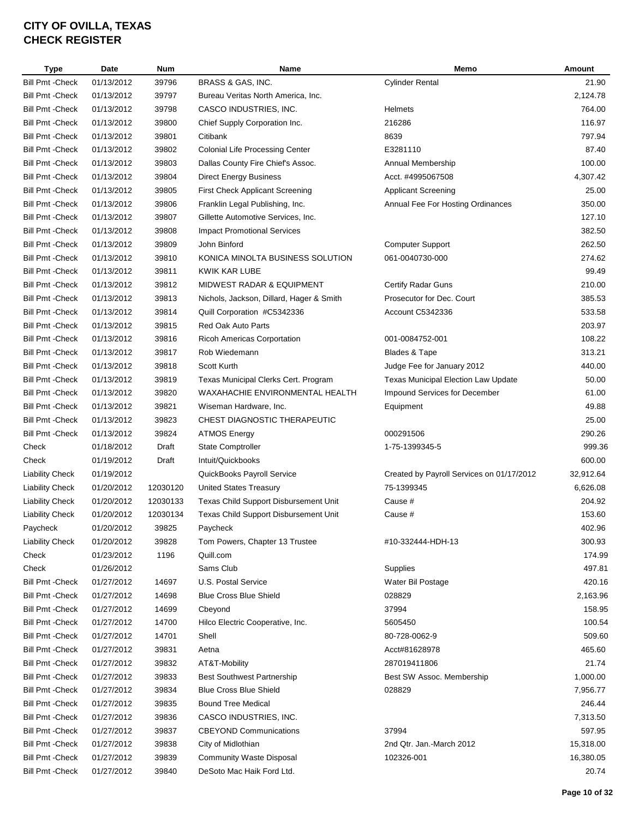| <b>Type</b>             | Date       | <b>Num</b> | Name                                     | Memo                                       | Amount    |
|-------------------------|------------|------------|------------------------------------------|--------------------------------------------|-----------|
| <b>Bill Pmt - Check</b> | 01/13/2012 | 39796      | BRASS & GAS, INC.                        | <b>Cylinder Rental</b>                     | 21.90     |
| <b>Bill Pmt - Check</b> | 01/13/2012 | 39797      | Bureau Veritas North America, Inc.       |                                            | 2,124.78  |
| <b>Bill Pmt - Check</b> | 01/13/2012 | 39798      | CASCO INDUSTRIES, INC.                   | <b>Helmets</b>                             | 764.00    |
| <b>Bill Pmt - Check</b> | 01/13/2012 | 39800      | Chief Supply Corporation Inc.            | 216286                                     | 116.97    |
| <b>Bill Pmt - Check</b> | 01/13/2012 | 39801      | Citibank                                 | 8639                                       | 797.94    |
| <b>Bill Pmt - Check</b> | 01/13/2012 | 39802      | <b>Colonial Life Processing Center</b>   | E3281110                                   | 87.40     |
| <b>Bill Pmt - Check</b> | 01/13/2012 | 39803      | Dallas County Fire Chief's Assoc.        | Annual Membership                          | 100.00    |
| <b>Bill Pmt - Check</b> | 01/13/2012 | 39804      | <b>Direct Energy Business</b>            | Acct. #4995067508                          | 4,307.42  |
| <b>Bill Pmt - Check</b> | 01/13/2012 | 39805      | <b>First Check Applicant Screening</b>   | <b>Applicant Screening</b>                 | 25.00     |
| <b>Bill Pmt - Check</b> | 01/13/2012 | 39806      | Franklin Legal Publishing, Inc.          | Annual Fee For Hosting Ordinances          | 350.00    |
| <b>Bill Pmt - Check</b> | 01/13/2012 | 39807      | Gillette Automotive Services, Inc.       |                                            | 127.10    |
| <b>Bill Pmt - Check</b> | 01/13/2012 | 39808      | <b>Impact Promotional Services</b>       |                                            | 382.50    |
| <b>Bill Pmt - Check</b> | 01/13/2012 | 39809      | John Binford                             | <b>Computer Support</b>                    | 262.50    |
| <b>Bill Pmt - Check</b> | 01/13/2012 | 39810      | KONICA MINOLTA BUSINESS SOLUTION         | 061-0040730-000                            | 274.62    |
| <b>Bill Pmt - Check</b> | 01/13/2012 | 39811      | KWIK KAR LUBE                            |                                            | 99.49     |
| <b>Bill Pmt - Check</b> | 01/13/2012 | 39812      | <b>MIDWEST RADAR &amp; EQUIPMENT</b>     | Certify Radar Guns                         | 210.00    |
| <b>Bill Pmt - Check</b> | 01/13/2012 | 39813      | Nichols, Jackson, Dillard, Hager & Smith | Prosecutor for Dec. Court                  | 385.53    |
| <b>Bill Pmt - Check</b> | 01/13/2012 | 39814      | Quill Corporation #C5342336              | Account C5342336                           | 533.58    |
| <b>Bill Pmt - Check</b> | 01/13/2012 | 39815      | Red Oak Auto Parts                       |                                            | 203.97    |
| <b>Bill Pmt - Check</b> | 01/13/2012 | 39816      | Ricoh Americas Corportation              | 001-0084752-001                            | 108.22    |
| <b>Bill Pmt - Check</b> | 01/13/2012 | 39817      | Rob Wiedemann                            | Blades & Tape                              | 313.21    |
| <b>Bill Pmt - Check</b> | 01/13/2012 | 39818      | Scott Kurth                              | Judge Fee for January 2012                 | 440.00    |
| <b>Bill Pmt - Check</b> | 01/13/2012 | 39819      | Texas Municipal Clerks Cert. Program     | <b>Texas Municipal Election Law Update</b> | 50.00     |
| <b>Bill Pmt - Check</b> | 01/13/2012 | 39820      | WAXAHACHIE ENVIRONMENTAL HEALTH          | Impound Services for December              | 61.00     |
| <b>Bill Pmt - Check</b> | 01/13/2012 | 39821      | Wiseman Hardware, Inc.                   | Equipment                                  | 49.88     |
| <b>Bill Pmt - Check</b> | 01/13/2012 | 39823      | CHEST DIAGNOSTIC THERAPEUTIC             |                                            | 25.00     |
| <b>Bill Pmt - Check</b> | 01/13/2012 | 39824      | <b>ATMOS Energy</b>                      | 000291506                                  | 290.26    |
| Check                   | 01/18/2012 | Draft      | <b>State Comptroller</b>                 | 1-75-1399345-5                             | 999.36    |
| Check                   | 01/19/2012 | Draft      | Intuit/Quickbooks                        |                                            | 600.00    |
| Liability Check         | 01/19/2012 |            | QuickBooks Payroll Service               | Created by Payroll Services on 01/17/2012  | 32,912.64 |
| <b>Liability Check</b>  | 01/20/2012 | 12030120   | <b>United States Treasury</b>            | 75-1399345                                 | 6,626.08  |
| <b>Liability Check</b>  | 01/20/2012 | 12030133   | Texas Child Support Disbursement Unit    | Cause #                                    | 204.92    |
| <b>Liability Check</b>  | 01/20/2012 | 12030134   | Texas Child Support Disbursement Unit    | Cause #                                    | 153.60    |
| Paycheck                | 01/20/2012 | 39825      | Paycheck                                 |                                            | 402.96    |
| <b>Liability Check</b>  | 01/20/2012 | 39828      | Tom Powers, Chapter 13 Trustee           | #10-332444-HDH-13                          | 300.93    |
| Check                   | 01/23/2012 | 1196       | Quill.com                                |                                            | 174.99    |
| Check                   | 01/26/2012 |            | Sams Club                                | Supplies                                   | 497.81    |
| <b>Bill Pmt - Check</b> | 01/27/2012 | 14697      | U.S. Postal Service                      | Water Bil Postage                          | 420.16    |
| <b>Bill Pmt - Check</b> | 01/27/2012 | 14698      | <b>Blue Cross Blue Shield</b>            | 028829                                     | 2,163.96  |
| <b>Bill Pmt - Check</b> | 01/27/2012 | 14699      | Cbeyond                                  | 37994                                      | 158.95    |
| <b>Bill Pmt - Check</b> | 01/27/2012 | 14700      | Hilco Electric Cooperative, Inc.         | 5605450                                    | 100.54    |
| <b>Bill Pmt - Check</b> | 01/27/2012 | 14701      | Shell                                    | 80-728-0062-9                              | 509.60    |
| <b>Bill Pmt - Check</b> | 01/27/2012 | 39831      | Aetna                                    | Acct#81628978                              | 465.60    |
| <b>Bill Pmt - Check</b> | 01/27/2012 | 39832      | AT&T-Mobility                            | 287019411806                               | 21.74     |
| <b>Bill Pmt - Check</b> | 01/27/2012 | 39833      | <b>Best Southwest Partnership</b>        | Best SW Assoc. Membership                  | 1,000.00  |
| <b>Bill Pmt - Check</b> | 01/27/2012 | 39834      | <b>Blue Cross Blue Shield</b>            | 028829                                     | 7,956.77  |
| <b>Bill Pmt - Check</b> | 01/27/2012 | 39835      | <b>Bound Tree Medical</b>                |                                            | 246.44    |
| <b>Bill Pmt - Check</b> | 01/27/2012 | 39836      | CASCO INDUSTRIES, INC.                   |                                            | 7,313.50  |
| <b>Bill Pmt - Check</b> | 01/27/2012 | 39837      | <b>CBEYOND Communications</b>            | 37994                                      | 597.95    |
| <b>Bill Pmt - Check</b> | 01/27/2012 | 39838      | City of Midlothian                       | 2nd Qtr. Jan.-March 2012                   | 15,318.00 |
| <b>Bill Pmt - Check</b> | 01/27/2012 | 39839      | <b>Community Waste Disposal</b>          | 102326-001                                 | 16,380.05 |
| <b>Bill Pmt - Check</b> | 01/27/2012 | 39840      | DeSoto Mac Haik Ford Ltd.                |                                            | 20.74     |
|                         |            |            |                                          |                                            |           |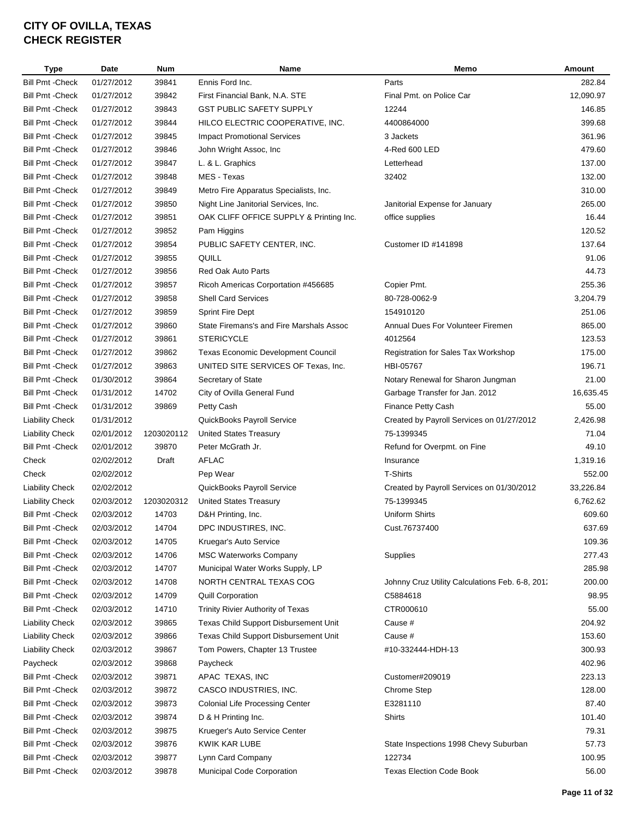| <b>Type</b>             | <b>Date</b> | <b>Num</b> | <b>Name</b>                              | Memo                                            | Amount    |
|-------------------------|-------------|------------|------------------------------------------|-------------------------------------------------|-----------|
| <b>Bill Pmt - Check</b> | 01/27/2012  | 39841      | Ennis Ford Inc.                          | Parts                                           | 282.84    |
| <b>Bill Pmt - Check</b> | 01/27/2012  | 39842      | First Financial Bank, N.A. STE           | Final Pmt. on Police Car                        | 12,090.97 |
| <b>Bill Pmt - Check</b> | 01/27/2012  | 39843      | <b>GST PUBLIC SAFETY SUPPLY</b>          | 12244                                           | 146.85    |
| <b>Bill Pmt - Check</b> | 01/27/2012  | 39844      | HILCO ELECTRIC COOPERATIVE, INC.         | 4400864000                                      | 399.68    |
| <b>Bill Pmt - Check</b> | 01/27/2012  | 39845      | <b>Impact Promotional Services</b>       | 3 Jackets                                       | 361.96    |
| <b>Bill Pmt - Check</b> | 01/27/2012  | 39846      | John Wright Assoc, Inc                   | 4-Red 600 LED                                   | 479.60    |
| <b>Bill Pmt - Check</b> | 01/27/2012  | 39847      | L. & L. Graphics                         | Letterhead                                      | 137.00    |
| <b>Bill Pmt - Check</b> | 01/27/2012  | 39848      | MES - Texas                              | 32402                                           | 132.00    |
| <b>Bill Pmt - Check</b> | 01/27/2012  | 39849      | Metro Fire Apparatus Specialists, Inc.   |                                                 | 310.00    |
| <b>Bill Pmt - Check</b> | 01/27/2012  | 39850      | Night Line Janitorial Services, Inc.     | Janitorial Expense for January                  | 265.00    |
| <b>Bill Pmt - Check</b> | 01/27/2012  | 39851      | OAK CLIFF OFFICE SUPPLY & Printing Inc.  | office supplies                                 | 16.44     |
| <b>Bill Pmt - Check</b> | 01/27/2012  | 39852      | Pam Higgins                              |                                                 | 120.52    |
| <b>Bill Pmt - Check</b> | 01/27/2012  | 39854      | PUBLIC SAFETY CENTER, INC.               | Customer ID #141898                             | 137.64    |
| <b>Bill Pmt - Check</b> | 01/27/2012  | 39855      | QUILL                                    |                                                 | 91.06     |
| <b>Bill Pmt - Check</b> | 01/27/2012  | 39856      | <b>Red Oak Auto Parts</b>                |                                                 | 44.73     |
| <b>Bill Pmt - Check</b> | 01/27/2012  | 39857      | Ricoh Americas Corportation #456685      | Copier Pmt.                                     | 255.36    |
| <b>Bill Pmt - Check</b> | 01/27/2012  | 39858      | <b>Shell Card Services</b>               | 80-728-0062-9                                   | 3,204.79  |
| <b>Bill Pmt - Check</b> | 01/27/2012  | 39859      | <b>Sprint Fire Dept</b>                  | 154910120                                       | 251.06    |
| <b>Bill Pmt - Check</b> | 01/27/2012  | 39860      | State Firemans's and Fire Marshals Assoc | Annual Dues For Volunteer Firemen               | 865.00    |
| <b>Bill Pmt - Check</b> | 01/27/2012  | 39861      | <b>STERICYCLE</b>                        | 4012564                                         | 123.53    |
| <b>Bill Pmt - Check</b> | 01/27/2012  | 39862      | Texas Economic Development Council       | Registration for Sales Tax Workshop             | 175.00    |
| <b>Bill Pmt - Check</b> | 01/27/2012  | 39863      | UNITED SITE SERVICES OF Texas, Inc.      | HBI-05767                                       | 196.71    |
| <b>Bill Pmt - Check</b> | 01/30/2012  | 39864      | Secretary of State                       | Notary Renewal for Sharon Jungman               | 21.00     |
| <b>Bill Pmt - Check</b> | 01/31/2012  | 14702      | City of Ovilla General Fund              | Garbage Transfer for Jan. 2012                  | 16,635.45 |
| <b>Bill Pmt - Check</b> | 01/31/2012  | 39869      | Petty Cash                               | Finance Petty Cash                              | 55.00     |
| <b>Liability Check</b>  | 01/31/2012  |            | QuickBooks Payroll Service               | Created by Payroll Services on 01/27/2012       | 2,426.98  |
| <b>Liability Check</b>  | 02/01/2012  | 1203020112 | <b>United States Treasury</b>            | 75-1399345                                      | 71.04     |
| <b>Bill Pmt - Check</b> | 02/01/2012  | 39870      | Peter McGrath Jr.                        | Refund for Overpmt. on Fine                     | 49.10     |
| Check                   | 02/02/2012  | Draft      | <b>AFLAC</b>                             | Insurance                                       | 1,319.16  |
| Check                   | 02/02/2012  |            | Pep Wear                                 | <b>T-Shirts</b>                                 | 552.00    |
| <b>Liability Check</b>  | 02/02/2012  |            | QuickBooks Payroll Service               | Created by Payroll Services on 01/30/2012       | 33,226.84 |
| <b>Liability Check</b>  | 02/03/2012  | 1203020312 | <b>United States Treasury</b>            | 75-1399345                                      | 6,762.62  |
| <b>Bill Pmt - Check</b> | 02/03/2012  | 14703      | D&H Printing, Inc.                       | Uniform Shirts                                  | 609.60    |
| <b>Bill Pmt - Check</b> | 02/03/2012  | 14704      | DPC INDUSTIRES, INC.                     | Cust.76737400                                   | 637.69    |
| <b>Bill Pmt - Check</b> | 02/03/2012  | 14705      | Kruegar's Auto Service                   |                                                 | 109.36    |
| <b>Bill Pmt - Check</b> | 02/03/2012  | 14706      | <b>MSC Waterworks Company</b>            | Supplies                                        | 277.43    |
| <b>Bill Pmt - Check</b> | 02/03/2012  | 14707      | Municipal Water Works Supply, LP         |                                                 | 285.98    |
| <b>Bill Pmt - Check</b> | 02/03/2012  | 14708      | NORTH CENTRAL TEXAS COG                  | Johnny Cruz Utility Calculations Feb. 6-8, 201. | 200.00    |
| <b>Bill Pmt - Check</b> | 02/03/2012  | 14709      | <b>Quill Corporation</b>                 | C5884618                                        | 98.95     |
| <b>Bill Pmt - Check</b> | 02/03/2012  | 14710      | Trinity Rivier Authority of Texas        | CTR000610                                       | 55.00     |
| <b>Liability Check</b>  | 02/03/2012  | 39865      | Texas Child Support Disbursement Unit    | Cause #                                         | 204.92    |
| <b>Liability Check</b>  | 02/03/2012  | 39866      | Texas Child Support Disbursement Unit    | Cause #                                         | 153.60    |
| <b>Liability Check</b>  | 02/03/2012  | 39867      | Tom Powers, Chapter 13 Trustee           | #10-332444-HDH-13                               | 300.93    |
| Paycheck                | 02/03/2012  | 39868      | Paycheck                                 |                                                 | 402.96    |
| <b>Bill Pmt - Check</b> | 02/03/2012  | 39871      | APAC TEXAS, INC                          | Customer#209019                                 | 223.13    |
| <b>Bill Pmt - Check</b> | 02/03/2012  | 39872      | CASCO INDUSTRIES, INC.                   | Chrome Step                                     | 128.00    |
| <b>Bill Pmt - Check</b> | 02/03/2012  | 39873      | <b>Colonial Life Processing Center</b>   | E3281110                                        | 87.40     |
| <b>Bill Pmt - Check</b> | 02/03/2012  | 39874      | D & H Printing Inc.                      | Shirts                                          | 101.40    |
| <b>Bill Pmt - Check</b> | 02/03/2012  | 39875      | Krueger's Auto Service Center            |                                                 | 79.31     |
| <b>Bill Pmt - Check</b> | 02/03/2012  | 39876      | KWIK KAR LUBE                            | State Inspections 1998 Chevy Suburban           | 57.73     |
| <b>Bill Pmt - Check</b> | 02/03/2012  | 39877      | Lynn Card Company                        | 122734                                          | 100.95    |
| <b>Bill Pmt - Check</b> | 02/03/2012  | 39878      | Municipal Code Corporation               | <b>Texas Election Code Book</b>                 | 56.00     |
|                         |             |            |                                          |                                                 |           |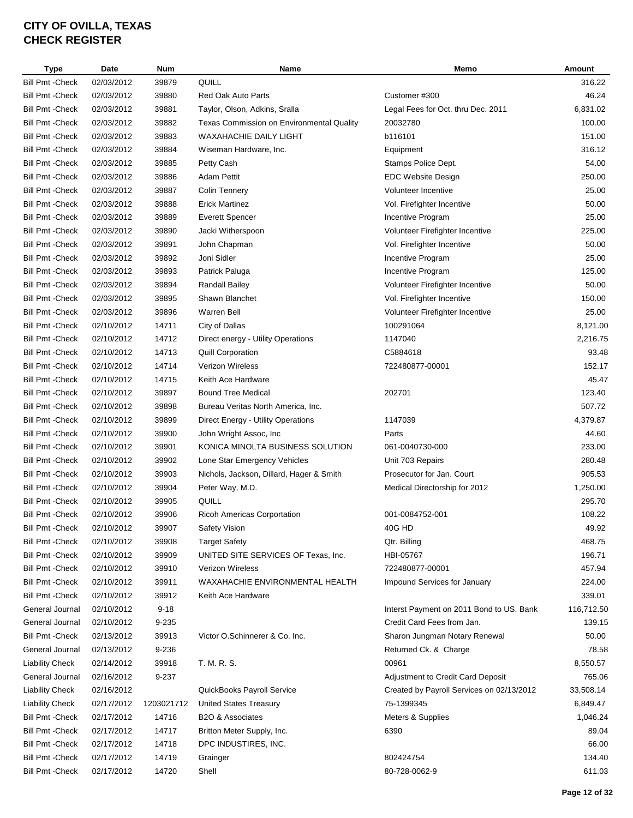| Type                    | Date       | <b>Num</b> | <b>Name</b>                                      | Memo                                      | Amount     |
|-------------------------|------------|------------|--------------------------------------------------|-------------------------------------------|------------|
| <b>Bill Pmt - Check</b> | 02/03/2012 | 39879      | QUILL                                            |                                           | 316.22     |
| <b>Bill Pmt - Check</b> | 02/03/2012 | 39880      | Red Oak Auto Parts                               | Customer #300                             | 46.24      |
| <b>Bill Pmt - Check</b> | 02/03/2012 | 39881      | Taylor, Olson, Adkins, Sralla                    | Legal Fees for Oct. thru Dec. 2011        | 6,831.02   |
| <b>Bill Pmt - Check</b> | 02/03/2012 | 39882      | <b>Texas Commission on Environmental Quality</b> | 20032780                                  | 100.00     |
| <b>Bill Pmt - Check</b> | 02/03/2012 | 39883      | <b>WAXAHACHIE DAILY LIGHT</b>                    | b116101                                   | 151.00     |
| <b>Bill Pmt - Check</b> | 02/03/2012 | 39884      | Wiseman Hardware, Inc.                           | Equipment                                 | 316.12     |
| <b>Bill Pmt - Check</b> | 02/03/2012 | 39885      | Petty Cash                                       | Stamps Police Dept.                       | 54.00      |
| <b>Bill Pmt - Check</b> | 02/03/2012 | 39886      | <b>Adam Pettit</b>                               | EDC Website Design                        | 250.00     |
| <b>Bill Pmt - Check</b> | 02/03/2012 | 39887      | <b>Colin Tennery</b>                             | Volunteer Incentive                       | 25.00      |
| <b>Bill Pmt - Check</b> | 02/03/2012 | 39888      | <b>Erick Martinez</b>                            | Vol. Firefighter Incentive                | 50.00      |
| <b>Bill Pmt - Check</b> | 02/03/2012 | 39889      | <b>Everett Spencer</b>                           | Incentive Program                         | 25.00      |
| <b>Bill Pmt - Check</b> | 02/03/2012 | 39890      | Jacki Witherspoon                                | Volunteer Firefighter Incentive           | 225.00     |
| <b>Bill Pmt - Check</b> | 02/03/2012 | 39891      | John Chapman                                     | Vol. Firefighter Incentive                | 50.00      |
| <b>Bill Pmt - Check</b> | 02/03/2012 | 39892      | Joni Sidler                                      | Incentive Program                         | 25.00      |
| <b>Bill Pmt - Check</b> | 02/03/2012 | 39893      | Patrick Paluga                                   | Incentive Program                         | 125.00     |
| <b>Bill Pmt - Check</b> | 02/03/2012 | 39894      | Randall Bailey                                   | Volunteer Firefighter Incentive           | 50.00      |
| <b>Bill Pmt - Check</b> | 02/03/2012 | 39895      | Shawn Blanchet                                   | Vol. Firefighter Incentive                | 150.00     |
| <b>Bill Pmt - Check</b> | 02/03/2012 | 39896      | <b>Warren Bell</b>                               | Volunteer Firefighter Incentive           | 25.00      |
| <b>Bill Pmt - Check</b> | 02/10/2012 | 14711      | City of Dallas                                   | 100291064                                 | 8,121.00   |
| <b>Bill Pmt - Check</b> | 02/10/2012 | 14712      | Direct energy - Utility Operations               | 1147040                                   | 2,216.75   |
| <b>Bill Pmt - Check</b> | 02/10/2012 | 14713      | <b>Quill Corporation</b>                         | C5884618                                  | 93.48      |
| <b>Bill Pmt - Check</b> | 02/10/2012 | 14714      | Verizon Wireless                                 | 722480877-00001                           | 152.17     |
| <b>Bill Pmt - Check</b> | 02/10/2012 | 14715      | Keith Ace Hardware                               |                                           | 45.47      |
| <b>Bill Pmt - Check</b> | 02/10/2012 | 39897      | <b>Bound Tree Medical</b>                        | 202701                                    | 123.40     |
| <b>Bill Pmt - Check</b> | 02/10/2012 | 39898      | Bureau Veritas North America, Inc.               |                                           | 507.72     |
| <b>Bill Pmt - Check</b> | 02/10/2012 | 39899      | Direct Energy - Utility Operations               | 1147039                                   | 4,379.87   |
| <b>Bill Pmt - Check</b> | 02/10/2012 | 39900      | John Wright Assoc, Inc                           | Parts                                     | 44.60      |
| <b>Bill Pmt - Check</b> | 02/10/2012 | 39901      | KONICA MINOLTA BUSINESS SOLUTION                 | 061-0040730-000                           | 233.00     |
| <b>Bill Pmt - Check</b> | 02/10/2012 | 39902      | Lone Star Emergency Vehicles                     | Unit 703 Repairs                          | 280.48     |
| <b>Bill Pmt - Check</b> | 02/10/2012 | 39903      |                                                  | Prosecutor for Jan. Court                 | 905.53     |
|                         | 02/10/2012 |            | Nichols, Jackson, Dillard, Hager & Smith         |                                           | 1,250.00   |
| <b>Bill Pmt - Check</b> |            | 39904      | Peter Way, M.D.                                  | Medical Directorship for 2012             |            |
| <b>Bill Pmt - Check</b> | 02/10/2012 | 39905      | QUILL                                            |                                           | 295.70     |
| <b>Bill Pmt - Check</b> | 02/10/2012 | 39906      | <b>Ricoh Americas Corportation</b>               | 001-0084752-001                           | 108.22     |
| <b>Bill Pmt - Check</b> | 02/10/2012 | 39907      | Safety Vision                                    | 40G HD                                    | 49.92      |
| <b>Bill Pmt - Check</b> | 02/10/2012 | 39908      | <b>Target Safety</b>                             | Qtr. Billing                              | 468.75     |
| <b>Bill Pmt - Check</b> | 02/10/2012 | 39909      | UNITED SITE SERVICES OF Texas, Inc.              | HBI-05767                                 | 196.71     |
| <b>Bill Pmt - Check</b> | 02/10/2012 | 39910      | Verizon Wireless                                 | 722480877-00001                           | 457.94     |
| <b>Bill Pmt - Check</b> | 02/10/2012 | 39911      | WAXAHACHIE ENVIRONMENTAL HEALTH                  | Impound Services for January              | 224.00     |
| <b>Bill Pmt - Check</b> | 02/10/2012 | 39912      | Keith Ace Hardware                               |                                           | 339.01     |
| General Journal         | 02/10/2012 | $9 - 18$   |                                                  | Interst Payment on 2011 Bond to US. Bank  | 116,712.50 |
| General Journal         | 02/10/2012 | 9-235      |                                                  | Credit Card Fees from Jan.                | 139.15     |
| <b>Bill Pmt - Check</b> | 02/13/2012 | 39913      | Victor O.Schinnerer & Co. Inc.                   | Sharon Jungman Notary Renewal             | 50.00      |
| General Journal         | 02/13/2012 | 9-236      |                                                  | Returned Ck. & Charge                     | 78.58      |
| <b>Liability Check</b>  | 02/14/2012 | 39918      | T. M. R. S.                                      | 00961                                     | 8,550.57   |
| General Journal         | 02/16/2012 | 9-237      |                                                  | Adjustment to Credit Card Deposit         | 765.06     |
| <b>Liability Check</b>  | 02/16/2012 |            | QuickBooks Payroll Service                       | Created by Payroll Services on 02/13/2012 | 33,508.14  |
| <b>Liability Check</b>  | 02/17/2012 | 1203021712 | <b>United States Treasury</b>                    | 75-1399345                                | 6,849.47   |
| <b>Bill Pmt - Check</b> | 02/17/2012 | 14716      | B2O & Associates                                 | Meters & Supplies                         | 1,046.24   |
| <b>Bill Pmt - Check</b> | 02/17/2012 | 14717      | Britton Meter Supply, Inc.                       | 6390                                      | 89.04      |
| <b>Bill Pmt - Check</b> | 02/17/2012 | 14718      | DPC INDUSTIRES, INC.                             |                                           | 66.00      |
| <b>Bill Pmt - Check</b> | 02/17/2012 | 14719      | Grainger                                         | 802424754                                 | 134.40     |
| <b>Bill Pmt - Check</b> | 02/17/2012 | 14720      | Shell                                            | 80-728-0062-9                             | 611.03     |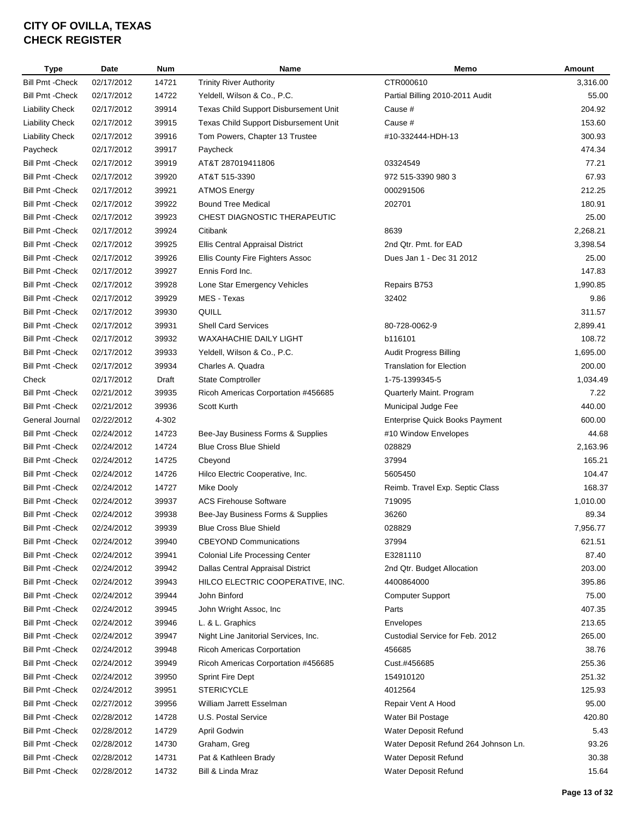| <b>Type</b>             | <b>Date</b> | <b>Num</b> | Name                                         | Memo                                  | Amount         |
|-------------------------|-------------|------------|----------------------------------------------|---------------------------------------|----------------|
| <b>Bill Pmt - Check</b> | 02/17/2012  | 14721      | <b>Trinity River Authority</b>               | CTR000610                             | 3,316.00       |
| <b>Bill Pmt - Check</b> | 02/17/2012  | 14722      | Yeldell, Wilson & Co., P.C.                  | Partial Billing 2010-2011 Audit       | 55.00          |
| <b>Liability Check</b>  | 02/17/2012  | 39914      | <b>Texas Child Support Disbursement Unit</b> | Cause #                               | 204.92         |
| <b>Liability Check</b>  | 02/17/2012  | 39915      | Texas Child Support Disbursement Unit        | Cause #                               | 153.60         |
| <b>Liability Check</b>  | 02/17/2012  | 39916      | Tom Powers, Chapter 13 Trustee               | #10-332444-HDH-13                     | 300.93         |
| Paycheck                | 02/17/2012  | 39917      | Paycheck                                     |                                       | 474.34         |
| Bill Pmt -Check         | 02/17/2012  | 39919      | AT&T 287019411806                            | 03324549                              | 77.21          |
| Bill Pmt - Check        | 02/17/2012  | 39920      | AT&T 515-3390                                | 972 515-3390 980 3                    | 67.93          |
| <b>Bill Pmt - Check</b> | 02/17/2012  | 39921      | <b>ATMOS Energy</b>                          | 000291506                             | 212.25         |
| <b>Bill Pmt - Check</b> | 02/17/2012  | 39922      | <b>Bound Tree Medical</b>                    | 202701                                | 180.91         |
| <b>Bill Pmt - Check</b> | 02/17/2012  | 39923      | CHEST DIAGNOSTIC THERAPEUTIC                 |                                       | 25.00          |
| <b>Bill Pmt - Check</b> | 02/17/2012  | 39924      | Citibank                                     | 8639                                  | 2,268.21       |
| <b>Bill Pmt - Check</b> | 02/17/2012  | 39925      | Ellis Central Appraisal District             | 2nd Qtr. Pmt. for EAD                 | 3,398.54       |
| <b>Bill Pmt - Check</b> | 02/17/2012  | 39926      | Ellis County Fire Fighters Assoc             | Dues Jan 1 - Dec 31 2012              | 25.00          |
| <b>Bill Pmt - Check</b> | 02/17/2012  | 39927      | Ennis Ford Inc.                              |                                       | 147.83         |
| <b>Bill Pmt - Check</b> | 02/17/2012  | 39928      | Lone Star Emergency Vehicles                 | Repairs B753                          | 1,990.85       |
| <b>Bill Pmt - Check</b> | 02/17/2012  | 39929      | MES - Texas                                  | 32402                                 | 9.86           |
| <b>Bill Pmt - Check</b> | 02/17/2012  | 39930      | QUILL                                        |                                       | 311.57         |
| <b>Bill Pmt - Check</b> | 02/17/2012  | 39931      | <b>Shell Card Services</b>                   | 80-728-0062-9                         | 2,899.41       |
| <b>Bill Pmt - Check</b> | 02/17/2012  | 39932      | <b>WAXAHACHIE DAILY LIGHT</b>                | b116101                               | 108.72         |
| <b>Bill Pmt - Check</b> | 02/17/2012  | 39933      | Yeldell, Wilson & Co., P.C.                  | Audit Progress Billing                | 1,695.00       |
| <b>Bill Pmt - Check</b> | 02/17/2012  | 39934      | Charles A. Quadra                            | <b>Translation for Election</b>       | 200.00         |
| Check                   | 02/17/2012  | Draft      | <b>State Comptroller</b>                     | 1-75-1399345-5                        | 1,034.49       |
| <b>Bill Pmt - Check</b> |             |            |                                              |                                       |                |
|                         | 02/21/2012  | 39935      | Ricoh Americas Corportation #456685          | Quarterly Maint. Program              | 7.22<br>440.00 |
| Bill Pmt - Check        | 02/21/2012  | 39936      | Scott Kurth                                  | Municipal Judge Fee                   |                |
| General Journal         | 02/22/2012  | 4-302      |                                              | <b>Enterprise Quick Books Payment</b> | 600.00         |
| <b>Bill Pmt - Check</b> | 02/24/2012  | 14723      | Bee-Jay Business Forms & Supplies            | #10 Window Envelopes                  | 44.68          |
| Bill Pmt -Check         | 02/24/2012  | 14724      | <b>Blue Cross Blue Shield</b>                | 028829                                | 2,163.96       |
| Bill Pmt -Check         | 02/24/2012  | 14725      | Cbeyond                                      | 37994                                 | 165.21         |
| <b>Bill Pmt - Check</b> | 02/24/2012  | 14726      | Hilco Electric Cooperative, Inc.             | 5605450                               | 104.47         |
| <b>Bill Pmt - Check</b> | 02/24/2012  | 14727      | Mike Dooly                                   | Reimb. Travel Exp. Septic Class       | 168.37         |
| <b>Bill Pmt - Check</b> | 02/24/2012  | 39937      | <b>ACS Firehouse Software</b>                | 719095                                | 1,010.00       |
| <b>Bill Pmt - Check</b> | 02/24/2012  | 39938      | Bee-Jay Business Forms & Supplies            | 36260                                 | 89.34          |
| <b>Bill Pmt - Check</b> | 02/24/2012  | 39939      | <b>Blue Cross Blue Shield</b>                | 028829                                | 7,956.77       |
| <b>Bill Pmt - Check</b> | 02/24/2012  | 39940      | <b>CBEYOND Communications</b>                | 37994                                 | 621.51         |
| <b>Bill Pmt - Check</b> | 02/24/2012  | 39941      | <b>Colonial Life Processing Center</b>       | E3281110                              | 87.40          |
| <b>Bill Pmt - Check</b> | 02/24/2012  | 39942      | Dallas Central Appraisal District            | 2nd Qtr. Budget Allocation            | 203.00         |
| <b>Bill Pmt - Check</b> | 02/24/2012  | 39943      | HILCO ELECTRIC COOPERATIVE, INC.             | 4400864000                            | 395.86         |
| <b>Bill Pmt - Check</b> | 02/24/2012  | 39944      | John Binford                                 | <b>Computer Support</b>               | 75.00          |
| <b>Bill Pmt - Check</b> | 02/24/2012  | 39945      | John Wright Assoc, Inc.                      | Parts                                 | 407.35         |
| <b>Bill Pmt - Check</b> | 02/24/2012  | 39946      | L. & L. Graphics                             | Envelopes                             | 213.65         |
| <b>Bill Pmt - Check</b> | 02/24/2012  | 39947      | Night Line Janitorial Services, Inc.         | Custodial Service for Feb. 2012       | 265.00         |
| Bill Pmt - Check        | 02/24/2012  | 39948      | <b>Ricoh Americas Corportation</b>           | 456685                                | 38.76          |
| Bill Pmt - Check        | 02/24/2012  | 39949      | Ricoh Americas Corportation #456685          | Cust.#456685                          | 255.36         |
| Bill Pmt - Check        | 02/24/2012  | 39950      | Sprint Fire Dept                             | 154910120                             | 251.32         |
| <b>Bill Pmt - Check</b> | 02/24/2012  | 39951      | <b>STERICYCLE</b>                            | 4012564                               | 125.93         |
| Bill Pmt -Check         | 02/27/2012  | 39956      | William Jarrett Esselman                     | Repair Vent A Hood                    | 95.00          |
| Bill Pmt -Check         | 02/28/2012  | 14728      | U.S. Postal Service                          | Water Bil Postage                     | 420.80         |
| Bill Pmt -Check         | 02/28/2012  | 14729      | April Godwin                                 | Water Deposit Refund                  | 5.43           |
| <b>Bill Pmt - Check</b> | 02/28/2012  | 14730      | Graham, Greg                                 | Water Deposit Refund 264 Johnson Ln.  | 93.26          |
| <b>Bill Pmt - Check</b> | 02/28/2012  | 14731      | Pat & Kathleen Brady                         | Water Deposit Refund                  | 30.38          |
| <b>Bill Pmt - Check</b> | 02/28/2012  | 14732      | Bill & Linda Mraz                            | Water Deposit Refund                  | 15.64          |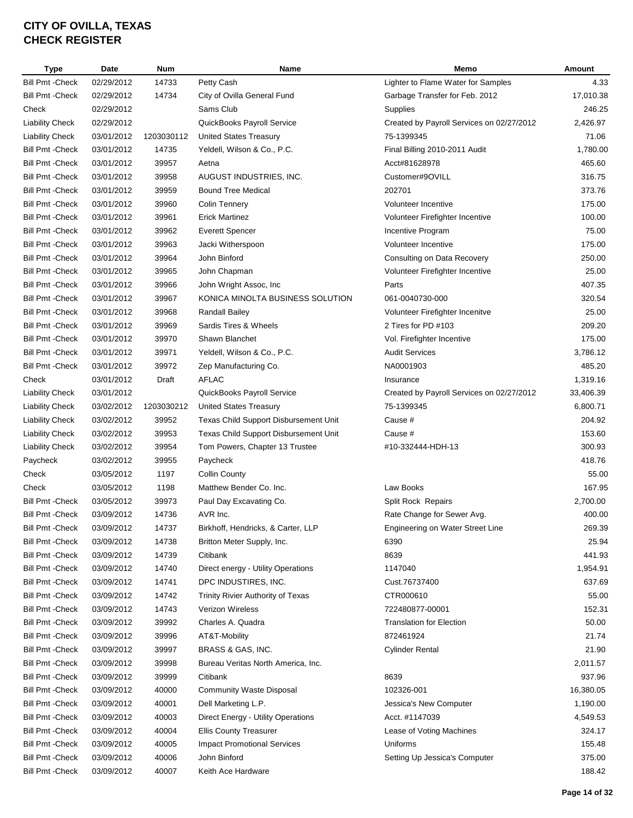| Type                    | Date       | Num        | <b>Name</b>                           | Memo                                      | Amount    |
|-------------------------|------------|------------|---------------------------------------|-------------------------------------------|-----------|
| <b>Bill Pmt - Check</b> | 02/29/2012 | 14733      | Petty Cash                            | Lighter to Flame Water for Samples        | 4.33      |
| <b>Bill Pmt - Check</b> | 02/29/2012 | 14734      | City of Ovilla General Fund           | Garbage Transfer for Feb. 2012            | 17,010.38 |
| Check                   | 02/29/2012 |            | Sams Club                             | Supplies                                  | 246.25    |
| <b>Liability Check</b>  | 02/29/2012 |            | QuickBooks Payroll Service            | Created by Payroll Services on 02/27/2012 | 2,426.97  |
| <b>Liability Check</b>  | 03/01/2012 | 1203030112 | <b>United States Treasury</b>         | 75-1399345                                | 71.06     |
| <b>Bill Pmt - Check</b> | 03/01/2012 | 14735      | Yeldell, Wilson & Co., P.C.           | Final Billing 2010-2011 Audit             | 1,780.00  |
| <b>Bill Pmt - Check</b> | 03/01/2012 | 39957      | Aetna                                 | Acct#81628978                             | 465.60    |
| <b>Bill Pmt - Check</b> | 03/01/2012 | 39958      | AUGUST INDUSTRIES, INC.               | Customer#9OVILL                           | 316.75    |
| <b>Bill Pmt - Check</b> | 03/01/2012 | 39959      | <b>Bound Tree Medical</b>             | 202701                                    | 373.76    |
| <b>Bill Pmt - Check</b> | 03/01/2012 | 39960      | Colin Tennery                         | Volunteer Incentive                       | 175.00    |
| <b>Bill Pmt - Check</b> | 03/01/2012 | 39961      | <b>Erick Martinez</b>                 | Volunteer Firefighter Incentive           | 100.00    |
| <b>Bill Pmt - Check</b> | 03/01/2012 | 39962      | Everett Spencer                       | Incentive Program                         | 75.00     |
| <b>Bill Pmt - Check</b> | 03/01/2012 | 39963      | Jacki Witherspoon                     | Volunteer Incentive                       | 175.00    |
| <b>Bill Pmt - Check</b> | 03/01/2012 | 39964      | John Binford                          | Consulting on Data Recovery               | 250.00    |
| <b>Bill Pmt - Check</b> | 03/01/2012 | 39965      | John Chapman                          | Volunteer Firefighter Incentive           | 25.00     |
| <b>Bill Pmt - Check</b> | 03/01/2012 | 39966      | John Wright Assoc, Inc                | Parts                                     | 407.35    |
| <b>Bill Pmt - Check</b> | 03/01/2012 | 39967      | KONICA MINOLTA BUSINESS SOLUTION      | 061-0040730-000                           | 320.54    |
| <b>Bill Pmt - Check</b> | 03/01/2012 | 39968      | <b>Randall Bailey</b>                 | Volunteer Firefighter Incenitve           | 25.00     |
| <b>Bill Pmt - Check</b> | 03/01/2012 | 39969      | Sardis Tires & Wheels                 | 2 Tires for PD #103                       | 209.20    |
| <b>Bill Pmt - Check</b> | 03/01/2012 | 39970      | Shawn Blanchet                        | Vol. Firefighter Incentive                | 175.00    |
| <b>Bill Pmt - Check</b> | 03/01/2012 | 39971      | Yeldell, Wilson & Co., P.C.           | <b>Audit Services</b>                     | 3,786.12  |
| <b>Bill Pmt - Check</b> | 03/01/2012 | 39972      | Zep Manufacturing Co.                 | NA0001903                                 | 485.20    |
| Check                   | 03/01/2012 | Draft      | <b>AFLAC</b>                          | Insurance                                 | 1,319.16  |
| <b>Liability Check</b>  | 03/01/2012 |            | QuickBooks Payroll Service            | Created by Payroll Services on 02/27/2012 | 33,406.39 |
| <b>Liability Check</b>  | 03/02/2012 | 1203030212 | <b>United States Treasury</b>         | 75-1399345                                | 6,800.71  |
| <b>Liability Check</b>  | 03/02/2012 | 39952      | Texas Child Support Disbursement Unit | Cause #                                   | 204.92    |
| <b>Liability Check</b>  | 03/02/2012 | 39953      | Texas Child Support Disbursement Unit | Cause #                                   | 153.60    |
| <b>Liability Check</b>  | 03/02/2012 | 39954      | Tom Powers, Chapter 13 Trustee        | #10-332444-HDH-13                         | 300.93    |
| Paycheck                | 03/02/2012 | 39955      | Paycheck                              |                                           | 418.76    |
| Check                   | 03/05/2012 | 1197       | <b>Collin County</b>                  |                                           | 55.00     |
| Check                   | 03/05/2012 | 1198       | Matthew Bender Co. Inc.               | Law Books                                 | 167.95    |
| <b>Bill Pmt - Check</b> | 03/05/2012 | 39973      | Paul Day Excavating Co.               | Split Rock Repairs                        | 2,700.00  |
| <b>Bill Pmt - Check</b> | 03/09/2012 | 14736      | AVR Inc.                              | Rate Change for Sewer Avg.                | 400.00    |
| <b>Bill Pmt - Check</b> | 03/09/2012 | 14737      | Birkhoff, Hendricks, & Carter, LLP    | Engineering on Water Street Line          | 269.39    |
| <b>Bill Pmt - Check</b> | 03/09/2012 | 14738      | Britton Meter Supply, Inc.            | 6390                                      | 25.94     |
| <b>Bill Pmt - Check</b> | 03/09/2012 | 14739      | Citibank                              | 8639                                      | 441.93    |
| <b>Bill Pmt - Check</b> | 03/09/2012 | 14740      | Direct energy - Utility Operations    | 1147040                                   | 1,954.91  |
| <b>Bill Pmt - Check</b> | 03/09/2012 | 14741      | DPC INDUSTIRES, INC.                  | Cust.76737400                             | 637.69    |
| <b>Bill Pmt - Check</b> | 03/09/2012 | 14742      | Trinity Rivier Authority of Texas     | CTR000610                                 | 55.00     |
| <b>Bill Pmt - Check</b> | 03/09/2012 | 14743      | <b>Verizon Wireless</b>               | 722480877-00001                           | 152.31    |
| <b>Bill Pmt - Check</b> | 03/09/2012 | 39992      | Charles A. Quadra                     | <b>Translation for Election</b>           | 50.00     |
| <b>Bill Pmt - Check</b> | 03/09/2012 | 39996      | AT&T-Mobility                         | 872461924                                 | 21.74     |
| <b>Bill Pmt - Check</b> | 03/09/2012 | 39997      | BRASS & GAS, INC.                     | <b>Cylinder Rental</b>                    | 21.90     |
| <b>Bill Pmt - Check</b> | 03/09/2012 | 39998      | Bureau Veritas North America, Inc.    |                                           | 2,011.57  |
| <b>Bill Pmt - Check</b> | 03/09/2012 | 39999      | Citibank                              | 8639                                      | 937.96    |
| <b>Bill Pmt - Check</b> | 03/09/2012 | 40000      | <b>Community Waste Disposal</b>       | 102326-001                                | 16,380.05 |
| <b>Bill Pmt - Check</b> | 03/09/2012 | 40001      | Dell Marketing L.P.                   | Jessica's New Computer                    | 1,190.00  |
| <b>Bill Pmt - Check</b> | 03/09/2012 | 40003      | Direct Energy - Utility Operations    | Acct. #1147039                            | 4,549.53  |
| <b>Bill Pmt - Check</b> | 03/09/2012 | 40004      | <b>Ellis County Treasurer</b>         | Lease of Voting Machines                  | 324.17    |
| <b>Bill Pmt - Check</b> | 03/09/2012 | 40005      | <b>Impact Promotional Services</b>    | Uniforms                                  | 155.48    |
| <b>Bill Pmt - Check</b> | 03/09/2012 | 40006      | John Binford                          | Setting Up Jessica's Computer             | 375.00    |
| <b>Bill Pmt - Check</b> | 03/09/2012 | 40007      | Keith Ace Hardware                    |                                           | 188.42    |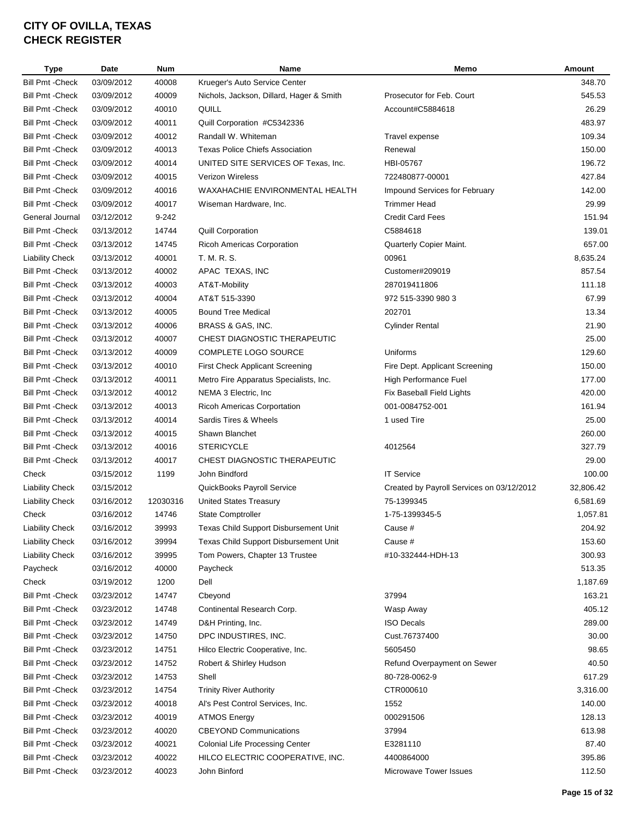| Type                    | Date       | <b>Num</b> | Name                                     | Memo                                      | Amount    |
|-------------------------|------------|------------|------------------------------------------|-------------------------------------------|-----------|
| <b>Bill Pmt - Check</b> | 03/09/2012 | 40008      | Krueger's Auto Service Center            |                                           | 348.70    |
| <b>Bill Pmt - Check</b> | 03/09/2012 | 40009      | Nichols, Jackson, Dillard, Hager & Smith | Prosecutor for Feb. Court                 | 545.53    |
| <b>Bill Pmt - Check</b> | 03/09/2012 | 40010      | QUILL                                    | Account#C5884618                          | 26.29     |
| <b>Bill Pmt - Check</b> | 03/09/2012 | 40011      | Quill Corporation #C5342336              |                                           | 483.97    |
| <b>Bill Pmt - Check</b> | 03/09/2012 | 40012      | Randall W. Whiteman                      | Travel expense                            | 109.34    |
| Bill Pmt -Check         | 03/09/2012 | 40013      | <b>Texas Police Chiefs Association</b>   | Renewal                                   | 150.00    |
| Bill Pmt -Check         | 03/09/2012 | 40014      | UNITED SITE SERVICES OF Texas, Inc.      | HBI-05767                                 | 196.72    |
| <b>Bill Pmt - Check</b> | 03/09/2012 | 40015      | <b>Verizon Wireless</b>                  | 722480877-00001                           | 427.84    |
| <b>Bill Pmt - Check</b> | 03/09/2012 | 40016      | WAXAHACHIE ENVIRONMENTAL HEALTH          | <b>Impound Services for February</b>      | 142.00    |
| <b>Bill Pmt - Check</b> | 03/09/2012 | 40017      | Wiseman Hardware, Inc.                   | <b>Trimmer Head</b>                       | 29.99     |
| General Journal         | 03/12/2012 | 9-242      |                                          | <b>Credit Card Fees</b>                   | 151.94    |
| <b>Bill Pmt - Check</b> | 03/13/2012 | 14744      | <b>Quill Corporation</b>                 | C5884618                                  | 139.01    |
| <b>Bill Pmt - Check</b> | 03/13/2012 | 14745      | <b>Ricoh Americas Corporation</b>        | Quarterly Copier Maint.                   | 657.00    |
| <b>Liability Check</b>  | 03/13/2012 | 40001      | T. M. R. S.                              | 00961                                     | 8,635.24  |
| <b>Bill Pmt - Check</b> | 03/13/2012 | 40002      | APAC TEXAS, INC                          | Customer#209019                           | 857.54    |
| <b>Bill Pmt - Check</b> | 03/13/2012 | 40003      | AT&T-Mobility                            | 287019411806                              | 111.18    |
| <b>Bill Pmt - Check</b> | 03/13/2012 | 40004      | AT&T 515-3390                            | 972 515-3390 980 3                        | 67.99     |
| <b>Bill Pmt - Check</b> | 03/13/2012 | 40005      | <b>Bound Tree Medical</b>                | 202701                                    | 13.34     |
| <b>Bill Pmt - Check</b> | 03/13/2012 | 40006      | BRASS & GAS, INC.                        | <b>Cylinder Rental</b>                    | 21.90     |
| <b>Bill Pmt - Check</b> | 03/13/2012 | 40007      | CHEST DIAGNOSTIC THERAPEUTIC             |                                           | 25.00     |
| <b>Bill Pmt - Check</b> | 03/13/2012 | 40009      | COMPLETE LOGO SOURCE                     | Uniforms                                  | 129.60    |
| <b>Bill Pmt - Check</b> | 03/13/2012 | 40010      | <b>First Check Applicant Screening</b>   | Fire Dept. Applicant Screening            | 150.00    |
| <b>Bill Pmt - Check</b> | 03/13/2012 | 40011      | Metro Fire Apparatus Specialists, Inc.   | High Performance Fuel                     | 177.00    |
| Bill Pmt - Check        | 03/13/2012 | 40012      | NEMA 3 Electric, Inc.                    | Fix Baseball Field Lights                 | 420.00    |
| Bill Pmt -Check         | 03/13/2012 | 40013      | Ricoh Americas Corportation              | 001-0084752-001                           | 161.94    |
| <b>Bill Pmt - Check</b> | 03/13/2012 | 40014      | Sardis Tires & Wheels                    | 1 used Tire                               | 25.00     |
| <b>Bill Pmt - Check</b> | 03/13/2012 | 40015      | Shawn Blanchet                           |                                           | 260.00    |
| Bill Pmt -Check         | 03/13/2012 | 40016      | <b>STERICYCLE</b>                        | 4012564                                   | 327.79    |
| Bill Pmt - Check        | 03/13/2012 | 40017      | CHEST DIAGNOSTIC THERAPEUTIC             |                                           | 29.00     |
| Check                   | 03/15/2012 | 1199       | John Bindford                            | <b>IT Service</b>                         | 100.00    |
| <b>Liability Check</b>  | 03/15/2012 |            | QuickBooks Payroll Service               | Created by Payroll Services on 03/12/2012 | 32,806.42 |
| <b>Liability Check</b>  | 03/16/2012 | 12030316   | <b>United States Treasury</b>            | 75-1399345                                | 6,581.69  |
| Check                   | 03/16/2012 | 14746      | <b>State Comptroller</b>                 | 1-75-1399345-5                            |           |
|                         |            |            |                                          | Cause #                                   | 1,057.81  |
| <b>Liability Check</b>  | 03/16/2012 | 39993      | Texas Child Support Disbursement Unit    |                                           | 204.92    |
| <b>Liability Check</b>  | 03/16/2012 | 39994      | Texas Child Support Disbursement Unit    | Cause #                                   | 153.60    |
| <b>Liability Check</b>  | 03/16/2012 | 39995      | Tom Powers, Chapter 13 Trustee           | #10-332444-HDH-13                         | 300.93    |
| Paycheck                | 03/16/2012 | 40000      | Paycheck                                 |                                           | 513.35    |
| Check                   | 03/19/2012 | 1200       | Dell                                     |                                           | 1,187.69  |
| <b>Bill Pmt - Check</b> | 03/23/2012 | 14747      | Cbeyond                                  | 37994                                     | 163.21    |
| Bill Pmt - Check        | 03/23/2012 | 14748      | Continental Research Corp.               | Wasp Away                                 | 405.12    |
| <b>Bill Pmt - Check</b> | 03/23/2012 | 14749      | D&H Printing, Inc.                       | <b>ISO Decals</b>                         | 289.00    |
| <b>Bill Pmt - Check</b> | 03/23/2012 | 14750      | DPC INDUSTIRES, INC.                     | Cust.76737400                             | 30.00     |
| <b>Bill Pmt - Check</b> | 03/23/2012 | 14751      | Hilco Electric Cooperative, Inc.         | 5605450                                   | 98.65     |
| <b>Bill Pmt - Check</b> | 03/23/2012 | 14752      | Robert & Shirley Hudson                  | Refund Overpayment on Sewer               | 40.50     |
| Bill Pmt - Check        | 03/23/2012 | 14753      | Shell                                    | 80-728-0062-9                             | 617.29    |
| Bill Pmt -Check         | 03/23/2012 | 14754      | <b>Trinity River Authority</b>           | CTR000610                                 | 3,316.00  |
| Bill Pmt -Check         | 03/23/2012 | 40018      | Al's Pest Control Services, Inc.         | 1552                                      | 140.00    |
| Bill Pmt - Check        | 03/23/2012 | 40019      | <b>ATMOS Energy</b>                      | 000291506                                 | 128.13    |
| Bill Pmt - Check        | 03/23/2012 | 40020      | <b>CBEYOND Communications</b>            | 37994                                     | 613.98    |
| <b>Bill Pmt - Check</b> | 03/23/2012 | 40021      | <b>Colonial Life Processing Center</b>   | E3281110                                  | 87.40     |
| <b>Bill Pmt - Check</b> | 03/23/2012 | 40022      | HILCO ELECTRIC COOPERATIVE, INC.         | 4400864000                                | 395.86    |
| <b>Bill Pmt - Check</b> | 03/23/2012 | 40023      | John Binford                             | Microwave Tower Issues                    | 112.50    |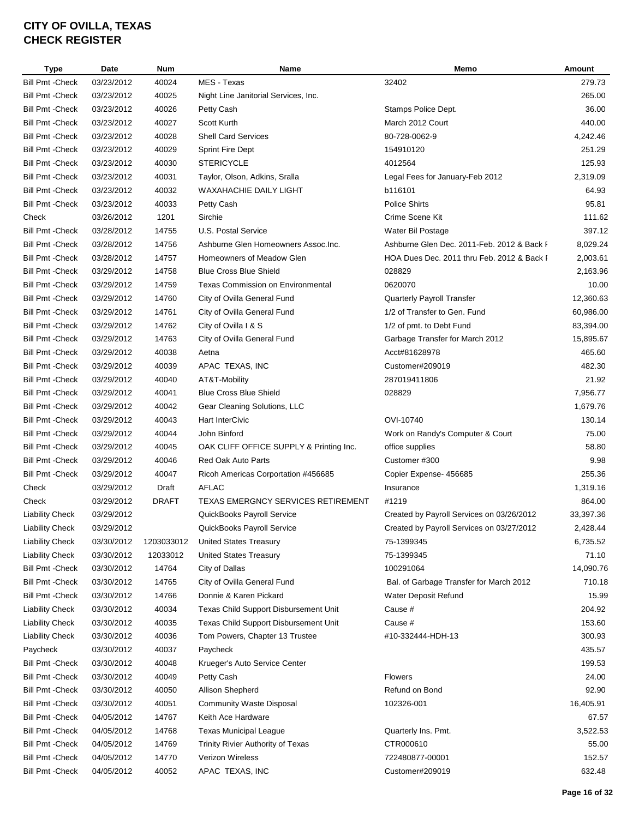| Type                    | Date       | <b>Num</b>   | Name                                      | Memo                                       | Amount    |
|-------------------------|------------|--------------|-------------------------------------------|--------------------------------------------|-----------|
| <b>Bill Pmt - Check</b> | 03/23/2012 | 40024        | MES - Texas                               | 32402                                      | 279.73    |
| <b>Bill Pmt - Check</b> | 03/23/2012 | 40025        | Night Line Janitorial Services, Inc.      |                                            | 265.00    |
| <b>Bill Pmt - Check</b> | 03/23/2012 | 40026        | Petty Cash                                | Stamps Police Dept.                        | 36.00     |
| <b>Bill Pmt - Check</b> | 03/23/2012 | 40027        | Scott Kurth                               | March 2012 Court                           | 440.00    |
| <b>Bill Pmt - Check</b> | 03/23/2012 | 40028        | <b>Shell Card Services</b>                | 80-728-0062-9                              | 4,242.46  |
| <b>Bill Pmt - Check</b> | 03/23/2012 | 40029        | Sprint Fire Dept                          | 154910120                                  | 251.29    |
| <b>Bill Pmt - Check</b> | 03/23/2012 | 40030        | <b>STERICYCLE</b>                         | 4012564                                    | 125.93    |
| <b>Bill Pmt - Check</b> | 03/23/2012 | 40031        | Taylor, Olson, Adkins, Sralla             | Legal Fees for January-Feb 2012            | 2,319.09  |
| <b>Bill Pmt - Check</b> | 03/23/2012 | 40032        | <b>WAXAHACHIE DAILY LIGHT</b>             | b116101                                    | 64.93     |
| <b>Bill Pmt - Check</b> | 03/23/2012 | 40033        | Petty Cash                                | <b>Police Shirts</b>                       | 95.81     |
| Check                   | 03/26/2012 | 1201         | Sirchie                                   | Crime Scene Kit                            | 111.62    |
| <b>Bill Pmt - Check</b> | 03/28/2012 | 14755        | U.S. Postal Service                       | Water Bil Postage                          | 397.12    |
| <b>Bill Pmt - Check</b> | 03/28/2012 | 14756        | Ashburne Glen Homeowners Assoc.Inc.       | Ashburne Glen Dec. 2011-Feb. 2012 & Back I | 8,029.24  |
| <b>Bill Pmt - Check</b> | 03/28/2012 | 14757        | Homeowners of Meadow Glen                 | HOA Dues Dec. 2011 thru Feb. 2012 & Back I | 2,003.61  |
| <b>Bill Pmt - Check</b> | 03/29/2012 | 14758        | <b>Blue Cross Blue Shield</b>             | 028829                                     | 2,163.96  |
| <b>Bill Pmt - Check</b> | 03/29/2012 | 14759        | <b>Texas Commission on Environmental</b>  | 0620070                                    | 10.00     |
| <b>Bill Pmt - Check</b> | 03/29/2012 | 14760        | City of Ovilla General Fund               | Quarterly Payroll Transfer                 | 12,360.63 |
| <b>Bill Pmt - Check</b> | 03/29/2012 | 14761        | City of Ovilla General Fund               | 1/2 of Transfer to Gen. Fund               | 60,986.00 |
| <b>Bill Pmt - Check</b> | 03/29/2012 | 14762        | City of Ovilla I & S                      | 1/2 of pmt. to Debt Fund                   | 83,394.00 |
| <b>Bill Pmt - Check</b> | 03/29/2012 | 14763        | City of Ovilla General Fund               | Garbage Transfer for March 2012            | 15,895.67 |
| <b>Bill Pmt - Check</b> | 03/29/2012 | 40038        | Aetna                                     | Acct#81628978                              | 465.60    |
| <b>Bill Pmt - Check</b> | 03/29/2012 | 40039        | APAC TEXAS, INC                           | Customer#209019                            | 482.30    |
| <b>Bill Pmt - Check</b> | 03/29/2012 | 40040        | AT&T-Mobility                             | 287019411806                               | 21.92     |
| <b>Bill Pmt - Check</b> | 03/29/2012 | 40041        | <b>Blue Cross Blue Shield</b>             | 028829                                     | 7,956.77  |
| <b>Bill Pmt - Check</b> | 03/29/2012 | 40042        | Gear Cleaning Solutions, LLC              |                                            | 1,679.76  |
| <b>Bill Pmt - Check</b> | 03/29/2012 | 40043        | <b>Hart InterCivic</b>                    | OVI-10740                                  | 130.14    |
| <b>Bill Pmt - Check</b> | 03/29/2012 | 40044        | John Binford                              | Work on Randy's Computer & Court           | 75.00     |
| <b>Bill Pmt - Check</b> | 03/29/2012 | 40045        | OAK CLIFF OFFICE SUPPLY & Printing Inc.   | office supplies                            | 58.80     |
| <b>Bill Pmt - Check</b> | 03/29/2012 | 40046        | <b>Red Oak Auto Parts</b>                 | Customer #300                              | 9.98      |
| <b>Bill Pmt - Check</b> | 03/29/2012 | 40047        | Ricoh Americas Corportation #456685       | Copier Expense- 456685                     | 255.36    |
| Check                   | 03/29/2012 | Draft        | <b>AFLAC</b>                              | Insurance                                  | 1,319.16  |
| Check                   | 03/29/2012 | <b>DRAFT</b> | <b>TEXAS EMERGNCY SERVICES RETIREMENT</b> | #1219                                      | 864.00    |
| <b>Liability Check</b>  | 03/29/2012 |              | QuickBooks Payroll Service                | Created by Payroll Services on 03/26/2012  | 33,397.36 |
| <b>Liability Check</b>  | 03/29/2012 |              | QuickBooks Payroll Service                | Created by Payroll Services on 03/27/2012  | 2,428.44  |
| <b>Liability Check</b>  | 03/30/2012 | 1203033012   | <b>United States Treasury</b>             | 75-1399345                                 | 6,735.52  |
| <b>Liability Check</b>  | 03/30/2012 | 12033012     | <b>United States Treasury</b>             | 75-1399345                                 | 71.10     |
| <b>Bill Pmt - Check</b> | 03/30/2012 | 14764        | City of Dallas                            | 100291064                                  | 14,090.76 |
| <b>Bill Pmt - Check</b> | 03/30/2012 | 14765        | City of Ovilla General Fund               | Bal. of Garbage Transfer for March 2012    | 710.18    |
| <b>Bill Pmt - Check</b> | 03/30/2012 | 14766        | Donnie & Karen Pickard                    | Water Deposit Refund                       | 15.99     |
| <b>Liability Check</b>  | 03/30/2012 | 40034        | Texas Child Support Disbursement Unit     | Cause #                                    | 204.92    |
| <b>Liability Check</b>  | 03/30/2012 | 40035        | Texas Child Support Disbursement Unit     | Cause #                                    | 153.60    |
| <b>Liability Check</b>  | 03/30/2012 | 40036        | Tom Powers, Chapter 13 Trustee            | #10-332444-HDH-13                          | 300.93    |
| Paycheck                | 03/30/2012 | 40037        | Paycheck                                  |                                            | 435.57    |
| <b>Bill Pmt - Check</b> | 03/30/2012 | 40048        | Krueger's Auto Service Center             |                                            | 199.53    |
| <b>Bill Pmt - Check</b> | 03/30/2012 | 40049        | Petty Cash                                | <b>Flowers</b>                             | 24.00     |
| <b>Bill Pmt - Check</b> | 03/30/2012 | 40050        | Allison Shepherd                          | Refund on Bond                             | 92.90     |
| <b>Bill Pmt - Check</b> | 03/30/2012 | 40051        | <b>Community Waste Disposal</b>           | 102326-001                                 | 16,405.91 |
| <b>Bill Pmt - Check</b> | 04/05/2012 | 14767        | Keith Ace Hardware                        |                                            | 67.57     |
| <b>Bill Pmt - Check</b> | 04/05/2012 | 14768        | <b>Texas Municipal League</b>             | Quarterly Ins. Pmt.                        | 3,522.53  |
| <b>Bill Pmt - Check</b> | 04/05/2012 | 14769        | Trinity Rivier Authority of Texas         | CTR000610                                  | 55.00     |
| <b>Bill Pmt - Check</b> | 04/05/2012 | 14770        | Verizon Wireless                          | 722480877-00001                            | 152.57    |
| Bill Pmt - Check        | 04/05/2012 | 40052        | APAC TEXAS, INC                           | Customer#209019                            | 632.48    |
|                         |            |              |                                           |                                            |           |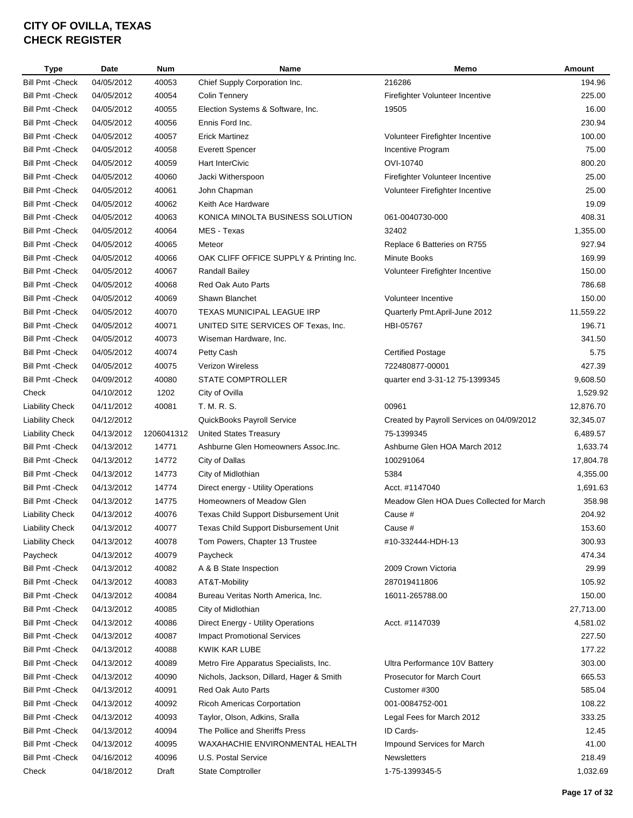| <b>Type</b>             | <b>Date</b> | <b>Num</b> | Name                                     | Memo                                      | Amount    |
|-------------------------|-------------|------------|------------------------------------------|-------------------------------------------|-----------|
| <b>Bill Pmt - Check</b> | 04/05/2012  | 40053      | Chief Supply Corporation Inc.            | 216286                                    | 194.96    |
| <b>Bill Pmt - Check</b> | 04/05/2012  | 40054      | <b>Colin Tennery</b>                     | Firefighter Volunteer Incentive           | 225.00    |
| <b>Bill Pmt - Check</b> | 04/05/2012  | 40055      | Election Systems & Software, Inc.        | 19505                                     | 16.00     |
| <b>Bill Pmt - Check</b> | 04/05/2012  | 40056      | Ennis Ford Inc.                          |                                           | 230.94    |
| <b>Bill Pmt - Check</b> | 04/05/2012  | 40057      | <b>Erick Martinez</b>                    | Volunteer Firefighter Incentive           | 100.00    |
| <b>Bill Pmt - Check</b> | 04/05/2012  | 40058      | <b>Everett Spencer</b>                   | Incentive Program                         | 75.00     |
| <b>Bill Pmt - Check</b> | 04/05/2012  | 40059      | <b>Hart InterCivic</b>                   | OVI-10740                                 | 800.20    |
| <b>Bill Pmt - Check</b> | 04/05/2012  | 40060      | Jacki Witherspoon                        | Firefighter Volunteer Incentive           | 25.00     |
| <b>Bill Pmt - Check</b> | 04/05/2012  | 40061      | John Chapman                             | Volunteer Firefighter Incentive           | 25.00     |
| <b>Bill Pmt - Check</b> | 04/05/2012  | 40062      | Keith Ace Hardware                       |                                           | 19.09     |
| <b>Bill Pmt - Check</b> | 04/05/2012  | 40063      | KONICA MINOLTA BUSINESS SOLUTION         | 061-0040730-000                           | 408.31    |
| <b>Bill Pmt - Check</b> | 04/05/2012  | 40064      | MES - Texas                              | 32402                                     | 1,355.00  |
| <b>Bill Pmt - Check</b> | 04/05/2012  | 40065      | Meteor                                   | Replace 6 Batteries on R755               | 927.94    |
| <b>Bill Pmt - Check</b> | 04/05/2012  | 40066      | OAK CLIFF OFFICE SUPPLY & Printing Inc.  | Minute Books                              | 169.99    |
| <b>Bill Pmt - Check</b> | 04/05/2012  | 40067      | <b>Randall Bailey</b>                    | Volunteer Firefighter Incentive           | 150.00    |
| <b>Bill Pmt - Check</b> | 04/05/2012  | 40068      | Red Oak Auto Parts                       |                                           | 786.68    |
| <b>Bill Pmt - Check</b> | 04/05/2012  | 40069      | Shawn Blanchet                           | Volunteer Incentive                       | 150.00    |
| <b>Bill Pmt - Check</b> | 04/05/2012  | 40070      | <b>TEXAS MUNICIPAL LEAGUE IRP</b>        | Quarterly Pmt.April-June 2012             | 11,559.22 |
| <b>Bill Pmt - Check</b> | 04/05/2012  | 40071      | UNITED SITE SERVICES OF Texas, Inc.      | HBI-05767                                 | 196.71    |
| <b>Bill Pmt - Check</b> | 04/05/2012  | 40073      | Wiseman Hardware, Inc.                   |                                           | 341.50    |
| <b>Bill Pmt - Check</b> | 04/05/2012  | 40074      | Petty Cash                               | <b>Certified Postage</b>                  | 5.75      |
| <b>Bill Pmt - Check</b> | 04/05/2012  | 40075      | <b>Verizon Wireless</b>                  | 722480877-00001                           | 427.39    |
| <b>Bill Pmt - Check</b> | 04/09/2012  | 40080      | STATE COMPTROLLER                        | quarter end 3-31-12 75-1399345            | 9,608.50  |
| Check                   | 04/10/2012  | 1202       | City of Ovilla                           |                                           | 1,529.92  |
| <b>Liability Check</b>  | 04/11/2012  | 40081      | T. M. R. S.                              | 00961                                     | 12,876.70 |
| <b>Liability Check</b>  | 04/12/2012  |            | QuickBooks Payroll Service               | Created by Payroll Services on 04/09/2012 | 32,345.07 |
| <b>Liability Check</b>  | 04/13/2012  | 1206041312 | <b>United States Treasury</b>            | 75-1399345                                | 6,489.57  |
| <b>Bill Pmt - Check</b> | 04/13/2012  | 14771      | Ashburne Glen Homeowners Assoc.Inc.      | Ashburne Glen HOA March 2012              | 1,633.74  |
| <b>Bill Pmt - Check</b> | 04/13/2012  | 14772      | City of Dallas                           | 100291064                                 | 17,804.78 |
| <b>Bill Pmt - Check</b> | 04/13/2012  | 14773      | City of Midlothian                       | 5384                                      | 4,355.00  |
| <b>Bill Pmt - Check</b> | 04/13/2012  | 14774      | Direct energy - Utility Operations       | Acct. #1147040                            | 1,691.63  |
| <b>Bill Pmt - Check</b> | 04/13/2012  | 14775      | Homeowners of Meadow Glen                | Meadow Glen HOA Dues Collected for March  | 358.98    |
|                         | 04/13/2012  |            |                                          |                                           |           |
| <b>Liability Check</b>  |             | 40076      | Texas Child Support Disbursement Unit    | Cause #                                   | 204.92    |
| <b>Liability Check</b>  | 04/13/2012  | 40077      | Texas Child Support Disbursement Unit    | Cause #                                   | 153.60    |
| <b>Liability Check</b>  | 04/13/2012  | 40078      | Tom Powers, Chapter 13 Trustee           | #10-332444-HDH-13                         | 300.93    |
| Paycheck                | 04/13/2012  | 40079      | Paycheck                                 |                                           | 474.34    |
| <b>Bill Pmt - Check</b> | 04/13/2012  | 40082      | A & B State Inspection                   | 2009 Crown Victoria                       | 29.99     |
| <b>Bill Pmt - Check</b> | 04/13/2012  | 40083      | AT&T-Mobility                            | 287019411806                              | 105.92    |
| <b>Bill Pmt - Check</b> | 04/13/2012  | 40084      | Bureau Veritas North America, Inc.       | 16011-265788.00                           | 150.00    |
| <b>Bill Pmt - Check</b> | 04/13/2012  | 40085      | City of Midlothian                       |                                           | 27,713.00 |
| <b>Bill Pmt - Check</b> | 04/13/2012  | 40086      | Direct Energy - Utility Operations       | Acct. #1147039                            | 4,581.02  |
| <b>Bill Pmt - Check</b> | 04/13/2012  | 40087      | <b>Impact Promotional Services</b>       |                                           | 227.50    |
| <b>Bill Pmt - Check</b> | 04/13/2012  | 40088      | KWIK KAR LUBE                            |                                           | 177.22    |
| <b>Bill Pmt - Check</b> | 04/13/2012  | 40089      | Metro Fire Apparatus Specialists, Inc.   | Ultra Performance 10V Battery             | 303.00    |
| <b>Bill Pmt - Check</b> | 04/13/2012  | 40090      | Nichols, Jackson, Dillard, Hager & Smith | Prosecutor for March Court                | 665.53    |
| Bill Pmt - Check        | 04/13/2012  | 40091      | Red Oak Auto Parts                       | Customer #300                             | 585.04    |
| <b>Bill Pmt - Check</b> | 04/13/2012  | 40092      | <b>Ricoh Americas Corportation</b>       | 001-0084752-001                           | 108.22    |
| <b>Bill Pmt - Check</b> | 04/13/2012  | 40093      | Taylor, Olson, Adkins, Sralla            | Legal Fees for March 2012                 | 333.25    |
| <b>Bill Pmt - Check</b> | 04/13/2012  | 40094      | The Pollice and Sheriffs Press           | ID Cards-                                 | 12.45     |
| <b>Bill Pmt - Check</b> | 04/13/2012  | 40095      | WAXAHACHIE ENVIRONMENTAL HEALTH          | Impound Services for March                | 41.00     |
| <b>Bill Pmt - Check</b> | 04/16/2012  | 40096      | U.S. Postal Service                      | Newsletters                               | 218.49    |
| Check                   | 04/18/2012  | Draft      | <b>State Comptroller</b>                 | 1-75-1399345-5                            | 1,032.69  |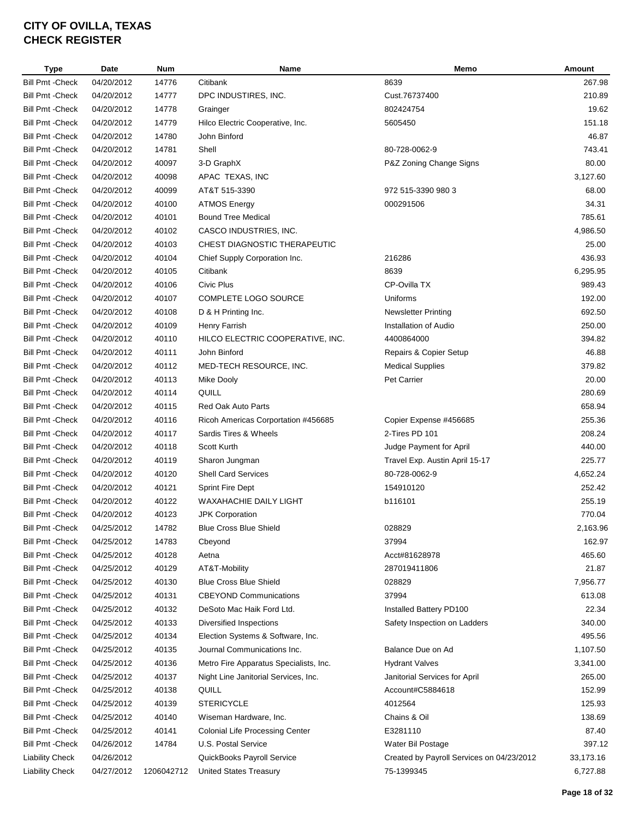| <b>Type</b>                                 | <b>Date</b> | <b>Num</b> | Name                                   | Memo                                      | Amount    |
|---------------------------------------------|-------------|------------|----------------------------------------|-------------------------------------------|-----------|
| <b>Bill Pmt - Check</b>                     | 04/20/2012  | 14776      | Citibank                               | 8639                                      | 267.98    |
| Bill Pmt -Check                             | 04/20/2012  | 14777      | DPC INDUSTIRES, INC.                   | Cust.76737400                             | 210.89    |
| <b>Bill Pmt - Check</b>                     | 04/20/2012  | 14778      | Grainger                               | 802424754                                 | 19.62     |
| Bill Pmt -Check                             | 04/20/2012  | 14779      | Hilco Electric Cooperative, Inc.       | 5605450                                   | 151.18    |
| <b>Bill Pmt - Check</b>                     | 04/20/2012  | 14780      | John Binford                           |                                           | 46.87     |
| <b>Bill Pmt - Check</b>                     | 04/20/2012  | 14781      | Shell                                  | 80-728-0062-9                             | 743.41    |
| <b>Bill Pmt - Check</b>                     | 04/20/2012  | 40097      | 3-D GraphX                             | P&Z Zoning Change Signs                   | 80.00     |
| Bill Pmt - Check                            | 04/20/2012  | 40098      | APAC TEXAS, INC                        |                                           | 3,127.60  |
| Bill Pmt - Check                            | 04/20/2012  | 40099      | AT&T 515-3390                          | 972 515-3390 980 3                        | 68.00     |
| <b>Bill Pmt - Check</b>                     | 04/20/2012  | 40100      | <b>ATMOS Energy</b>                    | 000291506                                 | 34.31     |
| <b>Bill Pmt - Check</b>                     | 04/20/2012  | 40101      | <b>Bound Tree Medical</b>              |                                           | 785.61    |
| <b>Bill Pmt - Check</b>                     | 04/20/2012  | 40102      | CASCO INDUSTRIES, INC.                 |                                           | 4,986.50  |
| <b>Bill Pmt - Check</b>                     | 04/20/2012  | 40103      | CHEST DIAGNOSTIC THERAPEUTIC           |                                           | 25.00     |
| <b>Bill Pmt - Check</b>                     | 04/20/2012  | 40104      | Chief Supply Corporation Inc.          | 216286                                    | 436.93    |
| <b>Bill Pmt - Check</b>                     | 04/20/2012  | 40105      | Citibank                               | 8639                                      | 6,295.95  |
| <b>Bill Pmt - Check</b>                     | 04/20/2012  | 40106      | Civic Plus                             | CP-Ovilla TX                              | 989.43    |
| <b>Bill Pmt - Check</b>                     | 04/20/2012  | 40107      | COMPLETE LOGO SOURCE                   | Uniforms                                  | 192.00    |
| <b>Bill Pmt - Check</b>                     | 04/20/2012  | 40108      | D & H Printing Inc.                    | <b>Newsletter Printing</b>                | 692.50    |
|                                             | 04/20/2012  | 40109      |                                        | Installation of Audio                     | 250.00    |
| Bill Pmt - Check<br><b>Bill Pmt - Check</b> |             |            | Henry Farrish                          | 4400864000                                | 394.82    |
|                                             | 04/20/2012  | 40110      | HILCO ELECTRIC COOPERATIVE, INC.       |                                           |           |
| <b>Bill Pmt - Check</b>                     | 04/20/2012  | 40111      | John Binford                           | Repairs & Copier Setup                    | 46.88     |
| <b>Bill Pmt - Check</b>                     | 04/20/2012  | 40112      | MED-TECH RESOURCE, INC.                | <b>Medical Supplies</b>                   | 379.82    |
| Bill Pmt - Check                            | 04/20/2012  | 40113      | Mike Dooly                             | Pet Carrier                               | 20.00     |
| <b>Bill Pmt - Check</b>                     | 04/20/2012  | 40114      | QUILL                                  |                                           | 280.69    |
| Bill Pmt -Check                             | 04/20/2012  | 40115      | <b>Red Oak Auto Parts</b>              |                                           | 658.94    |
| Bill Pmt -Check                             | 04/20/2012  | 40116      | Ricoh Americas Corportation #456685    | Copier Expense #456685                    | 255.36    |
| <b>Bill Pmt - Check</b>                     | 04/20/2012  | 40117      | Sardis Tires & Wheels                  | 2-Tires PD 101                            | 208.24    |
| <b>Bill Pmt - Check</b>                     | 04/20/2012  | 40118      | <b>Scott Kurth</b>                     | Judge Payment for April                   | 440.00    |
| <b>Bill Pmt - Check</b>                     | 04/20/2012  | 40119      | Sharon Jungman                         | Travel Exp. Austin April 15-17            | 225.77    |
| Bill Pmt - Check                            | 04/20/2012  | 40120      | <b>Shell Card Services</b>             | 80-728-0062-9                             | 4,652.24  |
| <b>Bill Pmt - Check</b>                     | 04/20/2012  | 40121      | <b>Sprint Fire Dept</b>                | 154910120                                 | 252.42    |
| <b>Bill Pmt - Check</b>                     | 04/20/2012  | 40122      | WAXAHACHIE DAILY LIGHT                 | b116101                                   | 255.19    |
| <b>Bill Pmt - Check</b>                     | 04/20/2012  | 40123      | <b>JPK Corporation</b>                 |                                           | 770.04    |
| <b>Bill Pmt -Check</b>                      | 04/25/2012  | 14782      | Blue Cross Blue Shield                 | 028829                                    | 2,163.96  |
| <b>Bill Pmt - Check</b>                     | 04/25/2012  | 14783      | Cbeyond                                | 37994                                     | 162.97    |
| <b>Bill Pmt - Check</b>                     | 04/25/2012  | 40128      | Aetna                                  | Acct#81628978                             | 465.60    |
| <b>Bill Pmt - Check</b>                     | 04/25/2012  | 40129      | AT&T-Mobility                          | 287019411806                              | 21.87     |
| <b>Bill Pmt - Check</b>                     | 04/25/2012  | 40130      | <b>Blue Cross Blue Shield</b>          | 028829                                    | 7,956.77  |
| Bill Pmt - Check                            | 04/25/2012  | 40131      | <b>CBEYOND Communications</b>          | 37994                                     | 613.08    |
| Bill Pmt - Check                            | 04/25/2012  | 40132      | DeSoto Mac Haik Ford Ltd.              | Installed Battery PD100                   | 22.34     |
| Bill Pmt - Check                            | 04/25/2012  | 40133      | Diversified Inspections                | Safety Inspection on Ladders              | 340.00    |
| <b>Bill Pmt - Check</b>                     | 04/25/2012  | 40134      | Election Systems & Software, Inc.      |                                           | 495.56    |
| Bill Pmt - Check                            | 04/25/2012  | 40135      | Journal Communications Inc.            | Balance Due on Ad                         | 1,107.50  |
| Bill Pmt - Check                            | 04/25/2012  | 40136      | Metro Fire Apparatus Specialists, Inc. | <b>Hydrant Valves</b>                     | 3,341.00  |
| Bill Pmt - Check                            | 04/25/2012  | 40137      | Night Line Janitorial Services, Inc.   | Janitorial Services for April             | 265.00    |
| <b>Bill Pmt - Check</b>                     | 04/25/2012  | 40138      | QUILL                                  | Account#C5884618                          | 152.99    |
| <b>Bill Pmt - Check</b>                     | 04/25/2012  | 40139      | <b>STERICYCLE</b>                      | 4012564                                   | 125.93    |
| Bill Pmt -Check                             | 04/25/2012  | 40140      | Wiseman Hardware, Inc.                 | Chains & Oil                              | 138.69    |
| Bill Pmt - Check                            | 04/25/2012  | 40141      | <b>Colonial Life Processing Center</b> | E3281110                                  | 87.40     |
| Bill Pmt - Check                            | 04/26/2012  | 14784      | U.S. Postal Service                    | Water Bil Postage                         | 397.12    |
| <b>Liability Check</b>                      | 04/26/2012  |            | QuickBooks Payroll Service             | Created by Payroll Services on 04/23/2012 | 33,173.16 |
| <b>Liability Check</b>                      | 04/27/2012  | 1206042712 | <b>United States Treasury</b>          | 75-1399345                                | 6,727.88  |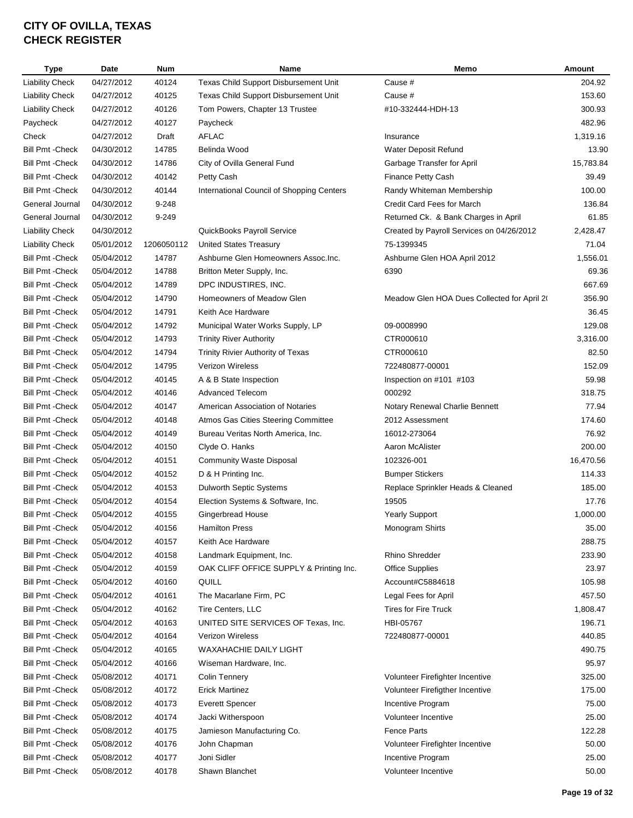| <b>Type</b>             | <b>Date</b> | <b>Num</b> | Name                                      | Memo                                        | Amount         |
|-------------------------|-------------|------------|-------------------------------------------|---------------------------------------------|----------------|
| <b>Liability Check</b>  | 04/27/2012  | 40124      | Texas Child Support Disbursement Unit     | Cause #                                     | 204.92         |
| <b>Liability Check</b>  | 04/27/2012  | 40125      | Texas Child Support Disbursement Unit     | Cause #                                     | 153.60         |
| <b>Liability Check</b>  | 04/27/2012  | 40126      | Tom Powers, Chapter 13 Trustee            | #10-332444-HDH-13                           | 300.93         |
| Paycheck                | 04/27/2012  | 40127      | Paycheck                                  |                                             | 482.96         |
| Check                   | 04/27/2012  | Draft      | AFLAC                                     | Insurance                                   | 1,319.16       |
| Bill Pmt -Check         | 04/30/2012  | 14785      | Belinda Wood                              | Water Deposit Refund                        | 13.90          |
| <b>Bill Pmt - Check</b> | 04/30/2012  | 14786      | City of Ovilla General Fund               | Garbage Transfer for April                  | 15,783.84      |
| <b>Bill Pmt - Check</b> | 04/30/2012  | 40142      | Petty Cash                                | Finance Petty Cash                          | 39.49          |
| <b>Bill Pmt - Check</b> | 04/30/2012  | 40144      | International Council of Shopping Centers | Randy Whiteman Membership                   | 100.00         |
| General Journal         | 04/30/2012  | 9-248      |                                           | Credit Card Fees for March                  | 136.84         |
| General Journal         | 04/30/2012  | 9-249      |                                           | Returned Ck. & Bank Charges in April        | 61.85          |
| <b>Liability Check</b>  | 04/30/2012  |            | QuickBooks Payroll Service                | Created by Payroll Services on 04/26/2012   | 2,428.47       |
| <b>Liability Check</b>  | 05/01/2012  | 1206050112 | <b>United States Treasury</b>             | 75-1399345                                  | 71.04          |
| <b>Bill Pmt - Check</b> | 05/04/2012  | 14787      | Ashburne Glen Homeowners Assoc.Inc.       | Ashburne Glen HOA April 2012                | 1,556.01       |
| <b>Bill Pmt - Check</b> | 05/04/2012  | 14788      | Britton Meter Supply, Inc.                | 6390                                        | 69.36          |
| <b>Bill Pmt - Check</b> | 05/04/2012  | 14789      | DPC INDUSTIRES, INC.                      |                                             | 667.69         |
| <b>Bill Pmt - Check</b> | 05/04/2012  | 14790      | Homeowners of Meadow Glen                 | Meadow Glen HOA Dues Collected for April 20 | 356.90         |
| <b>Bill Pmt - Check</b> | 05/04/2012  | 14791      | Keith Ace Hardware                        |                                             | 36.45          |
| <b>Bill Pmt - Check</b> | 05/04/2012  | 14792      | Municipal Water Works Supply, LP          | 09-0008990                                  | 129.08         |
| <b>Bill Pmt - Check</b> | 05/04/2012  | 14793      | <b>Trinity River Authority</b>            | CTR000610                                   | 3,316.00       |
| <b>Bill Pmt - Check</b> | 05/04/2012  | 14794      | Trinity Rivier Authority of Texas         | CTR000610                                   | 82.50          |
| Bill Pmt - Check        | 05/04/2012  | 14795      | Verizon Wireless                          | 722480877-00001                             | 152.09         |
| <b>Bill Pmt - Check</b> | 05/04/2012  | 40145      | A & B State Inspection                    | Inspection on #101 #103                     | 59.98          |
| <b>Bill Pmt - Check</b> | 05/04/2012  | 40146      | <b>Advanced Telecom</b>                   | 000292                                      | 318.75         |
| <b>Bill Pmt - Check</b> | 05/04/2012  | 40147      | American Association of Notaries          | Notary Renewal Charlie Bennett              | 77.94          |
| <b>Bill Pmt - Check</b> | 05/04/2012  | 40148      | Atmos Gas Cities Steering Committee       | 2012 Assessment                             | 174.60         |
| <b>Bill Pmt - Check</b> | 05/04/2012  | 40149      | Bureau Veritas North America, Inc.        | 16012-273064                                | 76.92          |
| <b>Bill Pmt - Check</b> | 05/04/2012  | 40150      | Clyde O. Hanks                            | Aaron McAlister                             | 200.00         |
| <b>Bill Pmt - Check</b> | 05/04/2012  | 40151      | <b>Community Waste Disposal</b>           | 102326-001                                  | 16,470.56      |
| <b>Bill Pmt - Check</b> | 05/04/2012  | 40152      | D & H Printing Inc.                       | <b>Bumper Stickers</b>                      | 114.33         |
| Bill Pmt - Check        | 05/04/2012  | 40153      | <b>Dulworth Septic Systems</b>            | Replace Sprinkler Heads & Cleaned           | 185.00         |
| <b>Bill Pmt - Check</b> | 05/04/2012  | 40154      | Election Systems & Software, Inc.         | 19505                                       | 17.76          |
| <b>Bill Pmt - Check</b> | 05/04/2012  | 40155      | <b>Gingerbread House</b>                  | <b>Yearly Support</b>                       | 1,000.00       |
| <b>Bill Pmt - Check</b> | 05/04/2012  | 40156      | <b>Hamilton Press</b>                     | Monogram Shirts                             | 35.00          |
| <b>Bill Pmt - Check</b> | 05/04/2012  | 40157      | Keith Ace Hardware                        |                                             | 288.75         |
| <b>Bill Pmt - Check</b> | 05/04/2012  | 40158      | Landmark Equipment, Inc.                  | Rhino Shredder                              | 233.90         |
| <b>Bill Pmt - Check</b> | 05/04/2012  | 40159      | OAK CLIFF OFFICE SUPPLY & Printing Inc.   | <b>Office Supplies</b>                      | 23.97          |
| <b>Bill Pmt - Check</b> | 05/04/2012  | 40160      | QUILL                                     | Account#C5884618                            | 105.98         |
| Bill Pmt - Check        | 05/04/2012  | 40161      | The Macarlane Firm, PC                    | Legal Fees for April                        | 457.50         |
| Bill Pmt - Check        | 05/04/2012  | 40162      | Tire Centers, LLC                         | Tires for Fire Truck                        | 1,808.47       |
| Bill Pmt - Check        | 05/04/2012  | 40163      | UNITED SITE SERVICES OF Texas, Inc.       | HBI-05767                                   | 196.71         |
| <b>Bill Pmt - Check</b> | 05/04/2012  | 40164      | Verizon Wireless                          | 722480877-00001                             | 440.85         |
| <b>Bill Pmt - Check</b> | 05/04/2012  | 40165      | WAXAHACHIE DAILY LIGHT                    |                                             | 490.75         |
| Bill Pmt -Check         | 05/04/2012  | 40166      | Wiseman Hardware, Inc.                    |                                             | 95.97          |
| Bill Pmt -Check         | 05/08/2012  | 40171      | <b>Colin Tennery</b>                      | Volunteer Firefighter Incentive             | 325.00         |
| Bill Pmt -Check         | 05/08/2012  | 40172      | <b>Erick Martinez</b>                     | Volunteer Firefigther Incentive             | 175.00         |
|                         |             |            |                                           |                                             |                |
| Bill Pmt - Check        | 05/08/2012  | 40173      | <b>Everett Spencer</b>                    | Incentive Program                           | 75.00<br>25.00 |
| <b>Bill Pmt - Check</b> | 05/08/2012  | 40174      | Jacki Witherspoon                         | Volunteer Incentive<br><b>Fence Parts</b>   | 122.28         |
| <b>Bill Pmt - Check</b> | 05/08/2012  | 40175      | Jamieson Manufacturing Co.                |                                             |                |
| <b>Bill Pmt - Check</b> | 05/08/2012  | 40176      | John Chapman                              | Volunteer Firefighter Incentive             | 50.00          |
| <b>Bill Pmt - Check</b> | 05/08/2012  | 40177      | Joni Sidler                               | Incentive Program                           | 25.00          |
| <b>Bill Pmt - Check</b> | 05/08/2012  | 40178      | Shawn Blanchet                            | Volunteer Incentive                         | 50.00          |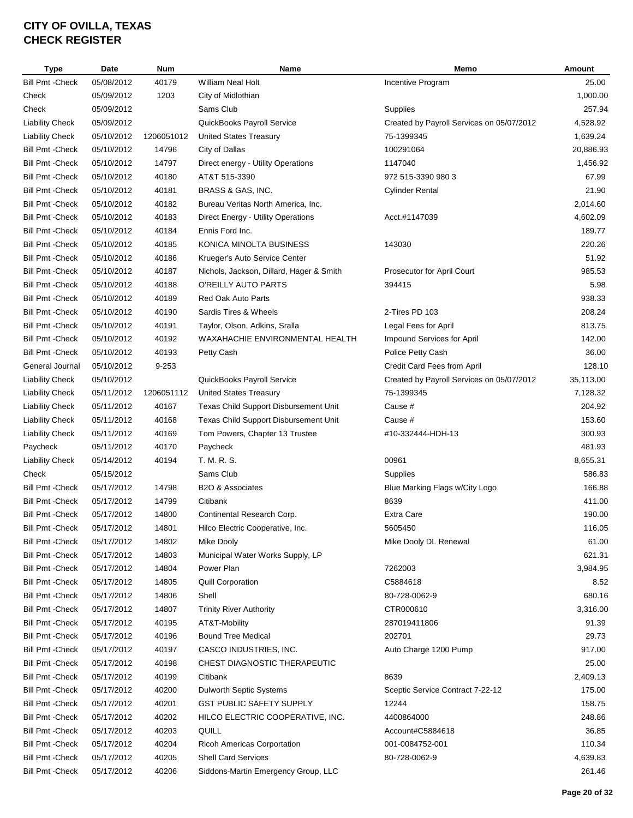| Type                    | <b>Date</b> | <b>Num</b> | Name                                     | Memo                                      | Amount    |
|-------------------------|-------------|------------|------------------------------------------|-------------------------------------------|-----------|
| <b>Bill Pmt - Check</b> | 05/08/2012  | 40179      | <b>William Neal Holt</b>                 | Incentive Program                         | 25.00     |
| Check                   | 05/09/2012  | 1203       | City of Midlothian                       |                                           | 1,000.00  |
| Check                   | 05/09/2012  |            | Sams Club                                | Supplies                                  | 257.94    |
| <b>Liability Check</b>  | 05/09/2012  |            | QuickBooks Payroll Service               | Created by Payroll Services on 05/07/2012 | 4,528.92  |
| <b>Liability Check</b>  | 05/10/2012  | 1206051012 | <b>United States Treasury</b>            | 75-1399345                                | 1,639.24  |
| Bill Pmt - Check        | 05/10/2012  | 14796      | City of Dallas                           | 100291064                                 | 20,886.93 |
| Bill Pmt - Check        | 05/10/2012  | 14797      | Direct energy - Utility Operations       | 1147040                                   | 1,456.92  |
| Bill Pmt -Check         | 05/10/2012  | 40180      | AT&T 515-3390                            | 972 515-3390 980 3                        | 67.99     |
| Bill Pmt -Check         | 05/10/2012  | 40181      | BRASS & GAS, INC.                        | <b>Cylinder Rental</b>                    | 21.90     |
| Bill Pmt - Check        | 05/10/2012  | 40182      | Bureau Veritas North America, Inc.       |                                           | 2,014.60  |
| <b>Bill Pmt - Check</b> | 05/10/2012  | 40183      | Direct Energy - Utility Operations       | Acct.#1147039                             | 4,602.09  |
| <b>Bill Pmt - Check</b> | 05/10/2012  | 40184      | Ennis Ford Inc.                          |                                           | 189.77    |
| <b>Bill Pmt - Check</b> | 05/10/2012  | 40185      | KONICA MINOLTA BUSINESS                  | 143030                                    | 220.26    |
| <b>Bill Pmt - Check</b> | 05/10/2012  | 40186      | Krueger's Auto Service Center            |                                           | 51.92     |
| <b>Bill Pmt - Check</b> | 05/10/2012  | 40187      | Nichols, Jackson, Dillard, Hager & Smith | <b>Prosecutor for April Court</b>         | 985.53    |
| <b>Bill Pmt - Check</b> | 05/10/2012  | 40188      | O'REILLY AUTO PARTS                      | 394415                                    | 5.98      |
| <b>Bill Pmt - Check</b> | 05/10/2012  | 40189      | <b>Red Oak Auto Parts</b>                |                                           | 938.33    |
| <b>Bill Pmt - Check</b> | 05/10/2012  | 40190      | Sardis Tires & Wheels                    | 2-Tires PD 103                            | 208.24    |
| <b>Bill Pmt - Check</b> | 05/10/2012  | 40191      | Taylor, Olson, Adkins, Sralla            | Legal Fees for April                      | 813.75    |
| <b>Bill Pmt - Check</b> | 05/10/2012  | 40192      | WAXAHACHIE ENVIRONMENTAL HEALTH          | Impound Services for April                | 142.00    |
| <b>Bill Pmt - Check</b> | 05/10/2012  | 40193      | Petty Cash                               | Police Petty Cash                         | 36.00     |
| General Journal         | 05/10/2012  | $9 - 253$  |                                          | Credit Card Fees from April               | 128.10    |
| <b>Liability Check</b>  | 05/10/2012  |            | QuickBooks Payroll Service               | Created by Payroll Services on 05/07/2012 | 35,113.00 |
| <b>Liability Check</b>  | 05/11/2012  | 1206051112 | <b>United States Treasury</b>            | 75-1399345                                | 7,128.32  |
| <b>Liability Check</b>  | 05/11/2012  | 40167      | Texas Child Support Disbursement Unit    | Cause #                                   | 204.92    |
| <b>Liability Check</b>  | 05/11/2012  | 40168      | Texas Child Support Disbursement Unit    | Cause #                                   | 153.60    |
| <b>Liability Check</b>  | 05/11/2012  | 40169      | Tom Powers, Chapter 13 Trustee           | #10-332444-HDH-13                         | 300.93    |
| Paycheck                | 05/11/2012  | 40170      | Paycheck                                 |                                           | 481.93    |
| <b>Liability Check</b>  | 05/14/2012  | 40194      | T. M. R. S.                              | 00961                                     | 8,655.31  |
| Check                   | 05/15/2012  |            | Sams Club                                | Supplies                                  | 586.83    |
| Bill Pmt -Check         | 05/17/2012  | 14798      | <b>B2O &amp; Associates</b>              | Blue Marking Flags w/City Logo            | 166.88    |
| <b>Bill Pmt - Check</b> | 05/17/2012  | 14799      | Citibank                                 | 8639                                      | 411.00    |
| Bill Pmt - Check        | 05/17/2012  | 14800      | Continental Research Corp.               | Extra Care                                | 190.00    |
| Bill Pmt - Check        | 05/17/2012  | 14801      | Hilco Electric Cooperative, Inc.         | 5605450                                   | 116.05    |
| Bill Pmt -Check         | 05/17/2012  | 14802      | Mike Dooly                               | Mike Dooly DL Renewal                     | 61.00     |
| <b>Bill Pmt - Check</b> | 05/17/2012  | 14803      | Municipal Water Works Supply, LP         |                                           | 621.31    |
| <b>Bill Pmt - Check</b> | 05/17/2012  | 14804      | Power Plan                               | 7262003                                   | 3,984.95  |
| <b>Bill Pmt - Check</b> | 05/17/2012  | 14805      | <b>Quill Corporation</b>                 | C5884618                                  | 8.52      |
| <b>Bill Pmt - Check</b> | 05/17/2012  | 14806      | Shell                                    | 80-728-0062-9                             | 680.16    |
| <b>Bill Pmt - Check</b> | 05/17/2012  | 14807      | <b>Trinity River Authority</b>           | CTR000610                                 | 3,316.00  |
| <b>Bill Pmt - Check</b> | 05/17/2012  | 40195      | AT&T-Mobility                            | 287019411806                              | 91.39     |
| <b>Bill Pmt - Check</b> | 05/17/2012  | 40196      | <b>Bound Tree Medical</b>                | 202701                                    | 29.73     |
| <b>Bill Pmt - Check</b> | 05/17/2012  | 40197      | CASCO INDUSTRIES, INC.                   | Auto Charge 1200 Pump                     | 917.00    |
| <b>Bill Pmt - Check</b> | 05/17/2012  | 40198      | CHEST DIAGNOSTIC THERAPEUTIC             |                                           | 25.00     |
| Bill Pmt - Check        | 05/17/2012  | 40199      | Citibank                                 | 8639                                      | 2,409.13  |
| Bill Pmt - Check        | 05/17/2012  | 40200      | Dulworth Septic Systems                  | Sceptic Service Contract 7-22-12          | 175.00    |
| <b>Bill Pmt - Check</b> | 05/17/2012  | 40201      | <b>GST PUBLIC SAFETY SUPPLY</b>          | 12244                                     | 158.75    |
| Bill Pmt -Check         | 05/17/2012  | 40202      | HILCO ELECTRIC COOPERATIVE, INC.         | 4400864000                                | 248.86    |
| Bill Pmt -Check         | 05/17/2012  | 40203      | QUILL                                    | Account#C5884618                          | 36.85     |
| Bill Pmt -Check         | 05/17/2012  | 40204      | Ricoh Americas Corportation              | 001-0084752-001                           | 110.34    |
| Bill Pmt -Check         | 05/17/2012  | 40205      | <b>Shell Card Services</b>               | 80-728-0062-9                             | 4,639.83  |
| <b>Bill Pmt - Check</b> | 05/17/2012  | 40206      | Siddons-Martin Emergency Group, LLC      |                                           | 261.46    |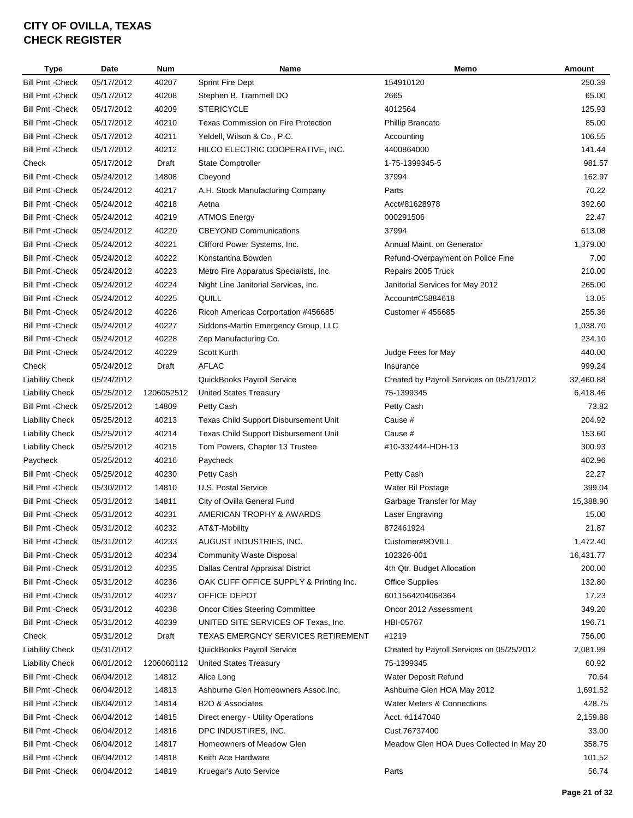| Type                    | <b>Date</b> | <b>Num</b> | <b>Name</b>                                | Memo                                      | Amount    |
|-------------------------|-------------|------------|--------------------------------------------|-------------------------------------------|-----------|
| <b>Bill Pmt - Check</b> | 05/17/2012  | 40207      | <b>Sprint Fire Dept</b>                    | 154910120                                 | 250.39    |
| <b>Bill Pmt - Check</b> | 05/17/2012  | 40208      | Stephen B. Trammell DO                     | 2665                                      | 65.00     |
| Bill Pmt - Check        | 05/17/2012  | 40209      | <b>STERICYCLE</b>                          | 4012564                                   | 125.93    |
| <b>Bill Pmt - Check</b> | 05/17/2012  | 40210      | <b>Texas Commission on Fire Protection</b> | Phillip Brancato                          | 85.00     |
| <b>Bill Pmt - Check</b> | 05/17/2012  | 40211      | Yeldell, Wilson & Co., P.C.                | Accounting                                | 106.55    |
| Bill Pmt -Check         | 05/17/2012  | 40212      | HILCO ELECTRIC COOPERATIVE, INC.           | 4400864000                                | 141.44    |
| Check                   | 05/17/2012  | Draft      | <b>State Comptroller</b>                   | 1-75-1399345-5                            | 981.57    |
| <b>Bill Pmt - Check</b> | 05/24/2012  | 14808      | Cbeyond                                    | 37994                                     | 162.97    |
| <b>Bill Pmt - Check</b> | 05/24/2012  | 40217      | A.H. Stock Manufacturing Company           | Parts                                     | 70.22     |
| <b>Bill Pmt - Check</b> | 05/24/2012  | 40218      | Aetna                                      | Acct#81628978                             | 392.60    |
| <b>Bill Pmt - Check</b> | 05/24/2012  | 40219      | <b>ATMOS Energy</b>                        | 000291506                                 | 22.47     |
| <b>Bill Pmt - Check</b> | 05/24/2012  | 40220      | <b>CBEYOND Communications</b>              | 37994                                     | 613.08    |
| <b>Bill Pmt - Check</b> | 05/24/2012  | 40221      | Clifford Power Systems, Inc.               | Annual Maint. on Generator                | 1,379.00  |
| <b>Bill Pmt - Check</b> | 05/24/2012  | 40222      | Konstantina Bowden                         | Refund-Overpayment on Police Fine         | 7.00      |
| <b>Bill Pmt - Check</b> | 05/24/2012  | 40223      | Metro Fire Apparatus Specialists, Inc.     | Repairs 2005 Truck                        | 210.00    |
| <b>Bill Pmt - Check</b> | 05/24/2012  | 40224      | Night Line Janitorial Services, Inc.       | Janitorial Services for May 2012          | 265.00    |
| <b>Bill Pmt - Check</b> | 05/24/2012  | 40225      | QUILL                                      | Account#C5884618                          | 13.05     |
| <b>Bill Pmt - Check</b> | 05/24/2012  | 40226      | Ricoh Americas Corportation #456685        | Customer # 456685                         | 255.36    |
| <b>Bill Pmt - Check</b> | 05/24/2012  | 40227      | Siddons-Martin Emergency Group, LLC        |                                           | 1,038.70  |
| Bill Pmt - Check        | 05/24/2012  | 40228      | Zep Manufacturing Co.                      |                                           | 234.10    |
| Bill Pmt - Check        | 05/24/2012  | 40229      | Scott Kurth                                | Judge Fees for May                        | 440.00    |
| Check                   | 05/24/2012  | Draft      | <b>AFLAC</b>                               | Insurance                                 | 999.24    |
| <b>Liability Check</b>  | 05/24/2012  |            | QuickBooks Payroll Service                 | Created by Payroll Services on 05/21/2012 | 32,460.88 |
| Liability Check         | 05/25/2012  | 1206052512 | <b>United States Treasury</b>              | 75-1399345                                | 6,418.46  |
| Bill Pmt - Check        | 05/25/2012  | 14809      | Petty Cash                                 | Petty Cash                                | 73.82     |
| <b>Liability Check</b>  | 05/25/2012  | 40213      | Texas Child Support Disbursement Unit      | Cause #                                   | 204.92    |
| <b>Liability Check</b>  | 05/25/2012  | 40214      | Texas Child Support Disbursement Unit      | Cause #                                   | 153.60    |
| <b>Liability Check</b>  | 05/25/2012  | 40215      | Tom Powers, Chapter 13 Trustee             | #10-332444-HDH-13                         | 300.93    |
| Paycheck                | 05/25/2012  | 40216      | Paycheck                                   |                                           | 402.96    |
| <b>Bill Pmt - Check</b> | 05/25/2012  | 40230      | Petty Cash                                 | Petty Cash                                | 22.27     |
| <b>Bill Pmt - Check</b> | 05/30/2012  | 14810      | U.S. Postal Service                        | Water Bil Postage                         | 399.04    |
| <b>Bill Pmt - Check</b> | 05/31/2012  | 14811      | City of Ovilla General Fund                | Garbage Transfer for May                  | 15,388.90 |
| <b>Bill Pmt - Check</b> | 05/31/2012  | 40231      | <b>AMERICAN TROPHY &amp; AWARDS</b>        | Laser Engraving                           | 15.00     |
| Bill Pmt -Check         | 05/31/2012  | 40232      | AT&T-Mobility                              | 872461924                                 | 21.87     |
| <b>Bill Pmt - Check</b> | 05/31/2012  | 40233      | AUGUST INDUSTRIES, INC.                    | Customer#9OVILL                           | 1,472.40  |
| <b>Bill Pmt - Check</b> | 05/31/2012  | 40234      | <b>Community Waste Disposal</b>            | 102326-001                                | 16,431.77 |
| <b>Bill Pmt - Check</b> | 05/31/2012  | 40235      | Dallas Central Appraisal District          | 4th Qtr. Budget Allocation                | 200.00    |
| <b>Bill Pmt - Check</b> | 05/31/2012  | 40236      | OAK CLIFF OFFICE SUPPLY & Printing Inc.    | <b>Office Supplies</b>                    | 132.80    |
| <b>Bill Pmt - Check</b> | 05/31/2012  | 40237      | OFFICE DEPOT                               | 6011564204068364                          | 17.23     |
| <b>Bill Pmt - Check</b> | 05/31/2012  | 40238      | <b>Oncor Cities Steering Committee</b>     | Oncor 2012 Assessment                     | 349.20    |
| Bill Pmt -Check         | 05/31/2012  | 40239      | UNITED SITE SERVICES OF Texas, Inc.        | HBI-05767                                 | 196.71    |
| Check                   | 05/31/2012  | Draft      | TEXAS EMERGNCY SERVICES RETIREMENT         | #1219                                     | 756.00    |
| <b>Liability Check</b>  | 05/31/2012  |            | QuickBooks Payroll Service                 | Created by Payroll Services on 05/25/2012 | 2,081.99  |
| <b>Liability Check</b>  | 06/01/2012  | 1206060112 | <b>United States Treasury</b>              | 75-1399345                                | 60.92     |
| Bill Pmt - Check        | 06/04/2012  | 14812      | Alice Long                                 | Water Deposit Refund                      | 70.64     |
| Bill Pmt -Check         | 06/04/2012  | 14813      | Ashburne Glen Homeowners Assoc.Inc.        | Ashburne Glen HOA May 2012                | 1,691.52  |
| <b>Bill Pmt - Check</b> | 06/04/2012  | 14814      | B2O & Associates                           | <b>Water Meters &amp; Connections</b>     | 428.75    |
| Bill Pmt - Check        | 06/04/2012  | 14815      | Direct energy - Utility Operations         | Acct. #1147040                            | 2,159.88  |
| Bill Pmt -Check         | 06/04/2012  | 14816      | DPC INDUSTIRES, INC.                       | Cust.76737400                             | 33.00     |
| Bill Pmt -Check         | 06/04/2012  | 14817      | Homeowners of Meadow Glen                  | Meadow Glen HOA Dues Collected in May 20  | 358.75    |
| Bill Pmt - Check        | 06/04/2012  | 14818      | Keith Ace Hardware                         |                                           | 101.52    |
| Bill Pmt - Check        | 06/04/2012  | 14819      | Kruegar's Auto Service                     | Parts                                     | 56.74     |
|                         |             |            |                                            |                                           |           |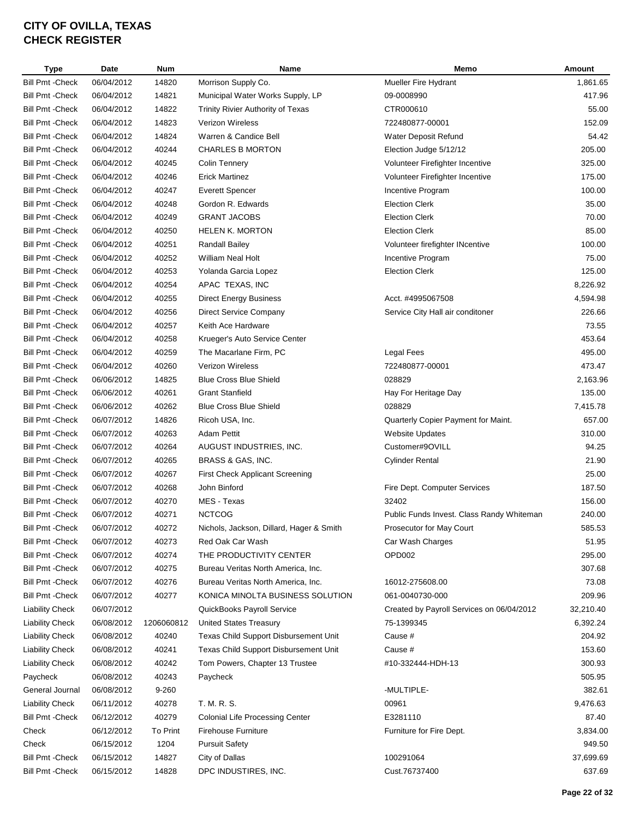| <b>Type</b>             | Date       | <b>Num</b> | Name                                     | Memo                                      | Amount    |
|-------------------------|------------|------------|------------------------------------------|-------------------------------------------|-----------|
| <b>Bill Pmt - Check</b> | 06/04/2012 | 14820      | Morrison Supply Co.                      | <b>Mueller Fire Hydrant</b>               | 1,861.65  |
| <b>Bill Pmt - Check</b> | 06/04/2012 | 14821      | Municipal Water Works Supply, LP         | 09-0008990                                | 417.96    |
| <b>Bill Pmt -Check</b>  | 06/04/2012 | 14822      | Trinity Rivier Authority of Texas        | CTR000610                                 | 55.00     |
| <b>Bill Pmt - Check</b> | 06/04/2012 | 14823      | Verizon Wireless                         | 722480877-00001                           | 152.09    |
| <b>Bill Pmt - Check</b> | 06/04/2012 | 14824      | Warren & Candice Bell                    | Water Deposit Refund                      | 54.42     |
| Bill Pmt - Check        | 06/04/2012 | 40244      | <b>CHARLES B MORTON</b>                  | Election Judge 5/12/12                    | 205.00    |
| <b>Bill Pmt - Check</b> | 06/04/2012 | 40245      | Colin Tennery                            | Volunteer Firefighter Incentive           | 325.00    |
| <b>Bill Pmt - Check</b> | 06/04/2012 | 40246      | <b>Erick Martinez</b>                    | Volunteer Firefighter Incentive           | 175.00    |
| <b>Bill Pmt - Check</b> | 06/04/2012 | 40247      | <b>Everett Spencer</b>                   | Incentive Program                         | 100.00    |
| <b>Bill Pmt - Check</b> | 06/04/2012 | 40248      | Gordon R. Edwards                        | <b>Election Clerk</b>                     | 35.00     |
| <b>Bill Pmt - Check</b> | 06/04/2012 | 40249      | <b>GRANT JACOBS</b>                      | <b>Election Clerk</b>                     | 70.00     |
| <b>Bill Pmt - Check</b> | 06/04/2012 | 40250      | <b>HELEN K. MORTON</b>                   | <b>Election Clerk</b>                     | 85.00     |
| <b>Bill Pmt - Check</b> | 06/04/2012 | 40251      | <b>Randall Bailey</b>                    | Volunteer firefighter INcentive           | 100.00    |
| <b>Bill Pmt - Check</b> | 06/04/2012 | 40252      | William Neal Holt                        | Incentive Program                         | 75.00     |
| <b>Bill Pmt - Check</b> |            |            |                                          |                                           | 125.00    |
|                         | 06/04/2012 | 40253      | Yolanda Garcia Lopez                     | <b>Election Clerk</b>                     |           |
| <b>Bill Pmt - Check</b> | 06/04/2012 | 40254      | APAC TEXAS, INC                          |                                           | 8,226.92  |
| <b>Bill Pmt - Check</b> | 06/04/2012 | 40255      | <b>Direct Energy Business</b>            | Acct. #4995067508                         | 4,594.98  |
| <b>Bill Pmt - Check</b> | 06/04/2012 | 40256      | Direct Service Company                   | Service City Hall air conditoner          | 226.66    |
| <b>Bill Pmt - Check</b> | 06/04/2012 | 40257      | Keith Ace Hardware                       |                                           | 73.55     |
| <b>Bill Pmt - Check</b> | 06/04/2012 | 40258      | Krueger's Auto Service Center            |                                           | 453.64    |
| <b>Bill Pmt - Check</b> | 06/04/2012 | 40259      | The Macarlane Firm, PC                   | <b>Legal Fees</b>                         | 495.00    |
| <b>Bill Pmt - Check</b> | 06/04/2012 | 40260      | Verizon Wireless                         | 722480877-00001                           | 473.47    |
| <b>Bill Pmt - Check</b> | 06/06/2012 | 14825      | <b>Blue Cross Blue Shield</b>            | 028829                                    | 2,163.96  |
| <b>Bill Pmt - Check</b> | 06/06/2012 | 40261      | <b>Grant Stanfield</b>                   | Hay For Heritage Day                      | 135.00    |
| <b>Bill Pmt - Check</b> | 06/06/2012 | 40262      | <b>Blue Cross Blue Shield</b>            | 028829                                    | 7,415.78  |
| <b>Bill Pmt - Check</b> | 06/07/2012 | 14826      | Ricoh USA, Inc.                          | Quarterly Copier Payment for Maint.       | 657.00    |
| <b>Bill Pmt - Check</b> | 06/07/2012 | 40263      | <b>Adam Pettit</b>                       | <b>Website Updates</b>                    | 310.00    |
| Bill Pmt - Check        | 06/07/2012 | 40264      | AUGUST INDUSTRIES, INC.                  | Customer#9OVILL                           | 94.25     |
| <b>Bill Pmt - Check</b> | 06/07/2012 | 40265      | BRASS & GAS, INC.                        | Cylinder Rental                           | 21.90     |
| <b>Bill Pmt -Check</b>  | 06/07/2012 | 40267      | First Check Applicant Screening          |                                           | 25.00     |
| <b>Bill Pmt - Check</b> | 06/07/2012 | 40268      | John Binford                             | Fire Dept. Computer Services              | 187.50    |
| <b>Bill Pmt - Check</b> | 06/07/2012 | 40270      | MES - Texas                              | 32402                                     | 156.00    |
| Bill Pmt - Check        | 06/07/2012 | 40271      | <b>NCTCOG</b>                            | Public Funds Invest. Class Randy Whiteman | 240.00    |
| <b>Bill Pmt -Check</b>  | 06/07/2012 | 40272      | Nichols, Jackson, Dillard, Hager & Smith | Prosecutor for May Court                  | 585.53    |
| <b>Bill Pmt - Check</b> | 06/07/2012 | 40273      | Red Oak Car Wash                         | Car Wash Charges                          | 51.95     |
| <b>Bill Pmt - Check</b> | 06/07/2012 | 40274      | THE PRODUCTIVITY CENTER                  | OPD <sub>002</sub>                        | 295.00    |
| <b>Bill Pmt - Check</b> | 06/07/2012 | 40275      | Bureau Veritas North America, Inc.       |                                           | 307.68    |
| <b>Bill Pmt - Check</b> | 06/07/2012 | 40276      | Bureau Veritas North America, Inc.       | 16012-275608.00                           | 73.08     |
| <b>Bill Pmt - Check</b> | 06/07/2012 | 40277      | KONICA MINOLTA BUSINESS SOLUTION         | 061-0040730-000                           | 209.96    |
| <b>Liability Check</b>  | 06/07/2012 |            | QuickBooks Payroll Service               | Created by Payroll Services on 06/04/2012 | 32,210.40 |
| <b>Liability Check</b>  | 06/08/2012 | 1206060812 | <b>United States Treasury</b>            | 75-1399345                                | 6,392.24  |
| <b>Liability Check</b>  | 06/08/2012 | 40240      | Texas Child Support Disbursement Unit    | Cause #                                   | 204.92    |
|                         |            |            | Texas Child Support Disbursement Unit    |                                           | 153.60    |
| <b>Liability Check</b>  | 06/08/2012 | 40241      |                                          | Cause #                                   |           |
| Liability Check         | 06/08/2012 | 40242      | Tom Powers, Chapter 13 Trustee           | #10-332444-HDH-13                         | 300.93    |
| Paycheck                | 06/08/2012 | 40243      | Paycheck                                 |                                           | 505.95    |
| General Journal         | 06/08/2012 | 9-260      |                                          | -MULTIPLE-                                | 382.61    |
| <b>Liability Check</b>  | 06/11/2012 | 40278      | T. M. R. S.                              | 00961                                     | 9,476.63  |
| <b>Bill Pmt - Check</b> | 06/12/2012 | 40279      | <b>Colonial Life Processing Center</b>   | E3281110                                  | 87.40     |
| Check                   | 06/12/2012 | To Print   | <b>Firehouse Furniture</b>               | Furniture for Fire Dept.                  | 3,834.00  |
| Check                   | 06/15/2012 | 1204       | <b>Pursuit Safety</b>                    |                                           | 949.50    |
| <b>Bill Pmt - Check</b> | 06/15/2012 | 14827      | City of Dallas                           | 100291064                                 | 37,699.69 |
| Bill Pmt -Check         | 06/15/2012 | 14828      | DPC INDUSTIRES, INC.                     | Cust.76737400                             | 637.69    |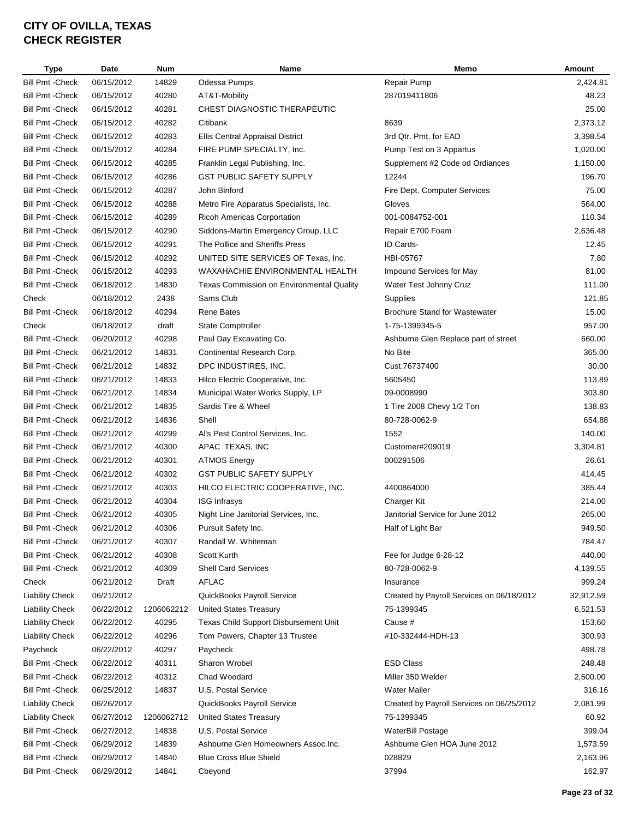| Type                                               | Date                     | <b>Num</b>     | <b>Name</b>                               | Memo                                                   | Amount             |
|----------------------------------------------------|--------------------------|----------------|-------------------------------------------|--------------------------------------------------------|--------------------|
| <b>Bill Pmt - Check</b>                            | 06/15/2012               | 14829          | Odessa Pumps                              | Repair Pump                                            | 2,424.81           |
| <b>Bill Pmt - Check</b>                            | 06/15/2012               | 40280          | AT&T-Mobility                             | 287019411806                                           | 48.23              |
| <b>Bill Pmt - Check</b>                            | 06/15/2012               | 40281          | CHEST DIAGNOSTIC THERAPEUTIC              |                                                        | 25.00              |
| <b>Bill Pmt - Check</b>                            | 06/15/2012               | 40282          | Citibank                                  | 8639                                                   | 2,373.12           |
| <b>Bill Pmt - Check</b>                            | 06/15/2012               | 40283          | Ellis Central Appraisal District          | 3rd Qtr. Pmt. for EAD                                  | 3,398.54           |
| <b>Bill Pmt - Check</b>                            | 06/15/2012               | 40284          | FIRE PUMP SPECIALTY, Inc.                 | Pump Test on 3 Appartus                                | 1,020.00           |
| <b>Bill Pmt - Check</b>                            | 06/15/2012               | 40285          | Franklin Legal Publishing, Inc.           | Supplement #2 Code od Ordiances                        | 1,150.00           |
| <b>Bill Pmt - Check</b>                            | 06/15/2012               | 40286          | <b>GST PUBLIC SAFETY SUPPLY</b>           | 12244                                                  | 196.70             |
| <b>Bill Pmt - Check</b>                            | 06/15/2012               | 40287          | John Binford                              | Fire Dept. Computer Services                           | 75.00              |
| <b>Bill Pmt - Check</b>                            | 06/15/2012               | 40288          | Metro Fire Apparatus Specialists, Inc.    | Gloves                                                 | 564.00             |
| <b>Bill Pmt - Check</b>                            | 06/15/2012               | 40289          | <b>Ricoh Americas Corportation</b>        | 001-0084752-001                                        | 110.34             |
| <b>Bill Pmt - Check</b>                            | 06/15/2012               | 40290          | Siddons-Martin Emergency Group, LLC       | Repair E700 Foam                                       | 2,636.48           |
| <b>Bill Pmt - Check</b>                            | 06/15/2012               | 40291          | The Pollice and Sheriffs Press            | ID Cards-                                              | 12.45              |
| <b>Bill Pmt - Check</b>                            | 06/15/2012               | 40292          | UNITED SITE SERVICES OF Texas, Inc.       | HBI-05767                                              | 7.80               |
| <b>Bill Pmt - Check</b>                            | 06/15/2012               | 40293          | WAXAHACHIE ENVIRONMENTAL HEALTH           | Impound Services for May                               | 81.00              |
| <b>Bill Pmt - Check</b>                            | 06/18/2012               | 14830          | Texas Commission on Environmental Quality | Water Test Johnny Cruz                                 | 111.00             |
| Check                                              | 06/18/2012               | 2438           | Sams Club                                 | Supplies                                               | 121.85             |
| <b>Bill Pmt - Check</b>                            | 06/18/2012               | 40294          | <b>Rene Bates</b>                         | <b>Brochure Stand for Wastewater</b>                   | 15.00              |
| Check                                              | 06/18/2012               | draft          | <b>State Comptroller</b>                  | 1-75-1399345-5                                         | 957.00             |
| <b>Bill Pmt - Check</b>                            | 06/20/2012               | 40298          | Paul Day Excavating Co.                   | Ashburne Glen Replace part of street                   | 660.00             |
| <b>Bill Pmt - Check</b>                            | 06/21/2012               | 14831          | Continental Research Corp.                | No Bite                                                | 365.00             |
| <b>Bill Pmt - Check</b>                            | 06/21/2012               | 14832          | DPC INDUSTIRES, INC.                      | Cust.76737400                                          | 30.00              |
| <b>Bill Pmt - Check</b>                            | 06/21/2012               | 14833          | Hilco Electric Cooperative, Inc.          | 5605450                                                | 113.89             |
| <b>Bill Pmt - Check</b>                            | 06/21/2012               | 14834          | Municipal Water Works Supply, LP          | 09-0008990                                             | 303.80             |
| <b>Bill Pmt - Check</b>                            | 06/21/2012               | 14835          | Sardis Tire & Wheel                       | 1 Tire 2008 Chevy 1/2 Ton                              | 138.83             |
| <b>Bill Pmt - Check</b>                            | 06/21/2012               | 14836          | Shell                                     | 80-728-0062-9                                          | 654.88             |
| <b>Bill Pmt - Check</b>                            | 06/21/2012               | 40299          | Al's Pest Control Services, Inc.          | 1552                                                   | 140.00             |
| <b>Bill Pmt - Check</b>                            | 06/21/2012               | 40300          | APAC TEXAS, INC                           | Customer#209019                                        | 3,304.81           |
| <b>Bill Pmt - Check</b>                            | 06/21/2012               | 40301          | <b>ATMOS Energy</b>                       | 000291506                                              | 26.61              |
| <b>Bill Pmt - Check</b>                            | 06/21/2012               | 40302          | <b>GST PUBLIC SAFETY SUPPLY</b>           |                                                        | 414.45             |
| <b>Bill Pmt - Check</b>                            | 06/21/2012               | 40303          | HILCO ELECTRIC COOPERATIVE, INC.          | 4400864000                                             | 385.44             |
| <b>Bill Pmt - Check</b>                            | 06/21/2012               | 40304          | <b>ISG Infrasys</b>                       | Charger Kit                                            | 214.00             |
| <b>Bill Pmt - Check</b>                            | 06/21/2012               | 40305          | Night Line Janitorial Services, Inc.      | Janitorial Service for June 2012                       | 265.00             |
| <b>Bill Pmt - Check</b>                            | 06/21/2012               | 40306          | Pursuit Safety Inc.                       | Half of Light Bar                                      | 949.50             |
| <b>Bill Pmt - Check</b>                            |                          |                | Randall W. Whiteman                       |                                                        | 784.47             |
|                                                    | 06/21/2012               | 40307          |                                           | Fee for Judge 6-28-12                                  |                    |
| <b>Bill Pmt - Check</b><br><b>Bill Pmt - Check</b> | 06/21/2012<br>06/21/2012 | 40308<br>40309 | Scott Kurth<br><b>Shell Card Services</b> | 80-728-0062-9                                          | 440.00<br>4,139.55 |
|                                                    |                          |                |                                           |                                                        | 999.24             |
| Check<br><b>Liability Check</b>                    | 06/21/2012               | Draft          | AFLAC                                     | Insurance<br>Created by Payroll Services on 06/18/2012 |                    |
|                                                    | 06/21/2012               |                | QuickBooks Payroll Service                |                                                        | 32,912.59          |
| <b>Liability Check</b>                             | 06/22/2012               | 1206062212     | <b>United States Treasury</b>             | 75-1399345                                             | 6,521.53           |
| <b>Liability Check</b>                             | 06/22/2012               | 40295          | Texas Child Support Disbursement Unit     | Cause #                                                | 153.60             |
| <b>Liability Check</b>                             | 06/22/2012               | 40296          | Tom Powers, Chapter 13 Trustee            | #10-332444-HDH-13                                      | 300.93             |
| Paycheck                                           | 06/22/2012               | 40297          | Paycheck                                  |                                                        | 498.78             |
| <b>Bill Pmt - Check</b>                            | 06/22/2012               | 40311          | Sharon Wrobel                             | <b>ESD Class</b>                                       | 248.48             |
| <b>Bill Pmt - Check</b>                            | 06/22/2012               | 40312          | Chad Woodard                              | Miller 350 Welder                                      | 2,500.00           |
| Bill Pmt - Check                                   | 06/25/2012               | 14837          | U.S. Postal Service                       | <b>Water Mailer</b>                                    | 316.16             |
| <b>Liability Check</b>                             | 06/26/2012               |                | QuickBooks Payroll Service                | Created by Payroll Services on 06/25/2012              | 2,081.99           |
| <b>Liability Check</b>                             | 06/27/2012               | 1206062712     | <b>United States Treasury</b>             | 75-1399345                                             | 60.92              |
| <b>Bill Pmt - Check</b>                            | 06/27/2012               | 14838          | U.S. Postal Service                       | <b>WaterBill Postage</b>                               | 399.04             |
| <b>Bill Pmt - Check</b>                            | 06/29/2012               | 14839          | Ashburne Glen Homeowners Assoc.Inc.       | Ashburne Glen HOA June 2012                            | 1,573.59           |
| <b>Bill Pmt - Check</b>                            | 06/29/2012               | 14840          | <b>Blue Cross Blue Shield</b>             | 028829                                                 | 2,163.96           |
| <b>Bill Pmt - Check</b>                            | 06/29/2012               | 14841          | Cbeyond                                   | 37994                                                  | 162.97             |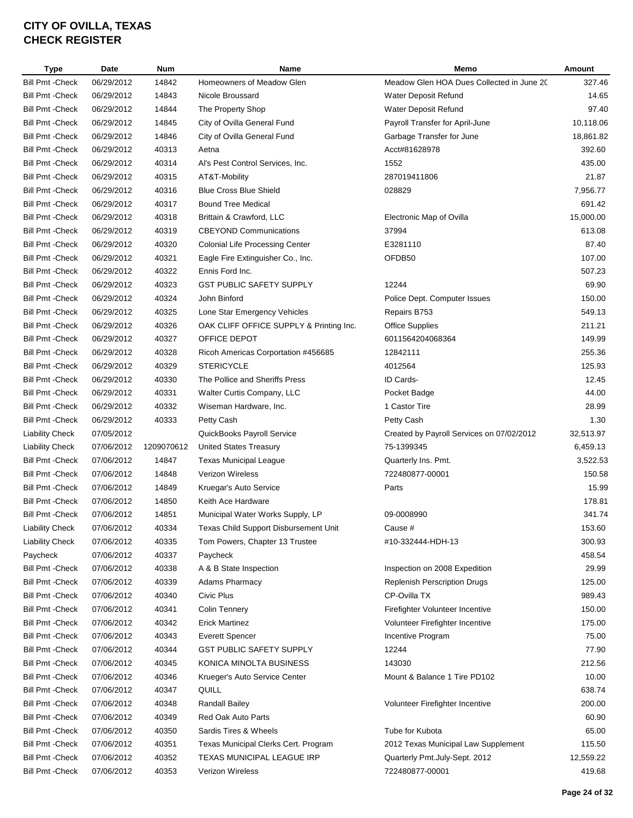| <b>Type</b>             | Date       | <b>Num</b> | <b>Name</b>                             | Memo                                      | Amount    |
|-------------------------|------------|------------|-----------------------------------------|-------------------------------------------|-----------|
| <b>Bill Pmt - Check</b> | 06/29/2012 | 14842      | Homeowners of Meadow Glen               | Meadow Glen HOA Dues Collected in June 20 | 327.46    |
| <b>Bill Pmt - Check</b> | 06/29/2012 | 14843      | Nicole Broussard                        | Water Deposit Refund                      | 14.65     |
| <b>Bill Pmt - Check</b> | 06/29/2012 | 14844      | The Property Shop                       | Water Deposit Refund                      | 97.40     |
| <b>Bill Pmt - Check</b> | 06/29/2012 | 14845      | City of Ovilla General Fund             | Payroll Transfer for April-June           | 10,118.06 |
| <b>Bill Pmt - Check</b> | 06/29/2012 | 14846      | City of Ovilla General Fund             | Garbage Transfer for June                 | 18,861.82 |
| <b>Bill Pmt - Check</b> | 06/29/2012 | 40313      | Aetna                                   | Acct#81628978                             | 392.60    |
| <b>Bill Pmt - Check</b> | 06/29/2012 | 40314      | Al's Pest Control Services, Inc.        | 1552                                      | 435.00    |
| <b>Bill Pmt - Check</b> | 06/29/2012 | 40315      | AT&T-Mobility                           | 287019411806                              | 21.87     |
| <b>Bill Pmt - Check</b> | 06/29/2012 | 40316      | <b>Blue Cross Blue Shield</b>           | 028829                                    | 7,956.77  |
| <b>Bill Pmt - Check</b> | 06/29/2012 | 40317      | <b>Bound Tree Medical</b>               |                                           | 691.42    |
| <b>Bill Pmt - Check</b> | 06/29/2012 | 40318      | Brittain & Crawford, LLC                | Electronic Map of Ovilla                  | 15,000.00 |
| <b>Bill Pmt - Check</b> | 06/29/2012 | 40319      | <b>CBEYOND Communications</b>           | 37994                                     | 613.08    |
| <b>Bill Pmt - Check</b> | 06/29/2012 | 40320      | <b>Colonial Life Processing Center</b>  | E3281110                                  | 87.40     |
| <b>Bill Pmt - Check</b> | 06/29/2012 | 40321      | Eagle Fire Extinguisher Co., Inc.       | OFDB50                                    | 107.00    |
| <b>Bill Pmt - Check</b> | 06/29/2012 | 40322      | Ennis Ford Inc.                         |                                           | 507.23    |
| <b>Bill Pmt - Check</b> | 06/29/2012 | 40323      | <b>GST PUBLIC SAFETY SUPPLY</b>         | 12244                                     | 69.90     |
|                         | 06/29/2012 |            | John Binford                            |                                           | 150.00    |
| <b>Bill Pmt - Check</b> |            | 40324      |                                         | Police Dept. Computer Issues              |           |
| <b>Bill Pmt - Check</b> | 06/29/2012 | 40325      | Lone Star Emergency Vehicles            | Repairs B753                              | 549.13    |
| <b>Bill Pmt - Check</b> | 06/29/2012 | 40326      | OAK CLIFF OFFICE SUPPLY & Printing Inc. | <b>Office Supplies</b>                    | 211.21    |
| <b>Bill Pmt - Check</b> | 06/29/2012 | 40327      | OFFICE DEPOT                            | 6011564204068364                          | 149.99    |
| <b>Bill Pmt - Check</b> | 06/29/2012 | 40328      | Ricoh Americas Corportation #456685     | 12842111                                  | 255.36    |
| <b>Bill Pmt - Check</b> | 06/29/2012 | 40329      | <b>STERICYCLE</b>                       | 4012564                                   | 125.93    |
| <b>Bill Pmt - Check</b> | 06/29/2012 | 40330      | The Pollice and Sheriffs Press          | ID Cards-                                 | 12.45     |
| <b>Bill Pmt - Check</b> | 06/29/2012 | 40331      | Walter Curtis Company, LLC              | Pocket Badge                              | 44.00     |
| <b>Bill Pmt - Check</b> | 06/29/2012 | 40332      | Wiseman Hardware, Inc.                  | 1 Castor Tire                             | 28.99     |
| <b>Bill Pmt - Check</b> | 06/29/2012 | 40333      | Petty Cash                              | Petty Cash                                | 1.30      |
| <b>Liability Check</b>  | 07/05/2012 |            | QuickBooks Payroll Service              | Created by Payroll Services on 07/02/2012 | 32,513.97 |
| <b>Liability Check</b>  | 07/06/2012 | 1209070612 | United States Treasury                  | 75-1399345                                | 6,459.13  |
| <b>Bill Pmt - Check</b> | 07/06/2012 | 14847      | <b>Texas Municipal League</b>           | Quarterly Ins. Pmt.                       | 3,522.53  |
| <b>Bill Pmt - Check</b> | 07/06/2012 | 14848      | Verizon Wireless                        | 722480877-00001                           | 150.58    |
| <b>Bill Pmt - Check</b> | 07/06/2012 | 14849      | Kruegar's Auto Service                  | Parts                                     | 15.99     |
| <b>Bill Pmt - Check</b> | 07/06/2012 | 14850      | Keith Ace Hardware                      |                                           | 178.81    |
| <b>Bill Pmt - Check</b> | 07/06/2012 | 14851      | Municipal Water Works Supply, LP        | 09-0008990                                | 341.74    |
| <b>Liability Check</b>  | 07/06/2012 | 40334      | Texas Child Support Disbursement Unit   | Cause #                                   | 153.60    |
| <b>Liability Check</b>  | 07/06/2012 | 40335      | Tom Powers, Chapter 13 Trustee          | #10-332444-HDH-13                         | 300.93    |
| Paycheck                | 07/06/2012 | 40337      | Paycheck                                |                                           | 458.54    |
| <b>Bill Pmt - Check</b> | 07/06/2012 | 40338      | A & B State Inspection                  | Inspection on 2008 Expedition             | 29.99     |
| <b>Bill Pmt - Check</b> | 07/06/2012 | 40339      | <b>Adams Pharmacy</b>                   | <b>Replenish Perscription Drugs</b>       | 125.00    |
| <b>Bill Pmt - Check</b> | 07/06/2012 | 40340      | Civic Plus                              | CP-Ovilla TX                              | 989.43    |
| <b>Bill Pmt - Check</b> | 07/06/2012 | 40341      | <b>Colin Tennery</b>                    | Firefighter Volunteer Incentive           | 150.00    |
| <b>Bill Pmt - Check</b> | 07/06/2012 | 40342      | <b>Erick Martinez</b>                   | Volunteer Firefighter Incentive           | 175.00    |
| <b>Bill Pmt - Check</b> | 07/06/2012 | 40343      | <b>Everett Spencer</b>                  | Incentive Program                         | 75.00     |
| <b>Bill Pmt - Check</b> | 07/06/2012 | 40344      | <b>GST PUBLIC SAFETY SUPPLY</b>         | 12244                                     | 77.90     |
| <b>Bill Pmt - Check</b> | 07/06/2012 | 40345      | KONICA MINOLTA BUSINESS                 | 143030                                    | 212.56    |
| <b>Bill Pmt - Check</b> | 07/06/2012 | 40346      | Krueger's Auto Service Center           | Mount & Balance 1 Tire PD102              | 10.00     |
| <b>Bill Pmt - Check</b> | 07/06/2012 | 40347      | QUILL                                   |                                           | 638.74    |
| <b>Bill Pmt - Check</b> | 07/06/2012 | 40348      | <b>Randall Bailey</b>                   | Volunteer Firefighter Incentive           | 200.00    |
| <b>Bill Pmt - Check</b> | 07/06/2012 | 40349      | Red Oak Auto Parts                      |                                           | 60.90     |
| <b>Bill Pmt - Check</b> | 07/06/2012 | 40350      | Sardis Tires & Wheels                   | Tube for Kubota                           | 65.00     |
| <b>Bill Pmt - Check</b> | 07/06/2012 | 40351      | Texas Municipal Clerks Cert. Program    | 2012 Texas Municipal Law Supplement       | 115.50    |
| <b>Bill Pmt - Check</b> | 07/06/2012 | 40352      | TEXAS MUNICIPAL LEAGUE IRP              | Quarterly Pmt.July-Sept. 2012             | 12,559.22 |
| <b>Bill Pmt -Check</b>  | 07/06/2012 | 40353      | Verizon Wireless                        | 722480877-00001                           | 419.68    |
|                         |            |            |                                         |                                           |           |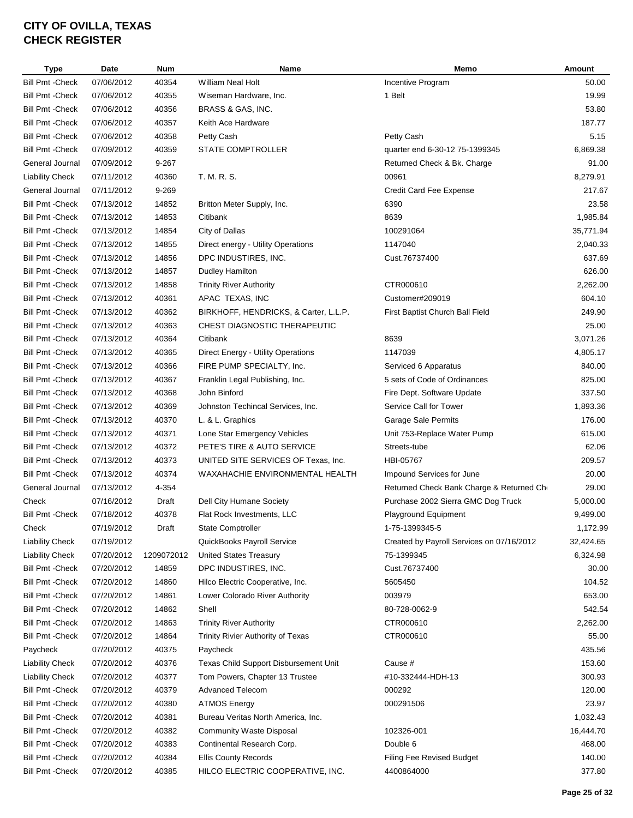| Type                    | Date       | <b>Num</b> | Name                                  | Memo                                      | Amount    |
|-------------------------|------------|------------|---------------------------------------|-------------------------------------------|-----------|
| <b>Bill Pmt - Check</b> | 07/06/2012 | 40354      | <b>William Neal Holt</b>              | Incentive Program                         | 50.00     |
| <b>Bill Pmt - Check</b> | 07/06/2012 | 40355      | Wiseman Hardware, Inc.                | 1 Belt                                    | 19.99     |
| <b>Bill Pmt - Check</b> | 07/06/2012 | 40356      | BRASS & GAS, INC.                     |                                           | 53.80     |
| <b>Bill Pmt - Check</b> | 07/06/2012 | 40357      | Keith Ace Hardware                    |                                           | 187.77    |
| <b>Bill Pmt - Check</b> | 07/06/2012 | 40358      | Petty Cash                            | Petty Cash                                | 5.15      |
| <b>Bill Pmt - Check</b> | 07/09/2012 | 40359      | STATE COMPTROLLER                     | quarter end 6-30-12 75-1399345            | 6,869.38  |
| General Journal         | 07/09/2012 | 9-267      |                                       | Returned Check & Bk. Charge               | 91.00     |
| <b>Liability Check</b>  | 07/11/2012 | 40360      | T. M. R. S.                           | 00961                                     | 8,279.91  |
| General Journal         | 07/11/2012 | 9-269      |                                       | Credit Card Fee Expense                   | 217.67    |
| <b>Bill Pmt - Check</b> | 07/13/2012 | 14852      | Britton Meter Supply, Inc.            | 6390                                      | 23.58     |
| <b>Bill Pmt - Check</b> | 07/13/2012 | 14853      | Citibank                              | 8639                                      | 1,985.84  |
| <b>Bill Pmt - Check</b> | 07/13/2012 | 14854      | City of Dallas                        | 100291064                                 | 35,771.94 |
| <b>Bill Pmt - Check</b> | 07/13/2012 | 14855      | Direct energy - Utility Operations    | 1147040                                   | 2,040.33  |
| <b>Bill Pmt - Check</b> | 07/13/2012 | 14856      | DPC INDUSTIRES, INC.                  | Cust.76737400                             | 637.69    |
| <b>Bill Pmt - Check</b> | 07/13/2012 | 14857      | Dudley Hamilton                       |                                           | 626.00    |
| <b>Bill Pmt - Check</b> | 07/13/2012 | 14858      | <b>Trinity River Authority</b>        | CTR000610                                 | 2,262.00  |
| <b>Bill Pmt - Check</b> | 07/13/2012 | 40361      | APAC TEXAS, INC                       | Customer#209019                           | 604.10    |
| <b>Bill Pmt - Check</b> | 07/13/2012 | 40362      | BIRKHOFF, HENDRICKS, & Carter, L.L.P. | First Baptist Church Ball Field           | 249.90    |
| <b>Bill Pmt - Check</b> | 07/13/2012 | 40363      | CHEST DIAGNOSTIC THERAPEUTIC          |                                           | 25.00     |
| <b>Bill Pmt - Check</b> | 07/13/2012 | 40364      | Citibank                              | 8639                                      | 3,071.26  |
| <b>Bill Pmt - Check</b> | 07/13/2012 | 40365      | Direct Energy - Utility Operations    | 1147039                                   | 4,805.17  |
| <b>Bill Pmt - Check</b> | 07/13/2012 | 40366      | FIRE PUMP SPECIALTY, Inc.             | Serviced 6 Apparatus                      | 840.00    |
| <b>Bill Pmt - Check</b> | 07/13/2012 | 40367      | Franklin Legal Publishing, Inc.       | 5 sets of Code of Ordinances              | 825.00    |
| <b>Bill Pmt - Check</b> | 07/13/2012 | 40368      | John Binford                          | Fire Dept. Software Update                | 337.50    |
| <b>Bill Pmt - Check</b> | 07/13/2012 | 40369      | Johnston Techincal Services, Inc.     | Service Call for Tower                    | 1,893.36  |
| <b>Bill Pmt - Check</b> | 07/13/2012 | 40370      | L. & L. Graphics                      | Garage Sale Permits                       | 176.00    |
| <b>Bill Pmt - Check</b> | 07/13/2012 | 40371      | Lone Star Emergency Vehicles          | Unit 753-Replace Water Pump               | 615.00    |
| <b>Bill Pmt - Check</b> | 07/13/2012 | 40372      | PETE'S TIRE & AUTO SERVICE            | Streets-tube                              | 62.06     |
| <b>Bill Pmt - Check</b> | 07/13/2012 | 40373      | UNITED SITE SERVICES OF Texas, Inc.   | HBI-05767                                 | 209.57    |
| <b>Bill Pmt - Check</b> | 07/13/2012 | 40374      | WAXAHACHIE ENVIRONMENTAL HEALTH       | Impound Services for June                 | 20.00     |
| General Journal         | 07/13/2012 | 4-354      |                                       | Returned Check Bank Charge & Returned Cho | 29.00     |
|                         |            |            |                                       |                                           | 5,000.00  |
| Check                   | 07/16/2012 | Draft      | Dell City Humane Society              | Purchase 2002 Sierra GMC Dog Truck        |           |
| <b>Bill Pmt - Check</b> | 07/18/2012 | 40378      | Flat Rock Investments, LLC            | Playground Equipment                      | 9,499.00  |
| Check                   | 07/19/2012 | Draft      | State Comptroller                     | 1-75-1399345-5                            | 1,172.99  |
| <b>Liability Check</b>  | 07/19/2012 |            | QuickBooks Payroll Service            | Created by Payroll Services on 07/16/2012 | 32,424.65 |
| <b>Liability Check</b>  | 07/20/2012 | 1209072012 | <b>United States Treasury</b>         | 75-1399345                                | 6,324.98  |
| <b>Bill Pmt - Check</b> | 07/20/2012 | 14859      | DPC INDUSTIRES, INC.                  | Cust.76737400                             | 30.00     |
| <b>Bill Pmt - Check</b> | 07/20/2012 | 14860      | Hilco Electric Cooperative, Inc.      | 5605450                                   | 104.52    |
| <b>Bill Pmt - Check</b> | 07/20/2012 | 14861      | Lower Colorado River Authority        | 003979                                    | 653.00    |
| <b>Bill Pmt - Check</b> | 07/20/2012 | 14862      | Shell                                 | 80-728-0062-9                             | 542.54    |
| <b>Bill Pmt - Check</b> | 07/20/2012 | 14863      | <b>Trinity River Authority</b>        | CTR000610                                 | 2,262.00  |
| <b>Bill Pmt - Check</b> | 07/20/2012 | 14864      | Trinity Rivier Authority of Texas     | CTR000610                                 | 55.00     |
| Paycheck                | 07/20/2012 | 40375      | Paycheck                              |                                           | 435.56    |
| <b>Liability Check</b>  | 07/20/2012 | 40376      | Texas Child Support Disbursement Unit | Cause #                                   | 153.60    |
| <b>Liability Check</b>  | 07/20/2012 | 40377      | Tom Powers, Chapter 13 Trustee        | #10-332444-HDH-13                         | 300.93    |
| <b>Bill Pmt - Check</b> | 07/20/2012 | 40379      | <b>Advanced Telecom</b>               | 000292                                    | 120.00    |
| <b>Bill Pmt - Check</b> | 07/20/2012 | 40380      | <b>ATMOS Energy</b>                   | 000291506                                 | 23.97     |
| <b>Bill Pmt - Check</b> | 07/20/2012 | 40381      | Bureau Veritas North America, Inc.    |                                           | 1,032.43  |
| <b>Bill Pmt - Check</b> | 07/20/2012 | 40382      | <b>Community Waste Disposal</b>       | 102326-001                                | 16,444.70 |
| <b>Bill Pmt - Check</b> | 07/20/2012 | 40383      | Continental Research Corp.            | Double 6                                  | 468.00    |
| <b>Bill Pmt - Check</b> | 07/20/2012 | 40384      | <b>Ellis County Records</b>           | Filing Fee Revised Budget                 | 140.00    |
| <b>Bill Pmt - Check</b> | 07/20/2012 | 40385      | HILCO ELECTRIC COOPERATIVE, INC.      | 4400864000                                | 377.80    |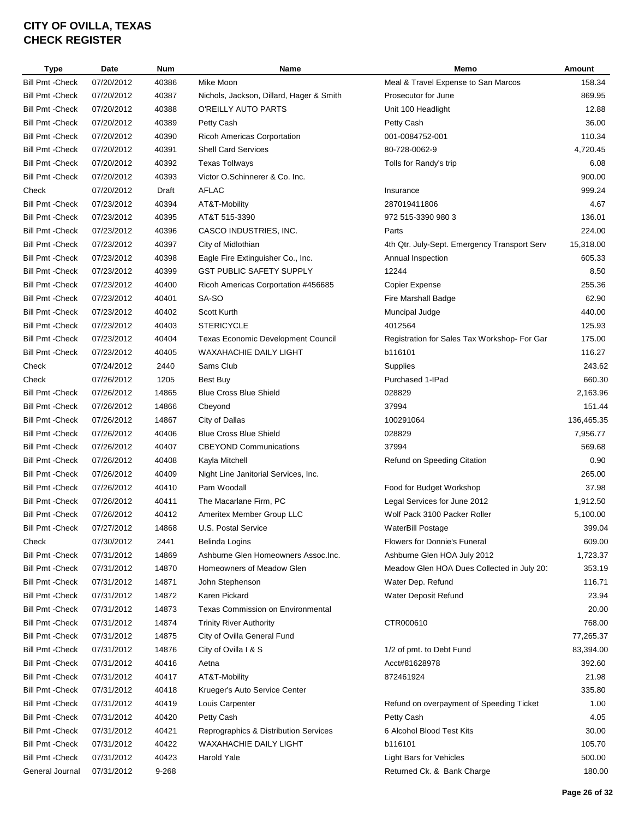| <b>Type</b>             | Date       | <b>Num</b> | Name                                                | Memo                                         | Amount     |
|-------------------------|------------|------------|-----------------------------------------------------|----------------------------------------------|------------|
| <b>Bill Pmt -Check</b>  | 07/20/2012 | 40386      | Mike Moon                                           | Meal & Travel Expense to San Marcos          | 158.34     |
| <b>Bill Pmt - Check</b> | 07/20/2012 | 40387      | Nichols, Jackson, Dillard, Hager & Smith            | Prosecutor for June                          | 869.95     |
| <b>Bill Pmt - Check</b> | 07/20/2012 | 40388      | O'REILLY AUTO PARTS                                 | Unit 100 Headlight                           | 12.88      |
| <b>Bill Pmt - Check</b> | 07/20/2012 | 40389      | Petty Cash                                          | Petty Cash                                   | 36.00      |
| <b>Bill Pmt - Check</b> | 07/20/2012 | 40390      | <b>Ricoh Americas Corportation</b>                  | 001-0084752-001                              | 110.34     |
| <b>Bill Pmt - Check</b> | 07/20/2012 | 40391      | <b>Shell Card Services</b>                          | 80-728-0062-9                                | 4,720.45   |
| <b>Bill Pmt - Check</b> | 07/20/2012 | 40392      | <b>Texas Tollways</b>                               | Tolls for Randy's trip                       | 6.08       |
| <b>Bill Pmt - Check</b> | 07/20/2012 | 40393      | Victor O.Schinnerer & Co. Inc.                      |                                              | 900.00     |
| Check                   | 07/20/2012 | Draft      | AFLAC                                               | Insurance                                    | 999.24     |
| <b>Bill Pmt - Check</b> | 07/23/2012 | 40394      | AT&T-Mobility                                       | 287019411806                                 | 4.67       |
| <b>Bill Pmt - Check</b> | 07/23/2012 | 40395      | AT&T 515-3390                                       | 972 515-3390 980 3                           | 136.01     |
| <b>Bill Pmt - Check</b> | 07/23/2012 | 40396      | CASCO INDUSTRIES, INC.                              | Parts                                        | 224.00     |
| <b>Bill Pmt - Check</b> | 07/23/2012 | 40397      | City of Midlothian                                  | 4th Qtr. July-Sept. Emergency Transport Serv | 15,318.00  |
| <b>Bill Pmt - Check</b> | 07/23/2012 | 40398      | Eagle Fire Extinguisher Co., Inc.                   | Annual Inspection                            | 605.33     |
| <b>Bill Pmt - Check</b> | 07/23/2012 | 40399      | <b>GST PUBLIC SAFETY SUPPLY</b>                     | 12244                                        | 8.50       |
| <b>Bill Pmt - Check</b> | 07/23/2012 | 40400      | Ricoh Americas Corportation #456685                 | Copier Expense                               | 255.36     |
| <b>Bill Pmt - Check</b> | 07/23/2012 | 40401      | SA-SO                                               | <b>Fire Marshall Badge</b>                   | 62.90      |
| <b>Bill Pmt - Check</b> | 07/23/2012 | 40402      | Scott Kurth                                         | Muncipal Judge                               | 440.00     |
| <b>Bill Pmt - Check</b> | 07/23/2012 | 40403      | <b>STERICYCLE</b>                                   | 4012564                                      | 125.93     |
| <b>Bill Pmt - Check</b> | 07/23/2012 | 40404      | <b>Texas Economic Development Council</b>           | Registration for Sales Tax Workshop- For Gar | 175.00     |
| <b>Bill Pmt - Check</b> | 07/23/2012 | 40405      | WAXAHACHIE DAILY LIGHT                              | b116101                                      | 116.27     |
| Check                   | 07/24/2012 | 2440       | Sams Club                                           | Supplies                                     | 243.62     |
| Check                   | 07/26/2012 | 1205       | Best Buy                                            | Purchased 1-IPad                             | 660.30     |
| <b>Bill Pmt - Check</b> | 07/26/2012 | 14865      | <b>Blue Cross Blue Shield</b>                       | 028829                                       | 2,163.96   |
| <b>Bill Pmt - Check</b> | 07/26/2012 | 14866      | Cbeyond                                             | 37994                                        | 151.44     |
| <b>Bill Pmt - Check</b> | 07/26/2012 | 14867      | City of Dallas                                      | 100291064                                    | 136,465.35 |
| <b>Bill Pmt - Check</b> | 07/26/2012 | 40406      | <b>Blue Cross Blue Shield</b>                       | 028829                                       | 7,956.77   |
| <b>Bill Pmt - Check</b> | 07/26/2012 | 40407      | <b>CBEYOND Communications</b>                       | 37994                                        | 569.68     |
| <b>Bill Pmt - Check</b> | 07/26/2012 | 40408      | Kayla Mitchell                                      | Refund on Speeding Citation                  | 0.90       |
| <b>Bill Pmt - Check</b> |            |            |                                                     |                                              |            |
|                         | 07/26/2012 | 40409      | Night Line Janitorial Services, Inc.<br>Pam Woodall |                                              | 265.00     |
| <b>Bill Pmt - Check</b> | 07/26/2012 | 40410      |                                                     | Food for Budget Workshop                     | 37.98      |
| <b>Bill Pmt - Check</b> | 07/26/2012 | 40411      | The Macarlane Firm, PC                              | Legal Services for June 2012                 | 1,912.50   |
| <b>Bill Pmt - Check</b> | 07/26/2012 | 40412      | Ameritex Member Group LLC                           | Wolf Pack 3100 Packer Roller                 | 5,100.00   |
| <b>Bill Pmt - Check</b> | 07/27/2012 | 14868      | U.S. Postal Service                                 | WaterBill Postage                            | 399.04     |
| Check                   | 07/30/2012 | 2441       | Belinda Logins                                      | Flowers for Donnie's Funeral                 | 609.00     |
| <b>Bill Pmt - Check</b> | 07/31/2012 | 14869      | Ashburne Glen Homeowners Assoc.Inc.                 | Ashburne Glen HOA July 2012                  | 1,723.37   |
| <b>Bill Pmt - Check</b> | 07/31/2012 | 14870      | Homeowners of Meadow Glen                           | Meadow Glen HOA Dues Collected in July 20'   | 353.19     |
| <b>Bill Pmt - Check</b> | 07/31/2012 | 14871      | John Stephenson                                     | Water Dep. Refund                            | 116.71     |
| <b>Bill Pmt - Check</b> | 07/31/2012 | 14872      | Karen Pickard                                       | Water Deposit Refund                         | 23.94      |
| <b>Bill Pmt - Check</b> | 07/31/2012 | 14873      | <b>Texas Commission on Environmental</b>            |                                              | 20.00      |
| <b>Bill Pmt - Check</b> | 07/31/2012 | 14874      | <b>Trinity River Authority</b>                      | CTR000610                                    | 768.00     |
| <b>Bill Pmt - Check</b> | 07/31/2012 | 14875      | City of Ovilla General Fund                         |                                              | 77,265.37  |
| <b>Bill Pmt - Check</b> | 07/31/2012 | 14876      | City of Ovilla I & S                                | 1/2 of pmt. to Debt Fund                     | 83,394.00  |
| <b>Bill Pmt - Check</b> | 07/31/2012 | 40416      | Aetna                                               | Acct#81628978                                | 392.60     |
| <b>Bill Pmt - Check</b> | 07/31/2012 | 40417      | AT&T-Mobility                                       | 872461924                                    | 21.98      |
| <b>Bill Pmt - Check</b> | 07/31/2012 | 40418      | Krueger's Auto Service Center                       |                                              | 335.80     |
| <b>Bill Pmt - Check</b> | 07/31/2012 | 40419      | Louis Carpenter                                     | Refund on overpayment of Speeding Ticket     | 1.00       |
| <b>Bill Pmt - Check</b> | 07/31/2012 | 40420      | Petty Cash                                          | Petty Cash                                   | 4.05       |
| <b>Bill Pmt - Check</b> | 07/31/2012 | 40421      | Reprographics & Distribution Services               | 6 Alcohol Blood Test Kits                    | 30.00      |
| Bill Pmt - Check        | 07/31/2012 | 40422      | WAXAHACHIE DAILY LIGHT                              | b116101                                      | 105.70     |
| <b>Bill Pmt - Check</b> | 07/31/2012 | 40423      | Harold Yale                                         | Light Bars for Vehicles                      | 500.00     |
| General Journal         | 07/31/2012 | 9-268      |                                                     | Returned Ck. & Bank Charge                   | 180.00     |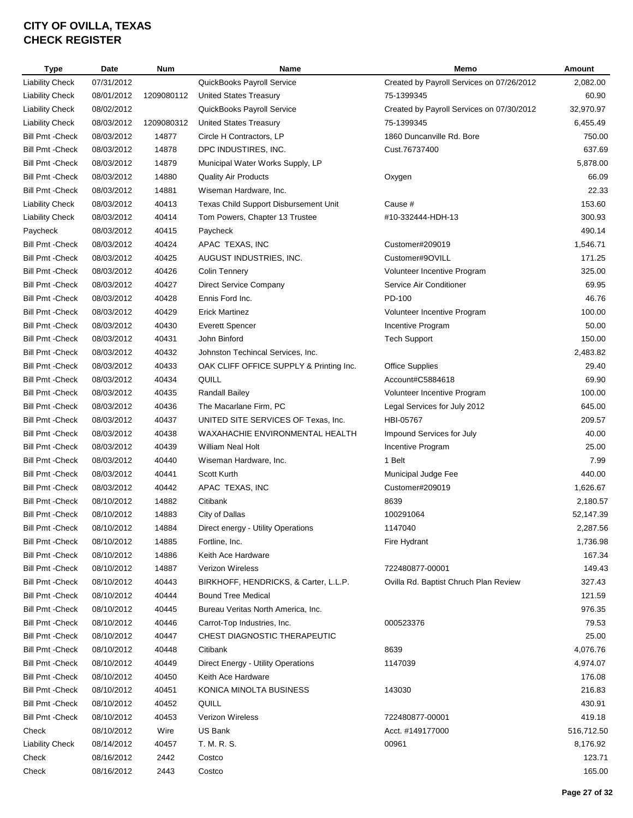| Type                                               | Date                     | <b>Num</b>     | <b>Name</b>                             | Memo                                      | Amount           |
|----------------------------------------------------|--------------------------|----------------|-----------------------------------------|-------------------------------------------|------------------|
| <b>Liability Check</b>                             | 07/31/2012               |                | QuickBooks Payroll Service              | Created by Payroll Services on 07/26/2012 | 2,082.00         |
| <b>Liability Check</b>                             | 08/01/2012               | 1209080112     | <b>United States Treasury</b>           | 75-1399345                                | 60.90            |
| <b>Liability Check</b>                             | 08/02/2012               |                | QuickBooks Payroll Service              | Created by Payroll Services on 07/30/2012 | 32,970.97        |
| <b>Liability Check</b>                             | 08/03/2012               | 1209080312     | <b>United States Treasury</b>           | 75-1399345                                | 6,455.49         |
| <b>Bill Pmt - Check</b>                            | 08/03/2012               | 14877          | Circle H Contractors, LP                | 1860 Duncanville Rd. Bore                 | 750.00           |
| <b>Bill Pmt - Check</b>                            | 08/03/2012               | 14878          | DPC INDUSTIRES, INC.                    | Cust.76737400                             | 637.69           |
| <b>Bill Pmt - Check</b>                            | 08/03/2012               | 14879          | Municipal Water Works Supply, LP        |                                           | 5,878.00         |
| <b>Bill Pmt - Check</b>                            | 08/03/2012               | 14880          | <b>Quality Air Products</b>             | Oxygen                                    | 66.09            |
| <b>Bill Pmt - Check</b>                            | 08/03/2012               | 14881          | Wiseman Hardware, Inc.                  |                                           | 22.33            |
| <b>Liability Check</b>                             | 08/03/2012               | 40413          | Texas Child Support Disbursement Unit   | Cause #                                   | 153.60           |
| <b>Liability Check</b>                             | 08/03/2012               | 40414          | Tom Powers, Chapter 13 Trustee          | #10-332444-HDH-13                         | 300.93           |
| Paycheck                                           | 08/03/2012               | 40415          | Paycheck                                |                                           | 490.14           |
| <b>Bill Pmt - Check</b>                            | 08/03/2012               | 40424          | APAC TEXAS, INC                         | Customer#209019                           | 1,546.71         |
| <b>Bill Pmt - Check</b>                            | 08/03/2012               | 40425          | AUGUST INDUSTRIES, INC.                 | Customer#9OVILL                           | 171.25           |
| <b>Bill Pmt - Check</b>                            | 08/03/2012               | 40426          | <b>Colin Tennery</b>                    | Volunteer Incentive Program               | 325.00           |
| <b>Bill Pmt - Check</b>                            | 08/03/2012               | 40427          | Direct Service Company                  | Service Air Conditioner                   | 69.95            |
| <b>Bill Pmt - Check</b>                            | 08/03/2012               | 40428          | Ennis Ford Inc.                         | PD-100                                    | 46.76            |
| <b>Bill Pmt - Check</b>                            | 08/03/2012               | 40429          | <b>Erick Martinez</b>                   | Volunteer Incentive Program               | 100.00           |
| <b>Bill Pmt - Check</b>                            | 08/03/2012               | 40430          | <b>Everett Spencer</b>                  | Incentive Program                         | 50.00            |
| <b>Bill Pmt - Check</b>                            | 08/03/2012               | 40431          | John Binford                            | <b>Tech Support</b>                       | 150.00           |
| <b>Bill Pmt - Check</b>                            | 08/03/2012               | 40432          | Johnston Techincal Services, Inc.       |                                           | 2,483.82         |
| <b>Bill Pmt - Check</b>                            | 08/03/2012               | 40433          | OAK CLIFF OFFICE SUPPLY & Printing Inc. | <b>Office Supplies</b>                    | 29.40            |
| <b>Bill Pmt - Check</b>                            | 08/03/2012               | 40434          | QUILL                                   | Account#C5884618                          | 69.90            |
| <b>Bill Pmt - Check</b>                            | 08/03/2012               | 40435          | <b>Randall Bailey</b>                   | Volunteer Incentive Program               | 100.00           |
| <b>Bill Pmt - Check</b>                            | 08/03/2012               | 40436          | The Macarlane Firm, PC                  | Legal Services for July 2012              | 645.00           |
| <b>Bill Pmt - Check</b>                            | 08/03/2012               | 40437          | UNITED SITE SERVICES OF Texas, Inc.     | HBI-05767                                 | 209.57           |
| <b>Bill Pmt - Check</b>                            | 08/03/2012               | 40438          | <b>WAXAHACHIE ENVIRONMENTAL HEALTH</b>  | Impound Services for July                 | 40.00            |
| <b>Bill Pmt - Check</b>                            | 08/03/2012               | 40439          | William Neal Holt                       | Incentive Program                         | 25.00            |
| <b>Bill Pmt - Check</b>                            | 08/03/2012               | 40440          | Wiseman Hardware, Inc.                  | 1 Belt                                    | 7.99             |
| <b>Bill Pmt - Check</b>                            | 08/03/2012               | 40441          | Scott Kurth                             | Municipal Judge Fee                       | 440.00           |
| <b>Bill Pmt - Check</b>                            | 08/03/2012               | 40442          | APAC TEXAS, INC                         | Customer#209019                           | 1,626.67         |
| <b>Bill Pmt - Check</b>                            | 08/10/2012               | 14882          | Citibank                                | 8639                                      | 2,180.57         |
| <b>Bill Pmt - Check</b>                            | 08/10/2012               | 14883          | City of Dallas                          | 100291064                                 | 52,147.39        |
| <b>Bill Pmt - Check</b>                            | 08/10/2012               | 14884          | Direct energy - Utility Operations      | 1147040                                   | 2,287.56         |
|                                                    |                          |                |                                         |                                           |                  |
| Bill Pmt - Check                                   | 08/10/2012<br>08/10/2012 | 14885          | Fortline, Inc.<br>Keith Ace Hardware    | Fire Hydrant                              | 1,736.98         |
| <b>Bill Pmt - Check</b><br><b>Bill Pmt - Check</b> | 08/10/2012               | 14886<br>14887 | Verizon Wireless                        | 722480877-00001                           | 167.34<br>149.43 |
|                                                    |                          |                |                                         |                                           | 327.43           |
| <b>Bill Pmt - Check</b>                            | 08/10/2012               | 40443          | BIRKHOFF, HENDRICKS, & Carter, L.L.P.   | Ovilla Rd. Baptist Chruch Plan Review     |                  |
| <b>Bill Pmt - Check</b>                            | 08/10/2012               | 40444          | <b>Bound Tree Medical</b>               |                                           | 121.59           |
| <b>Bill Pmt - Check</b>                            | 08/10/2012               | 40445          | Bureau Veritas North America, Inc.      |                                           | 976.35           |
| <b>Bill Pmt - Check</b>                            | 08/10/2012               | 40446          | Carrot-Top Industries, Inc.             | 000523376                                 | 79.53            |
| <b>Bill Pmt - Check</b>                            | 08/10/2012               | 40447          | CHEST DIAGNOSTIC THERAPEUTIC            |                                           | 25.00            |
| <b>Bill Pmt - Check</b>                            | 08/10/2012               | 40448          | Citibank                                | 8639                                      | 4,076.76         |
| <b>Bill Pmt - Check</b>                            | 08/10/2012               | 40449          | Direct Energy - Utility Operations      | 1147039                                   | 4,974.07         |
| <b>Bill Pmt - Check</b>                            | 08/10/2012               | 40450          | Keith Ace Hardware                      |                                           | 176.08           |
| <b>Bill Pmt - Check</b>                            | 08/10/2012               | 40451          | KONICA MINOLTA BUSINESS                 | 143030                                    | 216.83           |
| <b>Bill Pmt -Check</b>                             | 08/10/2012               | 40452          | QUILL                                   |                                           | 430.91           |
| <b>Bill Pmt - Check</b>                            | 08/10/2012               | 40453          | Verizon Wireless                        | 722480877-00001                           | 419.18           |
| Check                                              | 08/10/2012               | Wire           | US Bank                                 | Acct. #149177000                          | 516,712.50       |
| <b>Liability Check</b>                             | 08/14/2012               | 40457          | T. M. R. S.                             | 00961                                     | 8,176.92         |
| Check                                              | 08/16/2012               | 2442           | Costco                                  |                                           | 123.71           |
| Check                                              | 08/16/2012               | 2443           | Costco                                  |                                           | 165.00           |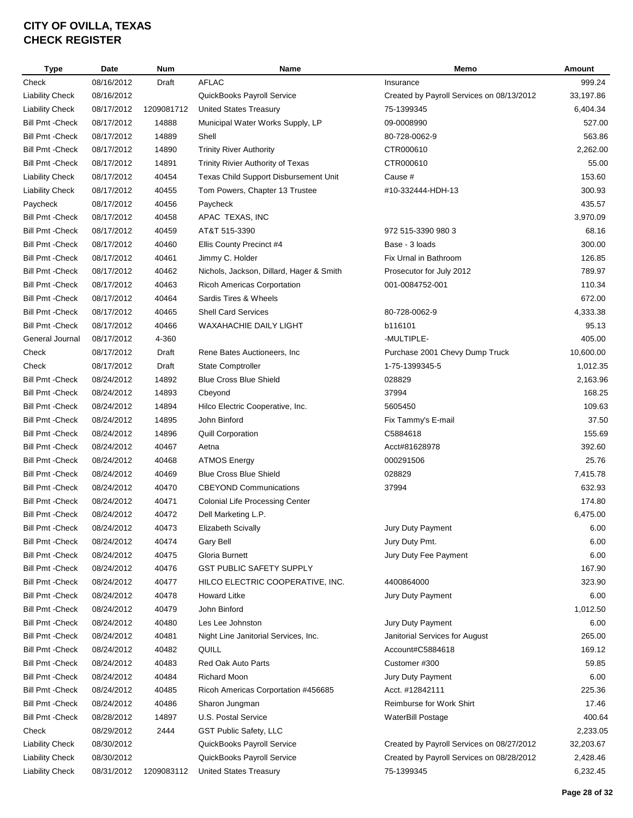| Type                    | Date                     | <b>Num</b> | <b>Name</b>                                       | Memo                                      | Amount         |
|-------------------------|--------------------------|------------|---------------------------------------------------|-------------------------------------------|----------------|
| Check                   | 08/16/2012               | Draft      | <b>AFLAC</b>                                      | Insurance                                 | 999.24         |
| <b>Liability Check</b>  | 08/16/2012               |            | QuickBooks Payroll Service                        | Created by Payroll Services on 08/13/2012 | 33,197.86      |
| <b>Liability Check</b>  | 08/17/2012               | 1209081712 | <b>United States Treasury</b>                     | 75-1399345                                | 6,404.34       |
| <b>Bill Pmt - Check</b> | 08/17/2012               | 14888      | Municipal Water Works Supply, LP                  | 09-0008990                                | 527.00         |
| <b>Bill Pmt - Check</b> | 08/17/2012               | 14889      | Shell                                             | 80-728-0062-9                             | 563.86         |
| <b>Bill Pmt - Check</b> | 08/17/2012               | 14890      | <b>Trinity River Authority</b>                    | CTR000610                                 | 2,262.00       |
| <b>Bill Pmt - Check</b> | 08/17/2012               | 14891      | Trinity Rivier Authority of Texas                 | CTR000610                                 | 55.00          |
| <b>Liability Check</b>  | 08/17/2012               | 40454      | Texas Child Support Disbursement Unit             | Cause #                                   | 153.60         |
| <b>Liability Check</b>  | 08/17/2012               | 40455      | Tom Powers, Chapter 13 Trustee                    | #10-332444-HDH-13                         | 300.93         |
| Paycheck                | 08/17/2012               | 40456      | Paycheck                                          |                                           | 435.57         |
| <b>Bill Pmt - Check</b> | 08/17/2012               | 40458      | APAC TEXAS, INC                                   |                                           | 3,970.09       |
| <b>Bill Pmt - Check</b> | 08/17/2012               | 40459      | AT&T 515-3390                                     | 972 515-3390 980 3                        | 68.16          |
| <b>Bill Pmt - Check</b> | 08/17/2012               | 40460      | Ellis County Precinct #4                          | Base - 3 loads                            | 300.00         |
| <b>Bill Pmt - Check</b> | 08/17/2012               | 40461      | Jimmy C. Holder                                   | Fix Urnal in Bathroom                     | 126.85         |
| <b>Bill Pmt - Check</b> | 08/17/2012               | 40462      | Nichols, Jackson, Dillard, Hager & Smith          | Prosecutor for July 2012                  | 789.97         |
| <b>Bill Pmt - Check</b> | 08/17/2012               | 40463      | <b>Ricoh Americas Corportation</b>                | 001-0084752-001                           | 110.34         |
| <b>Bill Pmt - Check</b> | 08/17/2012               | 40464      | Sardis Tires & Wheels                             |                                           | 672.00         |
| <b>Bill Pmt - Check</b> | 08/17/2012               | 40465      | <b>Shell Card Services</b>                        | 80-728-0062-9                             | 4,333.38       |
| <b>Bill Pmt - Check</b> | 08/17/2012               | 40466      | <b>WAXAHACHIE DAILY LIGHT</b>                     | b116101                                   | 95.13          |
| General Journal         | 08/17/2012               | 4-360      |                                                   | -MULTIPLE-                                | 405.00         |
| Check                   | 08/17/2012               | Draft      | Rene Bates Auctioneers, Inc.                      | Purchase 2001 Chevy Dump Truck            | 10,600.00      |
| Check                   | 08/17/2012               | Draft      | <b>State Comptroller</b>                          | 1-75-1399345-5                            | 1,012.35       |
| <b>Bill Pmt - Check</b> | 08/24/2012               | 14892      | <b>Blue Cross Blue Shield</b>                     | 028829                                    | 2,163.96       |
| <b>Bill Pmt - Check</b> | 08/24/2012               | 14893      | Cbeyond                                           | 37994                                     | 168.25         |
| <b>Bill Pmt - Check</b> | 08/24/2012               | 14894      | Hilco Electric Cooperative, Inc.                  | 5605450                                   | 109.63         |
| <b>Bill Pmt - Check</b> | 08/24/2012               | 14895      | John Binford                                      | Fix Tammy's E-mail                        | 37.50          |
| <b>Bill Pmt - Check</b> | 08/24/2012               | 14896      | <b>Quill Corporation</b>                          | C5884618                                  | 155.69         |
| <b>Bill Pmt - Check</b> | 08/24/2012               | 40467      | Aetna                                             | Acct#81628978                             | 392.60         |
| <b>Bill Pmt - Check</b> | 08/24/2012               | 40468      | <b>ATMOS Energy</b>                               | 000291506                                 | 25.76          |
| <b>Bill Pmt - Check</b> | 08/24/2012               | 40469      | <b>Blue Cross Blue Shield</b>                     | 028829                                    | 7,415.78       |
| <b>Bill Pmt - Check</b> | 08/24/2012               | 40470      | <b>CBEYOND Communications</b>                     | 37994                                     | 632.93         |
|                         | 08/24/2012               |            |                                                   |                                           | 174.80         |
| <b>Bill Pmt - Check</b> |                          | 40471      | <b>Colonial Life Processing Center</b>            |                                           | 6,475.00       |
| <b>Bill Pmt - Check</b> | 08/24/2012               | 40472      | Dell Marketing L.P.                               |                                           |                |
| <b>Bill Pmt - Check</b> | 08/24/2012               | 40473      | <b>Elizabeth Scivally</b>                         | Jury Duty Payment                         | 6.00           |
| <b>Bill Pmt - Check</b> | 08/24/2012               | 40474      | <b>Gary Bell</b>                                  | Jury Duty Pmt.                            | 6.00           |
| <b>Bill Pmt - Check</b> | 08/24/2012<br>08/24/2012 | 40475      | Gloria Burnett<br><b>GST PUBLIC SAFETY SUPPLY</b> | Jury Duty Fee Payment                     | 6.00<br>167.90 |
| <b>Bill Pmt - Check</b> |                          | 40476      |                                                   |                                           |                |
| <b>Bill Pmt - Check</b> | 08/24/2012               | 40477      | HILCO ELECTRIC COOPERATIVE, INC.                  | 4400864000                                | 323.90         |
| <b>Bill Pmt - Check</b> | 08/24/2012               | 40478      | <b>Howard Litke</b>                               | Jury Duty Payment                         | 6.00           |
| <b>Bill Pmt - Check</b> | 08/24/2012               | 40479      | John Binford                                      |                                           | 1,012.50       |
| <b>Bill Pmt - Check</b> | 08/24/2012               | 40480      | Les Lee Johnston                                  | Jury Duty Payment                         | 6.00           |
| <b>Bill Pmt - Check</b> | 08/24/2012               | 40481      | Night Line Janitorial Services, Inc.              | Janitorial Services for August            | 265.00         |
| <b>Bill Pmt - Check</b> | 08/24/2012               | 40482      | QUILL                                             | Account#C5884618                          | 169.12         |
| <b>Bill Pmt - Check</b> | 08/24/2012               | 40483      | Red Oak Auto Parts                                | Customer #300                             | 59.85          |
| <b>Bill Pmt - Check</b> | 08/24/2012               | 40484      | Richard Moon                                      | Jury Duty Payment                         | 6.00           |
| <b>Bill Pmt - Check</b> | 08/24/2012               | 40485      | Ricoh Americas Corportation #456685               | Acct. #12842111                           | 225.36         |
| <b>Bill Pmt - Check</b> | 08/24/2012               | 40486      | Sharon Jungman                                    | Reimburse for Work Shirt                  | 17.46          |
| <b>Bill Pmt - Check</b> | 08/28/2012               | 14897      | U.S. Postal Service                               | WaterBill Postage                         | 400.64         |
| Check                   | 08/29/2012               | 2444       | <b>GST Public Safety, LLC</b>                     |                                           | 2,233.05       |
| <b>Liability Check</b>  | 08/30/2012               |            | QuickBooks Payroll Service                        | Created by Payroll Services on 08/27/2012 | 32,203.67      |
| <b>Liability Check</b>  | 08/30/2012               |            | QuickBooks Payroll Service                        | Created by Payroll Services on 08/28/2012 | 2,428.46       |
| <b>Liability Check</b>  | 08/31/2012               | 1209083112 | United States Treasury                            | 75-1399345                                | 6,232.45       |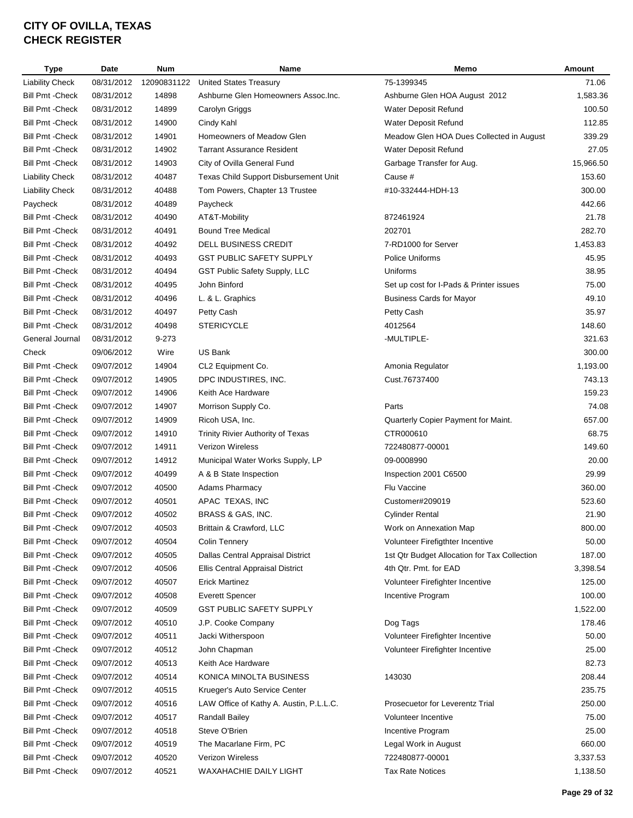| <b>Type</b>             | Date       | <b>Num</b>  | Name                                    | Memo                                         | Amount    |
|-------------------------|------------|-------------|-----------------------------------------|----------------------------------------------|-----------|
| <b>Liability Check</b>  | 08/31/2012 | 12090831122 | <b>United States Treasury</b>           | 75-1399345                                   | 71.06     |
| <b>Bill Pmt - Check</b> | 08/31/2012 | 14898       | Ashburne Glen Homeowners Assoc.Inc.     | Ashburne Glen HOA August 2012                | 1,583.36  |
| <b>Bill Pmt - Check</b> | 08/31/2012 | 14899       | Carolyn Griggs                          | Water Deposit Refund                         | 100.50    |
| <b>Bill Pmt - Check</b> | 08/31/2012 | 14900       | Cindy Kahl                              | Water Deposit Refund                         | 112.85    |
| <b>Bill Pmt - Check</b> | 08/31/2012 | 14901       | Homeowners of Meadow Glen               | Meadow Glen HOA Dues Collected in August     | 339.29    |
| <b>Bill Pmt - Check</b> | 08/31/2012 | 14902       | <b>Tarrant Assurance Resident</b>       | Water Deposit Refund                         | 27.05     |
| <b>Bill Pmt - Check</b> | 08/31/2012 | 14903       | City of Ovilla General Fund             | Garbage Transfer for Aug.                    | 15,966.50 |
| <b>Liability Check</b>  | 08/31/2012 | 40487       | Texas Child Support Disbursement Unit   | Cause #                                      | 153.60    |
| <b>Liability Check</b>  | 08/31/2012 | 40488       | Tom Powers, Chapter 13 Trustee          | #10-332444-HDH-13                            | 300.00    |
| Paycheck                | 08/31/2012 | 40489       | Paycheck                                |                                              | 442.66    |
| Bill Pmt - Check        | 08/31/2012 | 40490       | AT&T-Mobility                           | 872461924                                    | 21.78     |
| <b>Bill Pmt - Check</b> | 08/31/2012 | 40491       | <b>Bound Tree Medical</b>               | 202701                                       | 282.70    |
| <b>Bill Pmt -Check</b>  | 08/31/2012 | 40492       | DELL BUSINESS CREDIT                    | 7-RD1000 for Server                          | 1,453.83  |
| <b>Bill Pmt - Check</b> | 08/31/2012 | 40493       | <b>GST PUBLIC SAFETY SUPPLY</b>         | Police Uniforms                              | 45.95     |
| <b>Bill Pmt - Check</b> | 08/31/2012 | 40494       | GST Public Safety Supply, LLC           | Uniforms                                     | 38.95     |
| <b>Bill Pmt - Check</b> | 08/31/2012 | 40495       | John Binford                            | Set up cost for I-Pads & Printer issues      | 75.00     |
|                         |            |             |                                         | <b>Business Cards for Mayor</b>              | 49.10     |
| <b>Bill Pmt - Check</b> | 08/31/2012 | 40496       | L. & L. Graphics                        |                                              |           |
| <b>Bill Pmt - Check</b> | 08/31/2012 | 40497       | Petty Cash                              | Petty Cash                                   | 35.97     |
| <b>Bill Pmt - Check</b> | 08/31/2012 | 40498       | <b>STERICYCLE</b>                       | 4012564                                      | 148.60    |
| General Journal         | 08/31/2012 | 9-273       |                                         | -MULTIPLE-                                   | 321.63    |
| Check                   | 09/06/2012 | Wire        | US Bank                                 |                                              | 300.00    |
| <b>Bill Pmt - Check</b> | 09/07/2012 | 14904       | CL2 Equipment Co.                       | Amonia Regulator                             | 1,193.00  |
| <b>Bill Pmt - Check</b> | 09/07/2012 | 14905       | DPC INDUSTIRES, INC.                    | Cust.76737400                                | 743.13    |
| <b>Bill Pmt -Check</b>  | 09/07/2012 | 14906       | Keith Ace Hardware                      |                                              | 159.23    |
| <b>Bill Pmt - Check</b> | 09/07/2012 | 14907       | Morrison Supply Co.                     | Parts                                        | 74.08     |
| <b>Bill Pmt - Check</b> | 09/07/2012 | 14909       | Ricoh USA, Inc.                         | Quarterly Copier Payment for Maint.          | 657.00    |
| <b>Bill Pmt - Check</b> | 09/07/2012 | 14910       | Trinity Rivier Authority of Texas       | CTR000610                                    | 68.75     |
| <b>Bill Pmt - Check</b> | 09/07/2012 | 14911       | <b>Verizon Wireless</b>                 | 722480877-00001                              | 149.60    |
| <b>Bill Pmt - Check</b> | 09/07/2012 | 14912       | Municipal Water Works Supply, LP        | 09-0008990                                   | 20.00     |
| <b>Bill Pmt - Check</b> | 09/07/2012 | 40499       | A & B State Inspection                  | Inspection 2001 C6500                        | 29.99     |
| <b>Bill Pmt - Check</b> | 09/07/2012 | 40500       | Adams Pharmacy                          | Flu Vaccine                                  | 360.00    |
| <b>Bill Pmt - Check</b> | 09/07/2012 | 40501       | APAC TEXAS, INC                         | Customer#209019                              | 523.60    |
| <b>Bill Pmt - Check</b> | 09/07/2012 | 40502       | BRASS & GAS, INC.                       | <b>Cylinder Rental</b>                       | 21.90     |
| <b>Bill Pmt - Check</b> | 09/07/2012 | 40503       | Brittain & Crawford, LLC                | Work on Annexation Map                       | 800.00    |
| <b>Bill Pmt - Check</b> | 09/07/2012 | 40504       | <b>Colin Tennery</b>                    | Volunteer Firefigthter Incentive             | 50.00     |
| <b>Bill Pmt - Check</b> | 09/07/2012 | 40505       | Dallas Central Appraisal District       | 1st Qtr Budget Allocation for Tax Collection | 187.00    |
| <b>Bill Pmt - Check</b> | 09/07/2012 | 40506       | Ellis Central Appraisal District        | 4th Qtr. Pmt. for EAD                        | 3,398.54  |
| <b>Bill Pmt - Check</b> | 09/07/2012 | 40507       | <b>Erick Martinez</b>                   | Volunteer Firefighter Incentive              | 125.00    |
| <b>Bill Pmt - Check</b> | 09/07/2012 | 40508       | <b>Everett Spencer</b>                  | Incentive Program                            | 100.00    |
| <b>Bill Pmt - Check</b> | 09/07/2012 | 40509       | <b>GST PUBLIC SAFETY SUPPLY</b>         |                                              | 1,522.00  |
| <b>Bill Pmt - Check</b> | 09/07/2012 | 40510       | J.P. Cooke Company                      | Dog Tags                                     | 178.46    |
| <b>Bill Pmt - Check</b> | 09/07/2012 | 40511       | Jacki Witherspoon                       | Volunteer Firefighter Incentive              | 50.00     |
| <b>Bill Pmt - Check</b> | 09/07/2012 | 40512       | John Chapman                            | Volunteer Firefighter Incentive              | 25.00     |
| <b>Bill Pmt - Check</b> | 09/07/2012 | 40513       | Keith Ace Hardware                      |                                              | 82.73     |
| <b>Bill Pmt - Check</b> | 09/07/2012 | 40514       | KONICA MINOLTA BUSINESS                 | 143030                                       | 208.44    |
| <b>Bill Pmt - Check</b> | 09/07/2012 | 40515       | Krueger's Auto Service Center           |                                              | 235.75    |
| <b>Bill Pmt - Check</b> | 09/07/2012 | 40516       | LAW Office of Kathy A. Austin, P.L.L.C. | Prosecuetor for Leverentz Trial              | 250.00    |
| <b>Bill Pmt - Check</b> | 09/07/2012 | 40517       | Randall Bailey                          | Volunteer Incentive                          | 75.00     |
| <b>Bill Pmt - Check</b> | 09/07/2012 | 40518       | Steve O'Brien                           | Incentive Program                            | 25.00     |
| <b>Bill Pmt - Check</b> | 09/07/2012 | 40519       | The Macarlane Firm, PC                  | Legal Work in August                         | 660.00    |
| <b>Bill Pmt - Check</b> | 09/07/2012 | 40520       | Verizon Wireless                        | 722480877-00001                              | 3,337.53  |
| <b>Bill Pmt - Check</b> | 09/07/2012 | 40521       | WAXAHACHIE DAILY LIGHT                  | <b>Tax Rate Notices</b>                      | 1,138.50  |
|                         |            |             |                                         |                                              |           |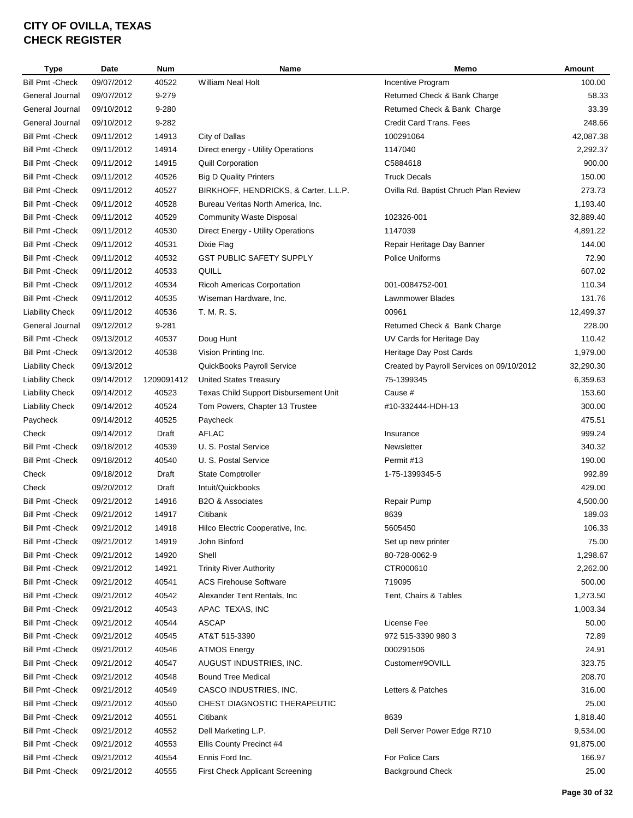| <b>Type</b>             | <b>Date</b> | <b>Num</b> | Name                                   | Memo                                      | Amount           |
|-------------------------|-------------|------------|----------------------------------------|-------------------------------------------|------------------|
| <b>Bill Pmt - Check</b> | 09/07/2012  | 40522      | <b>William Neal Holt</b>               | Incentive Program                         | 100.00           |
| General Journal         | 09/07/2012  | 9-279      |                                        | Returned Check & Bank Charge              | 58.33            |
| General Journal         | 09/10/2012  | 9-280      |                                        | Returned Check & Bank Charge              | 33.39            |
| General Journal         | 09/10/2012  | 9-282      |                                        | Credit Card Trans. Fees                   | 248.66           |
| Bill Pmt - Check        | 09/11/2012  | 14913      | City of Dallas                         | 100291064                                 | 42,087.38        |
| Bill Pmt - Check        | 09/11/2012  | 14914      | Direct energy - Utility Operations     | 1147040                                   | 2,292.37         |
| Bill Pmt -Check         | 09/11/2012  | 14915      | <b>Quill Corporation</b>               | C5884618                                  | 900.00           |
| Bill Pmt - Check        | 09/11/2012  | 40526      | <b>Big D Quality Printers</b>          | <b>Truck Decals</b>                       | 150.00           |
| <b>Bill Pmt - Check</b> | 09/11/2012  | 40527      | BIRKHOFF, HENDRICKS, & Carter, L.L.P.  | Ovilla Rd. Baptist Chruch Plan Review     | 273.73           |
| <b>Bill Pmt - Check</b> | 09/11/2012  | 40528      | Bureau Veritas North America, Inc.     |                                           | 1,193.40         |
| <b>Bill Pmt - Check</b> | 09/11/2012  | 40529      | <b>Community Waste Disposal</b>        | 102326-001                                | 32,889.40        |
| <b>Bill Pmt - Check</b> | 09/11/2012  | 40530      | Direct Energy - Utility Operations     | 1147039                                   | 4,891.22         |
| <b>Bill Pmt - Check</b> | 09/11/2012  | 40531      | Dixie Flag                             | Repair Heritage Day Banner                | 144.00           |
| <b>Bill Pmt - Check</b> | 09/11/2012  | 40532      | <b>GST PUBLIC SAFETY SUPPLY</b>        | Police Uniforms                           | 72.90            |
| <b>Bill Pmt - Check</b> | 09/11/2012  | 40533      | QUILL                                  |                                           | 607.02           |
| <b>Bill Pmt - Check</b> | 09/11/2012  | 40534      | Ricoh Americas Corportation            | 001-0084752-001                           | 110.34           |
| <b>Bill Pmt - Check</b> | 09/11/2012  | 40535      | Wiseman Hardware, Inc.                 | Lawnmower Blades                          | 131.76           |
|                         |             |            | T. M. R. S.                            |                                           | 12,499.37        |
| <b>Liability Check</b>  | 09/11/2012  | 40536      |                                        | 00961                                     |                  |
| General Journal         | 09/12/2012  | $9 - 281$  |                                        | Returned Check & Bank Charge              | 228.00<br>110.42 |
| <b>Bill Pmt - Check</b> | 09/13/2012  | 40537      | Doug Hunt                              | UV Cards for Heritage Day                 |                  |
| <b>Bill Pmt - Check</b> | 09/13/2012  | 40538      | Vision Printing Inc.                   | Heritage Day Post Cards                   | 1,979.00         |
| <b>Liability Check</b>  | 09/13/2012  |            | QuickBooks Payroll Service             | Created by Payroll Services on 09/10/2012 | 32,290.30        |
| <b>Liability Check</b>  | 09/14/2012  | 1209091412 | United States Treasury                 | 75-1399345                                | 6,359.63         |
| <b>Liability Check</b>  | 09/14/2012  | 40523      | Texas Child Support Disbursement Unit  | Cause #                                   | 153.60           |
| <b>Liability Check</b>  | 09/14/2012  | 40524      | Tom Powers, Chapter 13 Trustee         | #10-332444-HDH-13                         | 300.00           |
| Paycheck                | 09/14/2012  | 40525      | Paycheck                               |                                           | 475.51           |
| Check                   | 09/14/2012  | Draft      | <b>AFLAC</b>                           | Insurance                                 | 999.24           |
| Bill Pmt -Check         | 09/18/2012  | 40539      | U. S. Postal Service                   | Newsletter                                | 340.32           |
| Bill Pmt - Check        | 09/18/2012  | 40540      | U. S. Postal Service                   | Permit #13                                | 190.00           |
| Check                   | 09/18/2012  | Draft      | <b>State Comptroller</b>               | 1-75-1399345-5                            | 992.89           |
| Check                   | 09/20/2012  | Draft      | Intuit/Quickbooks                      |                                           | 429.00           |
| <b>Bill Pmt - Check</b> | 09/21/2012  | 14916      | B2O & Associates                       | Repair Pump                               | 4,500.00         |
| Bill Pmt -Check         | 09/21/2012  | 14917      | Citibank                               | 8639                                      | 189.03           |
| <b>Bill Pmt -Check</b>  | 09/21/2012  | 14918      | Hilco Electric Cooperative, Inc.       | 5605450                                   | 106.33           |
| <b>Bill Pmt - Check</b> | 09/21/2012  | 14919      | John Binford                           | Set up new printer                        | 75.00            |
| <b>Bill Pmt - Check</b> | 09/21/2012  | 14920      | Shell                                  | 80-728-0062-9                             | 1,298.67         |
| <b>Bill Pmt - Check</b> | 09/21/2012  | 14921      | <b>Trinity River Authority</b>         | CTR000610                                 | 2,262.00         |
| <b>Bill Pmt - Check</b> | 09/21/2012  | 40541      | <b>ACS Firehouse Software</b>          | 719095                                    | 500.00           |
| <b>Bill Pmt - Check</b> | 09/21/2012  | 40542      | Alexander Tent Rentals, Inc.           | Tent, Chairs & Tables                     | 1,273.50         |
| <b>Bill Pmt - Check</b> | 09/21/2012  | 40543      | APAC TEXAS, INC                        |                                           | 1,003.34         |
| <b>Bill Pmt - Check</b> | 09/21/2012  | 40544      | <b>ASCAP</b>                           | License Fee                               | 50.00            |
| <b>Bill Pmt - Check</b> | 09/21/2012  | 40545      | AT&T 515-3390                          | 972 515-3390 980 3                        | 72.89            |
| <b>Bill Pmt - Check</b> | 09/21/2012  | 40546      | <b>ATMOS Energy</b>                    | 000291506                                 | 24.91            |
| Bill Pmt - Check        | 09/21/2012  | 40547      | AUGUST INDUSTRIES, INC.                | Customer#9OVILL                           | 323.75           |
| Bill Pmt - Check        | 09/21/2012  | 40548      | <b>Bound Tree Medical</b>              |                                           | 208.70           |
| <b>Bill Pmt - Check</b> | 09/21/2012  | 40549      | CASCO INDUSTRIES, INC.                 | Letters & Patches                         | 316.00           |
| Bill Pmt - Check        | 09/21/2012  | 40550      | CHEST DIAGNOSTIC THERAPEUTIC           |                                           | 25.00            |
| Bill Pmt -Check         | 09/21/2012  | 40551      | Citibank                               | 8639                                      | 1,818.40         |
| Bill Pmt -Check         | 09/21/2012  | 40552      | Dell Marketing L.P.                    | Dell Server Power Edge R710               | 9,534.00         |
| Bill Pmt -Check         | 09/21/2012  | 40553      | Ellis County Precinct #4               |                                           | 91,875.00        |
| Bill Pmt - Check        | 09/21/2012  | 40554      | Ennis Ford Inc.                        | For Police Cars                           | 166.97           |
| <b>Bill Pmt - Check</b> | 09/21/2012  | 40555      | <b>First Check Applicant Screening</b> | <b>Background Check</b>                   | 25.00            |
|                         |             |            |                                        |                                           |                  |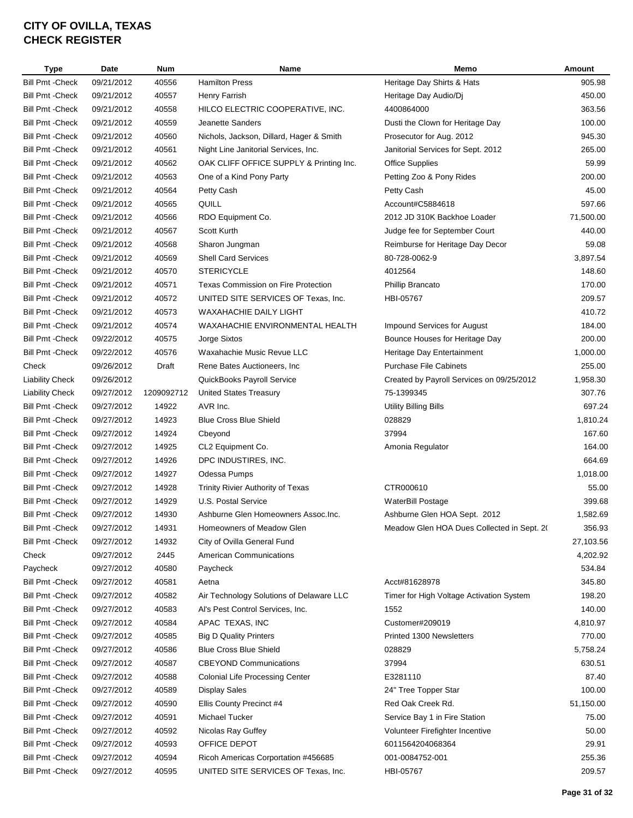| <b>Type</b>             | <b>Date</b> | Num        | Name                                     | Memo                                       | Amount    |
|-------------------------|-------------|------------|------------------------------------------|--------------------------------------------|-----------|
| <b>Bill Pmt - Check</b> | 09/21/2012  | 40556      | <b>Hamilton Press</b>                    | Heritage Day Shirts & Hats                 | 905.98    |
| <b>Bill Pmt - Check</b> | 09/21/2012  | 40557      | Henry Farrish                            | Heritage Day Audio/Dj                      | 450.00    |
| <b>Bill Pmt - Check</b> | 09/21/2012  | 40558      | HILCO ELECTRIC COOPERATIVE, INC.         | 4400864000                                 | 363.56    |
| Bill Pmt -Check         | 09/21/2012  | 40559      | Jeanette Sanders                         | Dusti the Clown for Heritage Day           | 100.00    |
| <b>Bill Pmt - Check</b> | 09/21/2012  | 40560      | Nichols, Jackson, Dillard, Hager & Smith | Prosecutor for Aug. 2012                   | 945.30    |
| <b>Bill Pmt - Check</b> | 09/21/2012  | 40561      | Night Line Janitorial Services, Inc.     | Janitorial Services for Sept. 2012         | 265.00    |
| Bill Pmt -Check         | 09/21/2012  | 40562      | OAK CLIFF OFFICE SUPPLY & Printing Inc.  | <b>Office Supplies</b>                     | 59.99     |
| Bill Pmt - Check        | 09/21/2012  | 40563      | One of a Kind Pony Party                 | Petting Zoo & Pony Rides                   | 200.00    |
| <b>Bill Pmt - Check</b> | 09/21/2012  | 40564      | Petty Cash                               | Petty Cash                                 | 45.00     |
| <b>Bill Pmt - Check</b> | 09/21/2012  | 40565      | QUILL                                    | Account#C5884618                           | 597.66    |
| <b>Bill Pmt - Check</b> | 09/21/2012  | 40566      | RDO Equipment Co.                        | 2012 JD 310K Backhoe Loader                | 71,500.00 |
| <b>Bill Pmt - Check</b> | 09/21/2012  | 40567      | Scott Kurth                              | Judge fee for September Court              | 440.00    |
| <b>Bill Pmt - Check</b> | 09/21/2012  | 40568      | Sharon Jungman                           | Reimburse for Heritage Day Decor           | 59.08     |
| <b>Bill Pmt - Check</b> | 09/21/2012  | 40569      | <b>Shell Card Services</b>               | 80-728-0062-9                              | 3,897.54  |
| <b>Bill Pmt - Check</b> | 09/21/2012  | 40570      | <b>STERICYCLE</b>                        | 4012564                                    | 148.60    |
| <b>Bill Pmt - Check</b> | 09/21/2012  | 40571      | Texas Commission on Fire Protection      | Phillip Brancato                           | 170.00    |
| <b>Bill Pmt - Check</b> | 09/21/2012  | 40572      | UNITED SITE SERVICES OF Texas, Inc.      | HBI-05767                                  | 209.57    |
| <b>Bill Pmt - Check</b> |             |            |                                          |                                            |           |
|                         | 09/21/2012  | 40573      | <b>WAXAHACHIE DAILY LIGHT</b>            |                                            | 410.72    |
| <b>Bill Pmt - Check</b> | 09/21/2012  | 40574      | WAXAHACHIE ENVIRONMENTAL HEALTH          | <b>Impound Services for August</b>         | 184.00    |
| <b>Bill Pmt - Check</b> | 09/22/2012  | 40575      | Jorge Sixtos                             | Bounce Houses for Heritage Day             | 200.00    |
| <b>Bill Pmt - Check</b> | 09/22/2012  | 40576      | Waxahachie Music Revue LLC               | Heritage Day Entertainment                 | 1,000.00  |
| Check                   | 09/26/2012  | Draft      | Rene Bates Auctioneers, Inc.             | <b>Purchase File Cabinets</b>              | 255.00    |
| <b>Liability Check</b>  | 09/26/2012  |            | QuickBooks Payroll Service               | Created by Payroll Services on 09/25/2012  | 1,958.30  |
| <b>Liability Check</b>  | 09/27/2012  | 1209092712 | <b>United States Treasury</b>            | 75-1399345                                 | 307.76    |
| Bill Pmt - Check        | 09/27/2012  | 14922      | AVR Inc.                                 | Utility Billing Bills                      | 697.24    |
| Bill Pmt -Check         | 09/27/2012  | 14923      | <b>Blue Cross Blue Shield</b>            | 028829                                     | 1,810.24  |
| <b>Bill Pmt - Check</b> | 09/27/2012  | 14924      | Cbeyond                                  | 37994                                      | 167.60    |
| Bill Pmt - Check        | 09/27/2012  | 14925      | CL2 Equipment Co.                        | Amonia Regulator                           | 164.00    |
| <b>Bill Pmt - Check</b> | 09/27/2012  | 14926      | DPC INDUSTIRES, INC.                     |                                            | 664.69    |
| Bill Pmt - Check        | 09/27/2012  | 14927      | Odessa Pumps                             |                                            | 1,018.00  |
| <b>Bill Pmt - Check</b> | 09/27/2012  | 14928      | Trinity Rivier Authority of Texas        | CTR000610                                  | 55.00     |
| <b>Bill Pmt - Check</b> | 09/27/2012  | 14929      | U.S. Postal Service                      | WaterBill Postage                          | 399.68    |
| <b>Bill Pmt - Check</b> | 09/27/2012  | 14930      | Ashburne Glen Homeowners Assoc.Inc.      | Ashburne Glen HOA Sept. 2012               | 1,582.69  |
| <b>Bill Pmt - Check</b> | 09/27/2012  | 14931      | Homeowners of Meadow Glen                | Meadow Glen HOA Dues Collected in Sept. 2( | 356.93    |
| Bill Pmt - Check        | 09/27/2012  | 14932      | City of Ovilla General Fund              |                                            | 27,103.56 |
| Check                   | 09/27/2012  | 2445       | <b>American Communications</b>           |                                            | 4,202.92  |
| Paycheck                | 09/27/2012  | 40580      | Paycheck                                 |                                            | 534.84    |
| Bill Pmt - Check        | 09/27/2012  | 40581      | Aetna                                    | Acct#81628978                              | 345.80    |
| <b>Bill Pmt - Check</b> | 09/27/2012  | 40582      | Air Technology Solutions of Delaware LLC | Timer for High Voltage Activation System   | 198.20    |
| Bill Pmt -Check         | 09/27/2012  | 40583      | Al's Pest Control Services, Inc.         | 1552                                       | 140.00    |
| Bill Pmt -Check         | 09/27/2012  | 40584      | APAC TEXAS, INC                          | Customer#209019                            | 4,810.97  |
| Bill Pmt -Check         | 09/27/2012  | 40585      | <b>Big D Quality Printers</b>            | Printed 1300 Newsletters                   | 770.00    |
| Bill Pmt -Check         | 09/27/2012  | 40586      | <b>Blue Cross Blue Shield</b>            | 028829                                     | 5,758.24  |
| <b>Bill Pmt - Check</b> | 09/27/2012  | 40587      | <b>CBEYOND Communications</b>            | 37994                                      | 630.51    |
| <b>Bill Pmt - Check</b> | 09/27/2012  | 40588      | Colonial Life Processing Center          | E3281110                                   | 87.40     |
| Bill Pmt -Check         | 09/27/2012  | 40589      | Display Sales                            | 24" Tree Topper Star                       | 100.00    |
| <b>Bill Pmt - Check</b> | 09/27/2012  | 40590      | Ellis County Precinct #4                 | Red Oak Creek Rd.                          | 51,150.00 |
| <b>Bill Pmt - Check</b> | 09/27/2012  | 40591      | Michael Tucker                           | Service Bay 1 in Fire Station              | 75.00     |
| <b>Bill Pmt - Check</b> | 09/27/2012  | 40592      | Nicolas Ray Guffey                       | Volunteer Firefighter Incentive            | 50.00     |
| <b>Bill Pmt - Check</b> | 09/27/2012  | 40593      | OFFICE DEPOT                             | 6011564204068364                           | 29.91     |
| <b>Bill Pmt - Check</b> | 09/27/2012  | 40594      | Ricoh Americas Corportation #456685      | 001-0084752-001                            | 255.36    |
| <b>Bill Pmt - Check</b> | 09/27/2012  | 40595      | UNITED SITE SERVICES OF Texas, Inc.      | HBI-05767                                  | 209.57    |
|                         |             |            |                                          |                                            |           |